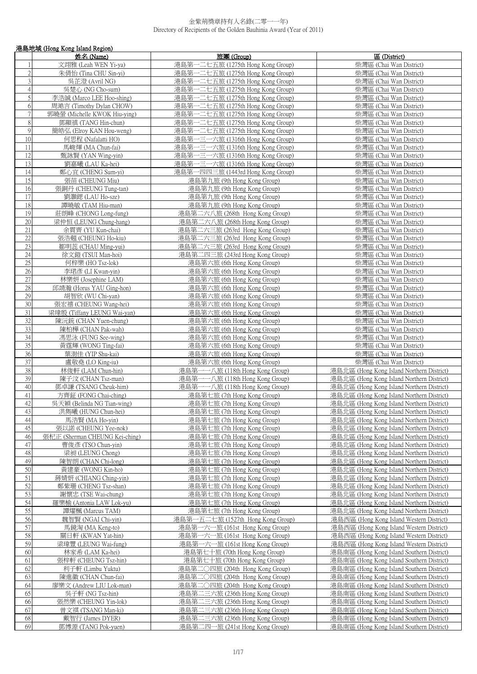|                | 港島地域 (Hong Kong Island Region)                       |                                                                        |                                                                                        |  |
|----------------|------------------------------------------------------|------------------------------------------------------------------------|----------------------------------------------------------------------------------------|--|
|                | 姓名 (Name)                                            | 旅團 (Group)                                                             | 區 (District)                                                                           |  |
|                | 文翊雅 (Leah WEN Yi-ya)                                 | 港島第一二七五旅 (1275th Hong Kong Group)                                      | 柴灣區 (Chai Wan District)                                                                |  |
| $\sqrt{2}$     | 朱倩怡 (Tina CHU Sin-yi)                                | 港島第一二七五旅 (1275th Hong Kong Group)                                      | 柴灣區 (Chai Wan District)                                                                |  |
| $\overline{3}$ | 吳芷澄 (Avril NG)                                       | 港島第一二七五旅 (1275th Hong Kong Group)                                      | 柴灣區 (Chai Wan District)                                                                |  |
| $\overline{4}$ | 吳楚心 (NG Cho-sum)                                     | 港島第一二七五旅 (1275th Hong Kong Group)                                      | 柴灣區 (Chai Wan District)                                                                |  |
| 5              | 李浩誠 (Marco LEE Hoo-shing)                            | 港島第一二七五旅 (1275th Hong Kong Group)                                      | 柴灣區 (Chai Wan District)                                                                |  |
| 6              | 周澔言 (Timothy Dylan CHOW)                             | 港島第一二七五旅 (1275th Hong Kong Group)                                      | 柴灣區 (Chai Wan District)                                                                |  |
| $\overline{7}$ | 郭曉螢 (Michelle KWOK Hiu-ying)                         | 港島第一二七五旅 (1275th Hong Kong Group)                                      | 柴灣區 (Chai Wan District)                                                                |  |
| $8\,$          | 鄧顯禛 (TANG Hin-chun)                                  | 港島第一二七五旅 (1275th Hong Kong Group)                                      | 柴灣區 (Chai Wan District)                                                                |  |
| $\overline{9}$ | 簡皓弘 (Elroy KAN Hou-weng)                             | 港島第一二七五旅 (1275th Hong Kong Group)                                      | 柴灣區 (Chai Wan District)                                                                |  |
| 10             | 何思程 (Nafalatti HO)                                   | 港島第一三一六旅 (1316th Hong Kong Group)                                      | 柴灣區 (Chai Wan District)                                                                |  |
| 11             | 馬峻煇 (MA Chun-fai)                                    | 港島第一三一六旅 (1316th Hong Kong Group)                                      | 柴灣區 (Chai Wan District)                                                                |  |
| 12<br>13       | 甄詠賢 (YAN Wing-yin)                                   | 港島第一三一六旅 (1316th Hong Kong Group)                                      | 柴灣區 (Chai Wan District)                                                                |  |
| 14             | 劉嘉曦 (LAU Ka-hei)<br>鄭心宜 (CHENG Sum-yi)               | 港島第一三一六旅 (1316th Hong Kong Group)<br>港島第一四四三旅 (1443rd Hong Kong Group) | 柴灣區 (Chai Wan District)<br>柴灣區 (Chai Wan District)                                     |  |
| 15             | 張苗 (CHEUNG Miu)                                      | 港島第九旅 (9th Hong Kong Group)                                            | 柴灣區 (Chai Wan District)                                                                |  |
| 16             | 張銅丹 (CHEUNG Tung-tan)                                | 港島第九旅 (9th Hong Kong Group)                                            | 柴灣區 (Chai Wan District)                                                                |  |
| 17             | 劉灝鍶 (LAU Ho-sze)                                     | 港島第九旅 (9th Hong Kong Group)                                            | 柴灣區 (Chai Wan District)                                                                |  |
| 18             | 譚曉敏 (TAM Hiu-man)                                    | 港島第九旅 (9th Hong Kong Group)                                            | 柴灣區 (Chai Wan District)                                                                |  |
| 19             | 莊朗峰 (CHONG Long-fung)                                | 港島第二六八旅 (268th Hong Kong Group)                                        | 柴灣區 (Chai Wan District)                                                                |  |
| 20             | 梁仲恒 (LEUNG Chung-hang)                               | 港島第二六八旅 (268th Hong Kong Group)                                        | 柴灣區 (Chai Wan District)                                                                |  |
| 21             | 余貫齊 (YU Kun-chai)                                    | 港島第二六三旅 (263rd Hong Kong Group)                                        | 柴灣區 (Chai Wan District)                                                                |  |
| 22             | 張浩翹 (CHEUNG Ho-kiu)                                  | 港島第二六三旅 (263rd Hong Kong Group)                                        | 柴灣區 (Chai Wan District)                                                                |  |
| $23\,$         | 鄒明蕊 (CHAU Ming-yui)                                  | 港島第二六三旅 (263rd Hong Kong Group)                                        | 柴灣區 (Chai Wan District)                                                                |  |
| 24             | 徐文鎧 (TSUI Man-hoi)                                   | 港島第二四三旅 (243rd Hong Kong Group)                                        | 柴灣區 (Chai Wan District)                                                                |  |
| 25             | 何梓樂 (HO Tsz-lok)                                     | 港島第六旅 (6th Hong Kong Group)                                            | 柴灣區 (Chai Wan District)                                                                |  |
| 26             | 李珺彥 (LI Kwan-yin)                                    | 港島第六旅 (6th Hong Kong Group)                                            | 柴灣區 (Chai Wan District)                                                                |  |
| $27\,$         | 林樂妍 (Josephine LAM)                                  | 港島第六旅 (6th Hong Kong Group)                                            | 柴灣區 (Chai Wan District)                                                                |  |
| 28             | 邱靖瀚 (Horus YAU Ging-hon)                             | 港島第六旅 (6th Hong Kong Group)                                            | 柴灣區 (Chai Wan District)                                                                |  |
| 29             | 胡智欣 (WU Chi-yan)                                     | 港島第六旅 (6th Hong Kong Group)                                            | 柴灣區 (Chai Wan District)                                                                |  |
| 30<br>31       | 張宏禧 (CHEUNG Wang-hei)                                | 港島第六旅 (6th Hong Kong Group)                                            | 柴灣區 (Chai Wan District)                                                                |  |
| 32             | 梁瑋殷 (Tiffany LEUNG Wai-yan)<br>陳沅銃 (CHAN Yuen-chung) | 港島第六旅 (6th Hong Kong Group)<br>港島第六旅 (6th Hong Kong Group)             | 柴灣區 (Chai Wan District)<br>柴灣區 (Chai Wan District)                                     |  |
| 33             | 陳柏樺 (CHAN Pak-wah)                                   | 港島第六旅 (6th Hong Kong Group)                                            | 柴灣區 (Chai Wan District)                                                                |  |
| 34             | 馮思泳 (FUNG See-wing)                                  | 港島第六旅 (6th Hong Kong Group)                                            | 柴灣區 (Chai Wan District)                                                                |  |
| 35             | 黃霆輝 (WONG Ting-fai)                                  | 港島第六旅 (6th Hong Kong Group)                                            | 柴灣區 (Chai Wan District)                                                                |  |
| 36             | 葉澍佳 (YIP Shu-kai)                                    | 港島第六旅 (6th Hong Kong Group)                                            | 柴灣區 (Chai Wan District)                                                                |  |
| 37             | 盧敬堯 (LO King-iu)                                     | 港島第六旅 (6th Hong Kong Group)                                            | 柴灣區 (Chai Wan District)                                                                |  |
| 38             | 林俊軒 (LAM Chun-hin)                                   | 港島第一一八旅 (118th Hong Kong Group)                                        | 港島北區 (Hong Kong Island Northern District)                                              |  |
| 39             | 陳子汶 (CHAN Tsz-man)                                   | 港島第一一八旅 (118th Hong Kong Group)                                        | 港島北區 (Hong Kong Island Northern District)                                              |  |
| 40             | 鄧卓謙 (TSANG Cheuk-him)                                | 港島第一一八旅 (118th Hong Kong Group)                                        | 港島北區 (Hong Kong Island Northern District)                                              |  |
| 41             | 方齊鉦 (FONG Chai-ching)                                | 港島第七旅 (7th Hong Kong Group)                                            | 港島北區 (Hong Kong Island Northern District)                                              |  |
| $42\,$         | 吳天穎 (Belinda NG Tian-wing)                           | 港島第七旅 (7th Hong Kong Group)                                            | 港島北區 (Hong Kong Island Northern District)                                              |  |
| 43             | 洪雋曦 (HUNG Chun-hei)                                  | 港島第七旅 (7th Hong Kong Group)                                            | 港島北區 (Hong Kong Island Northern District)                                              |  |
| 44             | 馬浩賢 (MA Ho-yin)                                      | 港島第七旅 (7th Hong Kong Group)                                            | 港島北區 (Hong Kong Island Northern District)                                              |  |
| $45\,$         | 張以諾 (CHEUNG Yee-nok)                                 | 港島第七旅 (7th Hong Kong Group)                                            | 港島北區 (Hong Kong Island Northern District)<br>港島北區 (Hong Kong Island Northern District) |  |
| 46<br>$47\,$   | 張杞正 (Sherman CHEUNG Kei-ching)<br>曹俊彥 (TSO Chun-yin) | 港島第七旅 (7th Hong Kong Group)<br>港島第七旅 (7th Hong Kong Group)             | 港島北區 (Hong Kong Island Northern District)                                              |  |
| 48             | 梁昶 (LEUNG Chong)                                     | 港島第七旅 (7th Hong Kong Group)                                            | 港島北區 (Hong Kong Island Northern District)                                              |  |
| 49             | 陳智朗 (CHAN Chi-long)                                  | 港島第七旅 (7th Hong Kong Group)                                            | 港島北區 (Hong Kong Island Northern District)                                              |  |
| 50             | 黃建豪 (WONG Kin-ho)                                    | 港島第七旅 (7th Hong Kong Group)                                            | 港島北區 (Hong Kong Island Northern District)                                              |  |
| 51             | 蔣婧妍 (CHIANG Ching-yin)                               | 港島第七旅 (7th Hong Kong Group)                                            | 港島北區 (Hong Kong Island Northern District)                                              |  |
| 52             | 鄭紫珊 (CHENG Tsz-shan)                                 | 港島第七旅 (7th Hong Kong Group)                                            | 港島北區 (Hong Kong Island Northern District)                                              |  |
| 53             | 謝懷忠 (TSE Wai-chung)                                  | 港島第七旅 (7th Hong Kong Group)                                            | 港島北區 (Hong Kong Island Northern District)                                              |  |
| 54             | 羅樂榆 (Antonia LAW Lok-yu)                             | 港島第七旅 (7th Hong Kong Group)                                            | 港島北區 (Hong Kong Island Northern District)                                              |  |
| 55             | 譚燿楓 (Marcus TAM)                                     | 港島第七旅 (7th Hong Kong Group)                                            | 港島北區 (Hong Kong Island Northern District)                                              |  |
| 56             | 魏智賢 (NGAI Chi-yin)                                   | 港島第一五二七旅 (1527th Hong Kong Group)                                      | 港島西區 (Hong Kong Island Western District)                                               |  |
| 57             | 馬鏡淘 (MA Keng-to)                                     | 港島第一六一旅 (161st Hong Kong Group)                                        | 港島西區 (Hong Kong Island Western District)                                               |  |
| 58             | 關日軒 (KWAN Yat-hin)                                   | 港島第一六一旅 (161st Hong Kong Group)                                        | 港島西區 (Hong Kong Island Western District)                                               |  |
| 59             | 梁瑋豐 (LEUNG Wai-fung)                                 | 港島第一六一旅 (161st Hong Kong Group)                                        | 港島西區 (Hong Kong Island Western District)                                               |  |
| 60             | 林家希 (LAM Ka-hei)                                     | 港島第七十旅 (70th Hong Kong Group)                                          | 港島南區 (Hong Kong Island Southern District)                                              |  |
| 61             | 張梓軒 (CHEUNG Tsz-hin)                                 | 港島第七十旅 (70th Hong Kong Group)                                          | 港島南區 (Hong Kong Island Southern District)                                              |  |
| 62<br>63       | 利子軒 (Limbu Yuktu)<br>陳進徽 (CHAN Chun-fai)             | 港島第二〇四旅 (204th Hong Kong Group)<br>港島第二〇四旅 (204th Hong Kong Group)     | 港島南區 (Hong Kong Island Southern District)<br>港島南區 (Hong Kong Island Southern District) |  |
| 64             | 廖樂文 (Andrew LIU Lok-man)                             | 港島第二〇四旅 (204th Hong Kong Group)                                        | 港島南區 (Hong Kong Island Southern District)                                              |  |
| 65             | 吳子軒 (NG Tsz-hin)                                     | 港島第二三六旅 (236th Hong Kong Group)                                        | 港島南區 (Hong Kong Island Southern District)                                              |  |
| 66             | 張然樂 (CHEUNG Yin-lok)                                 | 港島第二三六旅 (236th Hong Kong Group)                                        | 港島南區 (Hong Kong Island Southern District)                                              |  |
| 67             | 曾文祺 (TSANG Man-ki)                                   | 港島第二三六旅 (236th Hong Kong Group)                                        | 港島南區 (Hong Kong Island Southern District)                                              |  |
| 68             | 戴智行 (James DYER)                                     | 港島第二三六旅 (236th Hong Kong Group)                                        | 港島南區 (Hong Kong Island Southern District)                                              |  |
| 69             | 鄧博源 (TANG Pok-vuen)                                  | 港島第二四一旅 (241st Hong Kong Group)                                        | 港島南區 (Hong Kong Island Southern District)                                              |  |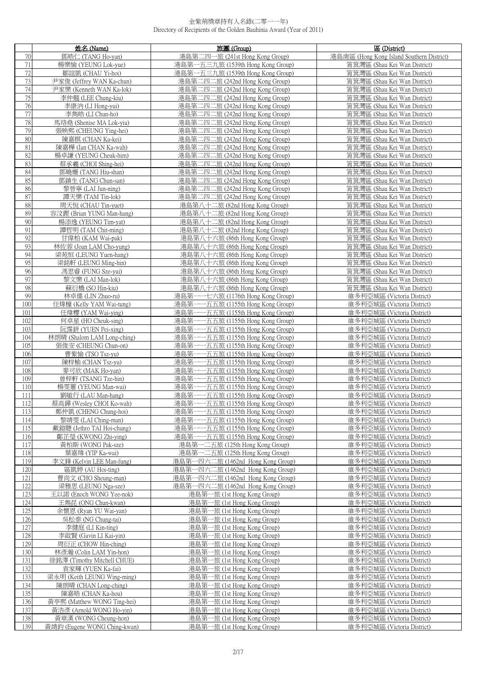|                 | 姓名 (Name)                                        | 旅團 (Group)                                                                   | 區 (District)                                                 |
|-----------------|--------------------------------------------------|------------------------------------------------------------------------------|--------------------------------------------------------------|
| $70\,$          | 鄧皓仁 (TANG Ho-yan)                                | 港島第二四一旅 (241st Hong Kong Group)                                              | 港島南區 (Hong Kong Island Southern District)                    |
| $71\,$          | 楊樂愉 (YEUNG Lok-yue)                              | 港島第一五三九旅 (1539th Hong Kong Group)                                            | 筲箕灣區 (Shau Kei Wan District)                                 |
| 72              | 鄒誼凱 (CHAU Yi-hoi)                                | 港島第一五三九旅 (1539th Hong Kong Group)                                            | 筲箕灣區 (Shau Kei Wan District)                                 |
| 73              | 尹家俊 (Jeffrey WAN Ka-chun)                        | 港島第二四二旅 (242nd Hong Kong Group)                                              | 筲箕灣區 (Shau Kei Wan District)                                 |
| 74              | 尹家樂 (Kenneth WAN Ka-lok)                         | 港島第二四二旅 (242nd Hong Kong Group)                                              | 筲箕灣區 (Shau Kei Wan District)                                 |
| 75              | 李仲翹 (LEE Chung-kiu)                              | 港島第二四二旅 (242nd Hong Kong Group)                                              | 筲箕灣區 (Shau Kei Wan District)                                 |
| 76              | 李康汭 (LI Hong-yui)                                | 港島第二四二旅 (242nd Hong Kong Group)                                              | 筲箕灣區 (Shau Kei Wan District)                                 |
| $\overline{77}$ | 李雋皓 (LI Chun-ho)                                 | 港島第二四二旅 (242nd Hong Kong Group)                                              | 筲箕灣區 (Shau Kei Wan District)                                 |
| 78              | 馬珞堯 (Shenise MA Lok-yiu)                         | 港島第二四二旅 (242nd Hong Kong Group)                                              | 筲箕灣區 (Shau Kei Wan District)                                 |
| 79              | 張映熙 (CHEUNG Ying-hei)                            | 港島第二四二旅 (242nd Hong Kong Group)                                              | 筲箕灣區 (Shau Kei Wan District)                                 |
| 80              | 陳嘉棋 (CHAN Ka-kei)                                | 港島第二四二旅 (242nd Hong Kong Group)                                              | 筲箕灣區 (Shau Kei Wan District)                                 |
| 81              | 陳嘉樺 (Ian CHAN Ka-wah)                            | 港島第二四二旅 (242nd Hong Kong Group)                                              | 筲箕灣區 (Shau Kei Wan District)                                 |
| 82              | 楊卓謙 (YEUNG Cheuk-him)                            | 港島第二四二旅 (242nd Hong Kong Group)                                              | 筲箕灣區 (Shau Kei Wan District)                                 |
| 83              | 蔡承羲 (CHOI Shing-hei)                             | 港島第二四二旅 (242nd Hong Kong Group)                                              | 筲箕灣區 (Shau Kei Wan District)                                 |
| 84              | 鄧曉姍 (TANG Hiu-shan)                              | 港島第二四二旅 (242nd Hong Kong Group)                                              | 筲箕灣區 (Shau Kei Wan District)                                 |
| 85              | 鄧鎮生 (TANG Chun-san)                              | 港島第二四二旅 (242nd Hong Kong Group)                                              | 筲箕灣區 (Shau Kei Wan District)                                 |
| 86<br>87        | 黎晉寧 (LAI Jun-ning)                               | 港島第二四二旅 (242nd Hong Kong Group)                                              | 筲箕灣區 (Shau Kei Wan District)                                 |
| 88              | 譚天樂 (TAM Tin-lok)                                | 港島第二四二旅 (242nd Hong Kong Group)                                              | 筲箕灣區 (Shau Kei Wan District)                                 |
| 89              | 周天悅 (CHAU Tin-yuet)<br>容汶鏗 (Brian YUNG Man-hang) | 港島第八十二旅 (82nd Hong Kong Group)<br>港島第八十二旅 (82nd Hong Kong Group)             | 筲箕灣區 (Shau Kei Wan District)<br>筲箕灣區 (Shau Kei Wan District) |
| 90              |                                                  | 港島第八十二旅 (82nd Hong Kong Group)                                               |                                                              |
| 91              | 楊添逸 (YEUNG Tim-yat)<br>譚哲明 (TAM Chit-ming)       | 港島第八十二旅 (82nd Hong Kong Group)                                               | 筲箕灣區 (Shau Kei Wan District)<br>筲箕灣區 (Shau Kei Wan District) |
| 92              | 甘偉柏 (KAM Wai-pak)                                | 港島第八十六旅 (86th Hong Kong Group)                                               | 筲箕灣區 (Shau Kei Wan District)                                 |
| 93              | 林佐蓉 (Joan LAM Cho-yung)                          | 港島第八十六旅 (86th Hong Kong Group)                                               | 筲箕灣區 (Shau Kei Wan District)                                 |
| 94              | 梁苑恒 (LEUNG Yuen-hang)                            | 港島第八十六旅 (86th Hong Kong Group)                                               | 筲箕灣區 (Shau Kei Wan District)                                 |
| 95              | 梁銘軒 (LEUNG Ming-hin)                             | 港島第八十六旅 (86th Hong Kong Group)                                               | 筲箕灣區 (Shau Kei Wan District)                                 |
| 96              | 馮思睿 (FUNG Sze-yui)                               | 港島第八十六旅 (86th Hong Kong Group)                                               | 筲箕灣區 (Shau Kei Wan District)                                 |
| 97              | 黎文樂 (LAI Man-lok)                                | 港島第八十六旅 (86th Hong Kong Group)                                               | 筲箕灣區 (Shau Kei Wan District)                                 |
| 98              | 蘇衍橋 (SO Hin-kiu)                                 | 港島第八十六旅 (86th Hong Kong Group)                                               | 筲箕灣區 (Shau Kei Wan District)                                 |
| 99              | 林卓儒 (LIN Zhuo-ru)                                | 港島第一一七六旅 (1176th Hong Kong Group)                                            | 維多利亞城區 (Victoria District)                                   |
| 100             | 任煒橦 (Kelly YAM Wai-tung)                         | 港島第一<br>一五五旅 (1155th Hong Kong Group)                                        | 維多利亞城區 (Victoria District)                                   |
| 101             | 任煒櫻 (YAM Wai-ying)                               | 港島第-<br>一五五旅 (1155th Hong Kong Group)                                        | 維多利亞城區 (Victoria District)                                   |
| 102             | 何卓星 (HO Cheuk-sing)                              | 港島第-<br>-五五旅 (1155th Hong Kong Group)                                        | 維多利亞城區 (Victoria District)                                   |
| 103             | 阮霈鈃 (YUEN Pei-xing)                              | 港島第一<br>一五五旅 (1155th Hong Kong Group)                                        | 維多利亞城區 (Victoria District)                                   |
| 104             | 林朗晴 (Shalom LAM Long-ching)                      | 港島第-<br>-五五旅 (1155th Hong Kong Group)                                        | 維多利亞城區 (Victoria District)                                   |
| 105             | 張俊安 (CHEUNG Chun-on)                             | 港島第<br>-五五旅 (1155th Hong Kong Group)<br>港島第<br>一五五旅 (1155th Hong Kong Group) | 維多利亞城區 (Victoria District)                                   |
| 106<br>107      | 曹紫愉 (TSO Tsz-yu)<br>陳梓榆 (CHAN Tsz-yu)            | 港島第-<br>-五五旅 (1155th Hong Kong Group)                                        | 維多利亞城區 (Victoria District)<br>維多利亞城區 (Victoria District)     |
| 108             | 麥可欣 (MAK Ho-yan)                                 | 港島第<br>-五五旅 (1155th Hong Kong Group)                                         | 維多利亞城區 (Victoria District)                                   |
| 109             | 曾梓軒 (TSANG Tze-hin)                              | 港島第<br>-五五旅 (1155th Hong Kong Group)                                         | 維多利亞城區 (Victoria District)                                   |
| 110             | 楊雯蕙 (YEUNG Man-wai)                              | 港島第-<br>-五五旅 (1155th Hong Kong Group)                                        | 維多利亞城區 (Victoria District)                                   |
| 111             | 劉敏行 (LAU Man-hang)                               | 港島第一一五五旅 (1155th Hong Kong Group)                                            | 維多利亞城區 (Victoria District)                                   |
| 112             | 蔡高鏵 (Wesley CHOI Ko-wah)                         | 港島第<br>一五五旅 (1155th Hong Kong Group)                                         | 維多利亞城區 (Victoria District)                                   |
| 113             | 鄭仲凱 (CHENG Chung-hoi)                            | 港島第一<br>一五五旅 (1155th Hong Kong Group)                                        | 維多利亞城區 (Victoria District)                                   |
| 114             | 黎靖雯 (LAI Ching-man)                              | 港島第-<br>-五五旅 (1155th Hong Kong Group)                                        | 維多利亞城區 (Victoria District)                                   |
| 115             | 戴鎧聰 (Jethro TAI Hoi-chung)                       | 港島第一<br>-五五旅 (1155th Hong Kong Group)                                        | 維多利亞城區 (Victoria District)                                   |
| 116             | 鄺芷瑩 (KWONG Zhi-ying)                             | 港島第-<br>一五五旅 (1155th Hong Kong Group)                                        | 維多利亞城區 (Victoria District)                                   |
| 117             | 黃柏斯 (WONG Pak-sze)                               | 港島第一二五旅 (125th Hong Kong Group)                                              | 維多利亞城區 (Victoria District)                                   |
| 118             | 葉嘉煒 (YIP Ka-wai)                                 | 港島第一二五旅 (125th Hong Kong Group)                                              | 維多利亞城區 (Victoria District)                                   |
| 119             | 李文鋒 (Kelvin LEE Man-fung)                        | 港島第一四六二旅 (1462nd Hong Kong Group)                                            | 維多利亞城區 (Victoria District)                                   |
| 120             | 區凱婷 (AU Hoi-ting)                                | 港島第一四六二旅 (1462nd Hong Kong Group)                                            | 維多利亞城區 (Victoria District)                                   |
| 121             | 曹尚文 (CHO Sheung-man)                             | 港島第一四六二旅 (1462nd Hong Kong Group)                                            | 維多利亞城區 (Victoria District)                                   |
| 122             | 梁雅思 (LEUNG Nga-sze)                              | 港島第一四六二旅 (1462nd Hong Kong Group)                                            | 維多利亞城區 (Victoria District)                                   |
| 123             | 王以諾 (Enoch WONG Yee-nok)                         | 港島第一旅 (1st Hong Kong Group)                                                  | 維多利亞城區 (Victoria District)<br>維多利亞城區 (Victoria District)     |
| 124<br>125      | 王雋昆 (ONG Chun-kwan)<br>余懷恩 (Ryan YU Wai-yan)     | 港島第一旅 (1st Hong Kong Group)<br>港島第一旅 (1st Hong Kong Group)                   | 維多利亞城區 (Victoria District)                                   |
| 126             | 吳松泰 (NG Chung-tai)                               | 港島第一旅 (1st Hong Kong Group)                                                  |                                                              |
| 127             | 李健庭 (LI Kin-ting)                                | 港島第一旅 (1st Hong Kong Group)                                                  | 維多利亞城區 (Victoria District)<br>維多利亞城區 (Victoria District)     |
| 128             | 李啟賢 (Gavin LI Kai-yin)                           | 港島第一旅 (1st Hong Kong Group)                                                  | 維多利亞城區 (Victoria District)                                   |
| 129             | 周衍正 (CHOW Hin-ching)                             | 港島第一旅 (1st Hong Kong Group)                                                  | 維多利亞城區 (Victoria District)                                   |
| 130             | 林彥瀚 (Colin LAM Yin-hon)                          | 港島第一旅 (1st Hong Kong Group)                                                  | 維多利亞城區 (Victoria District)                                   |
| 131             | 徐銘澤 (Timothy Mitchell CHUE)                      | 港島第一旅 (1st Hong Kong Group)                                                  | 維多利亞城區 (Victoria District)                                   |
| 132             | 袁家輝 (YUEN Ka-fai)                                | 港島第一旅 (1st Hong Kong Group)                                                  | 維多利亞城區 (Victoria District)                                   |
| 133             | 梁永明 (Keith LEUNG Wing-ming)                      | 港島第一旅 (1st Hong Kong Group)                                                  | 維多利亞城區 (Victoria District)                                   |
| 134             | 陳朗晴 (CHAN Long-ching)                            | 港島第一旅 (1st Hong Kong Group)                                                  | 維多利亞城區 (Victoria District)                                   |
| 135             | 陳嘉皓 (CHAN Ka-hou)                                | 港島第一旅 (1st Hong Kong Group)                                                  | 維多利亞城區 (Victoria District)                                   |
| 136             | 黃亭熙 (Matthew WONG Ting-hei)                      | 港島第一旅 (1st Hong Kong Group)                                                  | 維多利亞城區 (Victoria District)                                   |
| 137             | 黃浩彥 (Arnold WONG Ho-yin)                         | 港島第一旅 (1st Hong Kong Group)                                                  | 維多利亞城區 (Victoria District)                                   |
| 138             | 黃章漢 (WONG Cheung-hon)                            | 港島第一旅 (1st Hong Kong Group)                                                  | 維多利亞城區 (Victoria District)                                   |
| 139             | 黃靖鈞 (Eugene WONG Ching-kwan)                     | 港島第一旅 (1st Hong Kong Group)                                                  | 維多利亞城區 (Victoria District)                                   |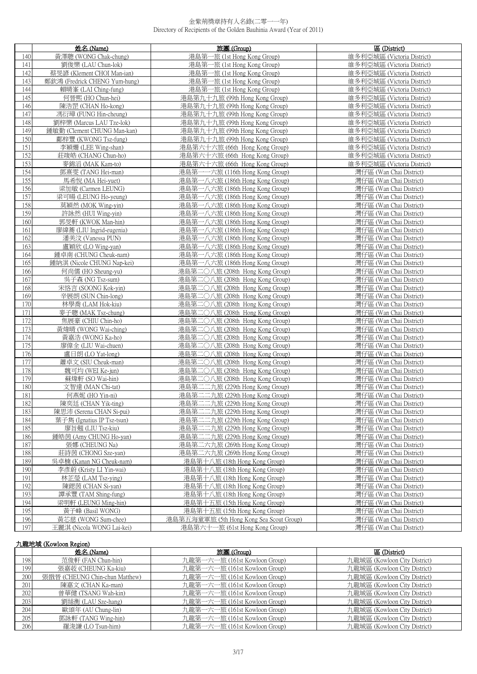|            | 姓名 (Name)                                  | 旅團 (Group)                                                         | 區 (District)                                       |
|------------|--------------------------------------------|--------------------------------------------------------------------|----------------------------------------------------|
| 140        | 黃澤聰 (WONG Chak-chung)                      | 港島第一旅 (1st Hong Kong Group)                                        | 維多利亞城區 (Victoria District)                         |
| 141        | 劉俊樂 (LAU Chun-lok)                         | 港島第一旅 (1st Hong Kong Group)                                        | 維多利亞城區 (Victoria District)                         |
| 142        | 蔡旻諺 (Klement CHOI Man-ian)                 | 港島第一旅 (1st Hong Kong Group)                                        | 維多利亞城區 (Victoria District)                         |
| 143        | 鄭欽鴻 (Fredrick CHENG Yum-hung)              | 港島第一旅 (1st Hong Kong Group)                                        | 維多利亞城區 (Victoria District)                         |
| 144        | 賴晴峯 (LAI Ching-fung)                       | 港島第一旅 (1st Hong Kong Group)                                        | 維多利亞城區 (Victoria District)                         |
| 145        | 何晉熙 (HO Chun-hei)                          | 港島第九十九旅 (99th Hong Kong Group)                                     | 維多利亞城區 (Victoria District)                         |
| 146        | 陳浩罡 (CHAN Ho-kong)                         | 港島第九十九旅 (99th Hong Kong Group)                                     | 維多利亞城區 (Victoria District)                         |
| 147        | 馮衍璋 (FUNG Hin-cheung)                      | 港島第九十九旅 (99th Hong Kong Group)                                     | 維多利亞城區 (Victoria District)                         |
| 148        | 劉梓樂 (Marcus LAU Tze-lok)                   | 港島第九十九旅 (99th Hong Kong Group)                                     | 維多利亞城區 (Victoria District)                         |
| 149        | 鍾敏勤 (Clement CHUNG Man-kan)                | 港島第九十九旅 (99th Hong Kong Group)                                     | 維多利亞城區 (Victoria District)                         |
| 150        | 鄺梓豐 (KWONG Tsz-fung)                       | 港島第九十九旅 (99th Hong Kong Group)                                     | 維多利亞城區 (Victoria District)                         |
| 151        | 李穎姍 (LEE Wing-shan)                        | 港島第六十六旅 (66th Hong Kong Group)                                     | 維多利亞城區 (Victoria District)                         |
| 152        | 莊竣皓 (CHANG Chun-ho)                        | 港島第六十六旅 (66th Hong Kong Group)                                     | 維多利亞城區 (Victoria District)                         |
| 153        | 麥錦滔 (MAK Kam-to)                           | 港島第六十六旅 (66th Hong Kong Group)                                     | 維多利亞城區 (Victoria District)                         |
| 154        | 鄧熹雯 (TANG Hei-man)                         | 港島第一一六旅 (116th Hong Kong Group)                                    | 灣仔區 (Wan Chai District)                            |
| 155        | 馬希悅 (MA Hei-yuet)                          | 港島第一八六旅 (186th Hong Kong Group)                                    | 灣仔區 (Wan Chai District)                            |
| 156        | 梁加敏 (Carmen LEUNG)                         | 港島第一八六旅 (186th Hong Kong Group)                                    | 灣仔區 (Wan Chai District)                            |
| 157        | 梁可暘 (LEUNG Ho-yeung)                       | 港島第一八六旅 (186th Hong Kong Group)                                    | 灣仔區 (Wan Chai District)                            |
| 158        | 莫穎然 (MOK Wing-yin)                         | 港島第一八六旅 (186th Hong Kong Group)                                    | 灣仔區 (Wan Chai District)                            |
| 159        | 許詠然 (HUI Wing-yin)                         | 港島第一八六旅 (186th Hong Kong Group)                                    | 灣仔區 (Wan Chai District)                            |
| 160        | 郭旻軒 (KWOK Man-hin)                         | 港島第一八六旅 (186th Hong Kong Group)                                    | 灣仔區 (Wan Chai District)                            |
| 161        | 廖緯蕎 (LIU Ingrid-eugenia)                   | 港島第一八六旅 (186th Hong Kong Group)                                    | 灣仔區 (Wan Chai District)                            |
| 162        | 潘美汶 (Vanessa PUN)                          | 港島第一八六旅 (186th Hong Kong Group)                                    | 灣仔區 (Wan Chai District)                            |
| 163        | 盧穎欣 (LO Wing-yan)<br>鍾卓南 (CHUNG Cheuk-nam) | 港島第一八六旅 (186th Hong Kong Group)                                    | 灣仔區 (Wan Chai District)                            |
| 164        | 鍾納淇 (Nicole CHUNG Nap-kei)                 | 港島第一八六旅 (186th Hong Kong Group)<br>港島第一八六旅 (186th Hong Kong Group) | 灣仔區 (Wan Chai District)                            |
| 165<br>166 |                                            | 港島第二〇八旅 (208th Hong Kong Group)                                    | 灣仔區 (Wan Chai District)                            |
| 167        | 何尚儒 (HO Sheung-yu)<br>吳子森 (NG Tsz-sum)     | 港島第二〇八旅 (208th Hong Kong Group)                                    | 灣仔區 (Wan Chai District)<br>灣仔區 (Wan Chai District) |
| 168        | 宋恪言 (SOONG Kok-yin)                        | 港島第二〇八旅 (208th Hong Kong Group)                                    | 灣仔區 (Wan Chai District)                            |
| 169        | 辛展朗 (SUN Chin-long)                        | 港島第二〇八旅 (208th Hong Kong Group)                                    | 灣仔區 (Wan Chai District)                            |
| 170        | 林學喬 (LAM Hok-kiu)                          | 港島第二〇八旅 (208th Hong Kong Group)                                    | 灣仔區 (Wan Chai District)                            |
| 171        | 麥子聰 (MAK Tsz-chung)                        | 港島第二〇八旅 (208th Hong Kong Group)                                    | 灣仔區 (Wan Chai District)                            |
| 172        | 焦展豪 (CHIU Chin-ho)                         | 港島第二〇八旅 (208th Hong Kong Group)                                    | 灣仔區 (Wan Chai District)                            |
| 173        | 黃煒晴 (WONG Wai-ching)                       | 港島第二〇八旅 (208th Hong Kong Group)                                    | 灣仔區 (Wan Chai District)                            |
| 174        | 黃嘉浩 (WONG Ka-ho)                           | 港島第二〇八旅 (208th Hong Kong Group)                                    | 灣仔區 (Wan Chai District)                            |
| 175        | 廖偉全 (LIU Wai-chuen)                        | 港島第二〇八旅 (208th Hong Kong Group)                                    | 灣仔區 (Wan Chai District)                            |
| 176        | 盧日朗 (LO Yat-long)                          | 港島第二〇八旅 (208th Hong Kong Group)                                    | 灣仔區 (Wan Chai District)                            |
| 177        | 蕭卓文 (SIU Cheuk-man)                        | 港島第二〇八旅 (208th Hong Kong Group)                                    | 灣仔區 (Wan Chai District)                            |
| 178        | 魏可均 (WEI Ke-jun)                           | 港島第二〇八旅 (208th Hong Kong Group)                                    | 灣仔區 (Wan Chai District)                            |
| 179        | 蘇煒軒 (SO Wai-hin)                           | 港島第二〇八旅 (208th Hong Kong Group)                                    | 灣仔區 (Wan Chai District)                            |
| 180        | 文智達 (MAN Chi-tat)                          | 港島第二二九旅 (229th Hong Kong Group)                                    | 灣仔區 (Wan Chai District)                            |
| 181        | 何燕妮 (HO Yin-ni)                            | 港島第二二九旅 (229th Hong Kong Group)                                    | 灣仔區 (Wan Chai District)                            |
| 182        | 陳奕廷 (CHAN Yik-ting)                        | 港島第二二九旅 (229th Hong Kong Group)                                    | 灣仔區 (Wan Chai District)                            |
| 183        | 陳思沛 (Serena CHAN Si-pui)                   | 港島第二二九旅 (229th Hong Kong Group)                                    | 灣仔區 (Wan Chai District)                            |
| 184        | 葉子雋 (Ignatius IP Tsz-tsun)                 | 港島第二二九旅 (229th Hong Kong Group)                                    | 灣仔區 (Wan Chai District)                            |
| 185        | 廖旨翹 (LIU Tsz-kiu)                          | 港島第二二九旅 (229th Hong Kong Group)                                    | 灣仔區 (Wan Chai District)                            |
| 186        | 鍾皓茵 (Amy CHUNG Ho-yan)                     | 港島第二二九旅 (229th Hong Kong Group)                                    | 灣仔區 (Wan Chai District)                            |
| 187        | 張娜 (CHEUNG Na)                             | 港島第二六九旅 (269th Hong Kong Group)                                    | 灣仔區 (Wan Chai District)                            |
| 188        | 莊詩茵 (CHONG Sze-yan)                        | 港島第二六九旅 (269th Hong Kong Group)                                    | 灣仔區 (Wan Chai District)                            |
| 189        | 吳卓楠 (Kanan NG Cheuk-nam)                   | 港島第十八旅 (18th Hong Kong Group)                                      | 灣仔區 (Wan Chai District)                            |
| 190        | 李彥蔚 (Kristy LI Yin-wai)                    | 港島第十八旅 (18th Hong Kong Group)                                      | 灣仔區 (Wan Chai District)                            |
| 191        | 林芷瑩 (LAM Tsz-ying)                         | 港島第十八旅 (18th Hong Kong Group)                                      | 灣仔區 (Wan Chai District)                            |
| 192        | 陳鍶茵 (CHAN Si-yan)                          | 港島第十八旅 (18th Hong Kong Group)                                      | 灣仔區 (Wan Chai District)                            |
| 193        | 譚承豐 (TAM Shing-fung)                       | 港島第十八旅 (18th Hong Kong Group)                                      | 灣仔區 (Wan Chai District)                            |
| 194        | 梁明軒 (LEUNG Ming-hin)                       | 港島第十五旅 (15th Hong Kong Group)                                      | 灣仔區 (Wan Chai District)                            |
| 195        | 黃子峰 (Basil WONG)                           | 港島第十五旅 (15th Hong Kong Group)                                      | 灣仔區 (Wan Chai District)                            |
| 196        | 黃芯慈 (WONG Sum-chee)                        | 港島第五海童軍旅 (5th Hong Kong Sea Scout Group)                           | 灣仔區 (Wan Chai District)                            |
| 197        | 王麗淇 (Nicola WONG Lai-kei)                  | 港島第六十一旅 (61st Hong Kong Group)                                     | 灣仔區 (Wan Chai District)                            |

# 九龍地域 (Kowloon Region)

|     | 姓名 (Name)                      | 旅團 (Group)                    | 區 (District)                 |
|-----|--------------------------------|-------------------------------|------------------------------|
| 198 | 范俊軒 (FAN Chun-hin)             | 九龍第一六一旅 (161st Kowloon Group) | 九龍城區 (Kowloon City District) |
| 199 | 張嘉荍 (CHEUNG Ka-kiu)            | 九龍第一六一旅 (161st Kowloon Group) | 九龍城區 (Kowloon City District) |
| 200 | 張戩晉 (CHEUNG Chin-chun Matthew) | 九龍第一六一旅 (161st Kowloon Group) | 九龍城區 (Kowloon City District) |
| 201 | 陳嘉文 (CHAN Ka-man)              | 九龍第一六一旅 (161st Kowloon Group) | 九龍城區 (Kowloon City District) |
| 202 | 曾華健 (TSANG Wah-kin)            | 九龍第一六一旅 (161st Kowloon Group) | 九龍城區 (Kowloon City District) |
| 203 | 劉絲衡 (LAU Sze-hang)             | 九龍第一六一旅 (161st Kowloon Group) | 九龍城區 (Kowloon City District) |
| 204 | 歐頌年 (AU Chung-lin)             | 九龍第一六一旅 (161st Kowloon Group) | 九龍城區 (Kowloon City District) |
| 205 | 鄧詠軒 (TANG Wing-hin)            | 九龍第一六一旅 (161st Kowloon Group) | 九龍城區 (Kowloon City District) |
| 206 | 羅浚謙 (LO Tsun-him)              | 九龍第一六一旅 (161st Kowloon Group) | 九龍城區 (Kowloon City District) |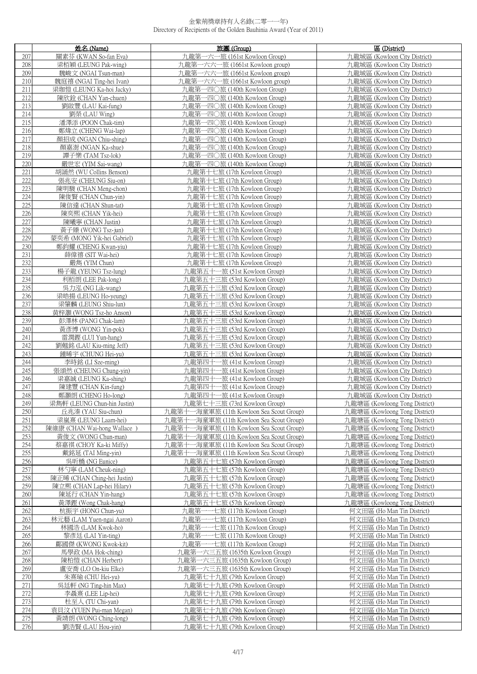|            | 姓名 (Name)                                                | 旅團 (Group)                                                   | 區 (District)                                                   |
|------------|----------------------------------------------------------|--------------------------------------------------------------|----------------------------------------------------------------|
| 207        | 關素芬 (KWAN So-fan Eva)                                    | 九龍第一六一旅 (161st Kowloon Group)                                | 九龍城區 (Kowloon City District)                                   |
| 208        | 梁栢穎 (LEUNG Pak-wing)                                     | 九龍第一六六一旅 (1661st Kowloon group)                              | 九龍城區 (Kowloon City District)                                   |
| 209        | 魏峻文 (NGAI Tsun-man)                                      | 九龍第一六六一旅 (1661st Kowloon group)                              | 九龍城區 (Kowloon City District)                                   |
| 210        | 魏庭禧 (NGAI Ting-hei Ivan)                                 | 九龍第一六六一旅 (1661st Kowloon group)                              | 九龍城區 (Kowloon City District)                                   |
| 211        | 梁珈愷 (LEUNG Ka-hoi Jacky)                                 | 九龍第一四〇旅 (140th Kowloon Group)                                | 九龍城區 (Kowloon City District)                                   |
| 212        | 陳欣鈴 (CHAN Yan-chuen)                                     | 九龍第一四〇旅 (140th Kowloon Group)                                | 九龍城區 (Kowloon City District)                                   |
| 213        | 劉啟豐 (LAU Kai-fung)                                       | 一四〇旅 (140th Kowloon Group)<br>九龍第                            | 九龍城區 (Kowloon City District)                                   |
| 214        | 劉榮 (LAU Wing)                                            | 九龍第一四〇旅 (140th Kowloon Group)                                | 九龍城區 (Kowloon City District)                                   |
| 215        | 潘澤添 (POON Chak-tim)                                      | 九龍第一四〇旅 (140th Kowloon Group)                                | 九龍城區 (Kowloon City District)                                   |
| 216        | 鄭煒立 (CHENG Wai-lap)                                      | 九龍第一四〇旅 (140th Kowloon Group)                                | 九龍城區 (Kowloon City District)                                   |
| 217        | 顏招成 (NGAN Chiu-shing)                                    | 九龍第一四〇旅 (140th Kowloon Group)                                | 九龍城區 (Kowloon City District)                                   |
| 218        | 顏嘉澍 (NGAN Ka-shue)                                       | 九龍第一四〇旅 (140th Kowloon Group)                                | 九龍城區 (Kowloon City District)                                   |
| 219        | 譚子樂 (TAM Tsz-lok)                                        | 九龍第一四〇旅 (140th Kowloon Group)                                | 九龍城區 (Kowloon City District)                                   |
| 220        | 嚴世宏 (YIM Sai-wang)                                       | 九龍第一四〇旅 (140th Kowloon Group)                                | 九龍城區 (Kowloon City District)                                   |
| 221        | 胡誦然 (WU Collins Benson)                                  | 九龍第十七旅 (17th Kowloon Group)                                  | 九龍城區 (Kowloon City District)                                   |
| 222        | 張兆安 (CHEUNG Siu-on)                                      | 九龍第十七旅 (17th Kowloon Group)                                  | 九龍城區 (Kowloon City District)                                   |
| 223        | 陳明駿 (CHAN Meng-chon)                                     | 九龍第十七旅 (17th Kowloon Group)                                  | 九龍城區 (Kowloon City District)                                   |
| 224        | 陳俊賢 (CHAN Chun-yin)                                      | 九龍第十七旅 (17th Kowloon Group)                                  | 九龍城區 (Kowloon City District)                                   |
| 225        | 陳信達 (CHAN Shun-tat)                                      | 九龍第十七旅 (17th Kowloon Group)                                  | 九龍城區 (Kowloon City District)                                   |
| 226        | 陳奕熙 (CHAN Yik-hei)                                       | 九龍第十七旅 (17th Kowloon Group)                                  | 九龍城區 (Kowloon City District)                                   |
| 227        | 陳曦寧 (CHAN Justin)                                        | 九龍第十七旅 (17th Kowloon Group)                                  | 九龍城區 (Kowloon City District)                                   |
| 228        | 黃子臻 (WONG Tsz-jun)                                       | 九龍第十七旅 (17th Kowloon Group)                                  | 九龍城區 (Kowloon City District)                                   |
| 229<br>230 | 蒙奕希 (MONG Yik-hei Gabriel)<br>鄭鈞耀 (CHENG Kwan-yiu)       | 九龍第十七旅 (17th Kowloon Group)<br>九龍第十七旅 (17th Kowloon Group)   | 九龍城區 (Kowloon City District)<br>九龍城區 (Kowloon City District)   |
| 231        | 薛偉禧 (SIT Wai-hei)                                        | 九龍第十七旅 (17th Kowloon Group)                                  | 九龍城區 (Kowloon City District)                                   |
| 232        | 嚴雋 (YIM Chun)                                            | 九龍第十七旅 (17th Kowloon Group)                                  | 九龍城區 (Kowloon City District)                                   |
| 233        | 楊子龍 (YEUNG Tsz-lung)                                     | 九龍第五十一旅 (51st Kowloon Group)                                 | 九龍城區 (Kowloon City District)                                   |
| 234        | 利栢朗 (LEE Pak-long)                                       | 九龍第五十三旅 (53rd Kowloon Group)                                 | 九龍城區 (Kowloon City District)                                   |
| 235        | 吳力泓 (NG Lik-wang)                                        | 九龍第五十三旅 (53rd Kowloon Group)                                 | 九龍城區 (Kowloon City District)                                   |
| 236        | 梁皓揚 (LEUNG Ho-yeung)                                     | 九龍第五十三旅 (53rd Kowloon Group)                                 | 九龍城區 (Kowloon City District)                                   |
| 237        | 梁肇麟 (LEUNG Shiu-lun)                                     | 九龍第五十三旅 (53rd Kowloon Group)                                 | 九龍城區 (Kowloon City District)                                   |
| 238        | 黃梓灝 (WONG Tsz-ho Anson)                                  | 九龍第五十三旅 (53rd Kowloon Group)                                 | 九龍城區 (Kowloon City District)                                   |
| 239        | 彭澤林 (PANG Chak-lam)                                      | 九龍第五十三旅 (53rd Kowloon Group)                                 | 九龍城區 (Kowloon City District)                                   |
| 240        | 黃彥博 (WONG Yin-pok)                                       | 九龍第五十三旅 (53rd Kowloon Group)                                 | 九龍城區 (Kowloon City District)                                   |
| 241        | 雷潤鏗 (LUI Yun-hang)                                       | 九龍第五十三旅 (53rd Kowloon Group)                                 | 九龍城區 (Kowloon City District)                                   |
| 242        | 劉翹銘 (LAU Kiu-ming Jeff)                                  | 九龍第五十三旅 (53rd Kowloon Group)                                 | 九龍城區 (Kowloon City District)                                   |
| 243        | 鍾晞宇 (CHUNG Hei-yu)                                       | 九龍第五十三旅 (53rd Kowloon Group)                                 | 九龍城區 (Kowloon City District)                                   |
| 244        | 李時銘 (LI Sze-ming)                                        | 九龍第四十一旅 (41st Kowloon Group)                                 | 九龍城區 (Kowloon City District)                                   |
| 245        | 張頌然 (CHEUNG Chung-yin)                                   | 九龍第四十一旅 (41st Kowloon Group)                                 | 九龍城區 (Kowloon City District)                                   |
| 246        | 梁嘉誠 (LEUNG Ka-shing)                                     | 九龍第四十一旅 (41st Kowloon Group)                                 | 九龍城區 (Kowloon City District)                                   |
| 247        | 陳建豐 (CHAN Kin-fung)                                      | 九龍第四十一旅 (41st Kowloon Group)                                 | 九龍城區 (Kowloon City District)                                   |
| 248        | 鄭灝朗 (CHENG Ho-long)                                      | 九龍第四十一旅 (41st Kowloon Group)                                 | 九龍城區 (Kowloon City District)                                   |
| 249        | 梁雋軒 (LEUNG Chun-hin Justin)                              | 九龍第七十三旅 (73rd Kowloon Group)                                 | 九龍塘區 (Kowloong Tong District)                                  |
| 250        | 丘兆溱 (YAU Siu-chun)                                       | 九龍第十一海童軍旅 (11th Kowloon Sea Scout Group)                     | 九龍塘區 (Kowloong Tong District)                                  |
| 251        | 梁嵐熹 (LEUNG Laam-hei)                                     | -海童軍旅 (11th Kowloon Sea Scout Group)<br>九龍第十                 | 九龍塘區 (Kowloong Tong District)                                  |
| 252        | 陳維康 (CHAN Wai-hong Wallace)                              | 九龍第十一海童軍旅 (11th Kowloon Sea Scout Group)                     | 九龍塘區 (Kowloong Tong District)                                  |
| 253        | 黃俊文 (WONG Chun-man)                                      | 一海童軍旅 (11th Kowloon Sea Scout Group)<br>九龍第十                 | 九龍塘區 (Kowloong Tong District)                                  |
| 254        | 蔡嘉祺 (CHOY Ka-ki Miffy)                                   | 九龍第十一海童軍旅 (11th Kowloon Sea Scout Group)                     | 九龍塘區 (Kowloong Tong District)                                  |
| 255        | 戴銘延 (TAI Ming-yin)                                       | 九龍第十一海童軍旅 (11th Kowloon Sea Scout Group)                     | 九龍塘區 (Kowloong Tong District)                                  |
| 256<br>257 | 吳昕橋 (NG Eunice)                                          | 九龍第五十七旅 (57th Kowloon Group)<br>九龍第五十七旅 (57th Kowloon Group) | 九龍塘區 (Kowloong Tong District)                                  |
|            | 林勺寧 (LAM Cheuk-ning)                                     |                                                              | 九龍塘區 (Kowloong Tong District)                                  |
| 258<br>259 | 陳正晞 (CHAN Ching-hei Justin)<br>陳立熙 (CHAN Lap-hei Hilary) | 九龍第五十七旅 (57th Kowloon Group)<br>九龍第五十七旅 (57th Kowloon Group) | 九龍塘區 (Kowloong Tong District)<br>九龍塘區 (Kowloong Tong District) |
| 260        | 陳延行 (CHAN Yin-hang)                                      | 九龍第五十七旅 (57th Kowloon Group)                                 | 九龍塘區 (Kowloong Tong District)                                  |
| 261        | 黃澤鏗 (Wong Chak-hang)                                     | 九龍第五十七旅 (57th Kowloon Group)                                 | 九龍塘區 (Kowloong Tong District)                                  |
| 262        | 杭振宇 (HONG Chun-yu)                                       | -七旅 (117th Kowloon Group)<br>九龍第−                            | 何文田區 (Ho Man Tin District)                                     |
| 263        | 林元藝 (LAM Yuen-ngai Aaron)                                | 七旅 (117th Kowloon Group)<br>九龍第                              | 何文田區 (Ho Man Tin District)                                     |
| 264        | 林國浩 (LAM Kwok-ho)                                        | 九龍第一<br>--七旅 (117th Kowloon Group)                           | 何文田區 (Ho Man Tin District)                                     |
| 265        | 黎彥廷 (LAI Yin-ting)                                       | 九龍第一一七旅 (117th Kowloon Group)                                | 何文田區 (Ho Man Tin District)                                     |
| 266        | 鄺國傑 (KWONG Kwok-kit)                                     | ---七旅 (117th Kowloon Group)<br>九龍第一                          | 何文田區 (Ho Man Tin District)                                     |
| 267        | 馬學政 (MA Hok-ching)                                       | 九龍第一六三五旅 (1635th Kowloon Group)                              | 何文田區 (Ho Man Tin District)                                     |
| 268        | 陳柏愷 (CHAN Herbert)                                       | 九龍第一六三五旅 (1635th Kowloon Group)                              | 何文田區 (Ho Man Tin District)                                     |
| 269        | 盧安喬 (LO On-kiu Elke)                                     | 九龍第一六三五旅 (1635th Kowloon Group)                              | 何文田區 (Ho Man Tin District)                                     |
| 270        | 朱熹瑜 (CHU Hei-yu)                                         | 九龍第七十九旅 (79th Kowloon Group)                                 | 何文田區 (Ho Man Tin District)                                     |
| 271        | 吳廷軒 (NG Ting-hin Max)                                    | 九龍第七十九旅 (79th Kowloon Group)                                 | 何文田區 (Ho Man Tin District)                                     |
| 272        | 李聶熹 (LEE Lip-hei)                                        | 九龍第七十九旅 (79th Kowloon Group)                                 | 何文田區 (Ho Man Tin District)                                     |
| 273        | 杜至人 (TU Chi-yan)                                         | 九龍第七十九旅 (79th Kowloon Group)                                 | 何文田區 (Ho Man Tin District)                                     |
| 274        | 袁貝汶 (YUEN Pui-man Megan)                                 | 九龍第七十九旅 (79th Kowloon Group)                                 | 何文田區 (Ho Man Tin District)                                     |
| 275        | 黃靖朗 (WONG Ching-long)                                    | 九龍第七十九旅 (79th Kowloon Group)                                 | 何文田區 (Ho Man Tin District)                                     |
| 276        | 劉浩賢 (LAU Hou-yin)                                        | 九龍第七十九旅 (79th Kowloon Group)                                 | 何文田區 (Ho Man Tin District)                                     |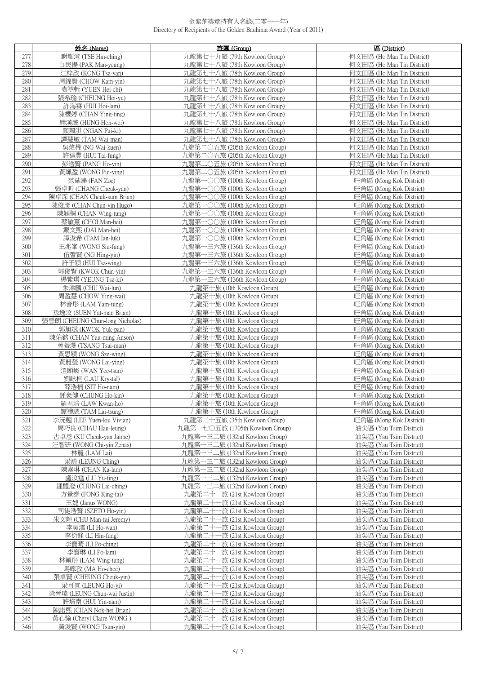|            | 姓名 (Name)                                   | 旅團 (Group)                                               | 區 (District)                                       |
|------------|---------------------------------------------|----------------------------------------------------------|----------------------------------------------------|
| 277        | 謝顯澄 (TSE Hin-ching)                         | 九龍第七十九旅 (79th Kowloon Group)                             | 何文田區 (Ho Man Tin District)                         |
| 278        | 白民揚 (PAK Man-yeung)                         | 九龍第七十八旅 (78th Kowloon Group)                             | 何文田區 (Ho Man Tin District)                         |
| 279        | 江梓欣 (KONG Tsz-yan)                          | 九龍第七十八旅 (78th Kowloon Group)                             | 何文田區 (Ho Man Tin District)                         |
| 280        | 周錦賢 (CHOW Kam-yin)                          | 九龍第七十八旅 (78th Kowloon Group)                             | 何文田區 (Ho Man Tin District)                         |
| 281        | 袁禧輊 (YUEN Hei-chi)                          | 九龍第七十八旅 (78th Kowloon Group)                             | 何文田區 (Ho Man Tin District)                         |
| 282        | 張希瑜 (CHEUNG Hei-yu)                         | 九龍第七十八旅 (78th Kowloon Group)                             | 何文田區 (Ho Man Tin District)                         |
| 283        | 許海霖 (HUI Hoi-lam)                           | 九龍第七十八旅 (78th Kowloon Group)                             | 何文田區 (Ho Man Tin District)                         |
| 284        | 陳櫻婷 (CHAN Ying-ting)                        | 九龍第七十八旅 (78th Kowloon Group)                             | 何文田區 (Ho Man Tin District)                         |
| 285        | 熊漢威 (HUNG Hon-wei)                          | 九龍第七十八旅 (78th Kowloon Group)                             | 何文田區 (Ho Man Tin District)                         |
| 286        | 顏珮淇 (NGAN Pui-ki)                           | 九龍第七十八旅 (78th Kowloon Group)                             | 何文田區 (Ho Man Tin District)                         |
| 287        | 譚慧敏 (TAM Wai-man)                           | 九龍第七十八旅 (78th Kowloon Group)                             | 何文田區 (Ho Man Tin District)                         |
| 288        | 吳煒權 (NG Wai-kuen)                           | 九龍第二〇五旅 (205th Kowloon Group)                            | 何文田區 (Ho Man Tin District)                         |
| 289        | 許達豐 (HUI Tai-fung)                          | 九龍第二〇五旅 (205th Kowloon Group)                            | 何文田區 (Ho Man Tin District)                         |
| 290        | 彭浩賢 (PANG Ho-yin)                           | 九龍第二〇五旅 (205th Kowloon Group)                            | 何文田區 (Ho Man Tin District)                         |
| 291        | 黃姵盈 (WONG Pui-ying)                         | 九龍第二〇五旅 (205th Kowloon Group)                            | 何文田區 (Ho Man Tin District)                         |
| 292        | 范蕬濼 (FAN Zoe)                               | 九龍第一〇〇旅 (100th Kowloon Group)                            | 旺角區 (Mong Kok District)                            |
| 293        | 張卓昕 (CHANG Cheuk-yan)                       | 九龍第一〇〇旅 (100th Kowloon Group)                            | 旺角區 (Mong Kok District)                            |
| 294        | 陳卓深 (CHAN Cheuk-sum Brian)                  | 九龍第一〇〇旅 (100th Kowloon Group)                            | 旺角區 (Mong Kok District)                            |
| 295        | 陳俊彥 (CHAN Chun-yin Hugo)                    | 九龍第一〇〇旅 (100th Kowloon Group)                            | 旺角區 (Mong Kok District)                            |
| 296        | 陳潁桐 (CHAN Wing-tung)                        | 九龍第一〇〇旅 (100th Kowloon Group)                            | 旺角區 (Mong Kok District)                            |
| 297        | 蔡敏熹 (CHOI Man-hei)                          | 九龍第一〇〇旅 (100th Kowloon Group)                            | 旺角區 (Mong Kok District)                            |
| 298        | 戴文熙 (DAI Man-hei)                           | 九龍第一〇〇旅 (100th Kowloon Group)                            | 旺角區 (Mong Kok District)                            |
| 299        | 譚浚希 (TAM Ian-luk)                           | 九龍第一〇〇旅 (100th Kowloon Group)                            | 旺角區 (Mong Kok District)                            |
| 300        | 王兆峯 (WONG Siu-fung)                         | 九龍第一三六旅 (136th Kowloon Group)                            | 旺角區 (Mong Kok District)                            |
| 301        | 伍聲賢 (NG Hing-yin)                           | 九龍第一三六旅 (136th Kowloon Group)                            | 旺角區 (Mong Kok District)                            |
| 302        | 許子穎 (HUI Tsz-wing)                          | 九龍第一三六旅 (136th Kowloon Group)                            | 旺角區 (Mong Kok District)                            |
| 303        | 郭俊賢 (KWOK Chun-yin)                         | 九龍第一三六旅 (136th Kowloon Group)                            | 旺角區 (Mong Kok District)                            |
| 304        | 楊紫琪 (YEUNG Tsz-ki)                          | 九龍第一三六旅 (136th Kowloon Group)                            | 旺角區 (Mong Kok District)                            |
| 305        | 朱湋麟 (CHU Wai-lun)                           | 九龍第十旅 (10th Kowloon Group)                               | 旺角區 (Mong Kok District)                            |
| 306        | 周盈慧 (CHOW Ying-wai)                         | 九龍第十旅 (10th Kowloon Group)                               | 旺角區 (Mong Kok District)                            |
| 307        | 林音彤 (LAM Yam-tung)                          | 九龍第十旅 (10th Kowloon Group)                               | 旺角區 (Mong Kok District)                            |
| 308        | 孫逸汶 (SUEN Yat-man Brian)                    | 九龍第十旅 (10th Kowloon Group)                               | 旺角區 (Mong Kok District)                            |
| 309        | 張晉朗 (CHEUNG Chun-long Nicholas)             | 九龍第十旅 (10th Kowloon Group)                               | 旺角區 (Mong Kok District)                            |
| 310        | 郭旭斌 (KWOK Yuk-pan)                          | 九龍第十旅 (10th Kowloon Group)                               | 旺角區 (Mong Kok District)                            |
| 311<br>312 | 陳佑銘 (CHAN Yau-ming Anson)                   | 九龍第十旅 (10th Kowloon Group)                               | 旺角區 (Mong Kok District)                            |
| 313        | 曾薺漫 (TSANG Tsai-man)<br>黃思穎 (WONG Sze-wing) | 九龍第十旅 (10th Kowloon Group)<br>九龍第十旅 (10th Kowloon Group) | 旺角區 (Mong Kok District)<br>旺角區 (Mong Kok District) |
| 314        | 黃麗瑩 (WONG Lai-ying)                         | 九龍第十旅 (10th Kowloon Group)                               | 旺角區 (Mong Kok District)                            |
| 315        | 溫頤峻 (WAN Yee-tsun)                          | 九龍第十旅 (10th Kowloon Group)                               | 旺角區 (Mong Kok District)                            |
| 316        | 劉詠桐 (LAU Krystal)                           | 九龍第十旅 (10th Kowloon Group)                               | 旺角區 (Mong Kok District)                            |
| 317        | 薛浩楠 (SIT Ho-nam)                            | 九龍第十旅 (10th Kowloon Group)                               | 旺角區 (Mong Kok District)                            |
| 318        | 鍾豪健 (CHUNG Ho-kin)                          | 九龍第十旅 (10th Kowloon Group)                               | 旺角區 (Mong Kok District)                            |
| 319        | 羅君浩 (LAW Kwan-ho)                           | 几龍弟十旅 (10th Kowloon Group)                               | 吐角區 (Mong Kok District)                            |
| 320        | 譚禮驄 (TAM Lai-tsung)                         | 九龍第十旅 (10th Kowloon Group)                               | 旺角區 (Mong Kok District)                            |
| 321        | 李沅翹 (LEE Yuen-kiu Vivian)                   | 九龍第三十五旅 (35th Kowloon Group)                             | 旺角區 (Mong Kok District)                            |
| 322        | 周巧良 (CHAU Hau-leung)                        | 九龍第一七〇五旅 (1705th Kowloon Group)                          | 油尖區 (Yau Tsim District)                            |
| 323        | 古卓恩 (KU Cheuk-yan Jaime)                    | 九龍第一三二旅 (132nd Kowloon Group)                            | 油尖區 (Yau Tsim District)                            |
| 324        | 汪智研 (WONG Chi-yin Zenas)                    | 九龍第一三二旅 (132nd Kowloon Group)                            | 油尖區 (Yau Tsim District)                            |
| 325        | 林麗 (LAM Lai)                                | 九龍第一三二旅 (132nd Kowloon Group)                            | 油尖區 (Yau Tsim District)                            |
| 326        | 梁靖 (LEUNG Ching)                            | 九龍第一三二旅 (132nd Kowloon Group)                            | 油尖區 (Yau Tsim District)                            |
| 327        | 陳嘉琳 (CHAN Ka-lam)                           | 九龍第一三二旅 (132nd Kowloon Group)                            | 油尖區 (Yau Tsim District)                            |
| 328        | 盧汝霆 (LU Yu-ting)                            | 九龍第一三二旅 (132nd Kowloon Group)                            | 油尖區 (Yau Tsim District)                            |
| 329        | 鍾醴澄 (CHUNG Lai-ching)                       | 九龍第一三二旅 (132nd Kowloon Group)                            | 油尖區 (Yau Tsim District)                            |
| 330        | 方景泰 (FONG King-tai)                         | 九龍第二十一旅 (21st Kowloon Group)                             | 油尖區 (Yau Tsim District)                            |
| 331        | 王婕 (Janus WONG)                             | 九龍第二十一旅 (21st Kowloon Group)                             | 油尖區 (Yau Tsim District)                            |
| 332        | 司徒浩賢 (SZETO Ho-yin)                         | 九龍第二十一旅 (21st Kowloon Group)                             | 油尖區 (Yau Tsim District)                            |
| 333        | 朱文輝 (CHU Man-fai Jeremy)                    | 一旅 (21st Kowloon Group)<br>九龍第二十−                        | 油尖區 (Yau Tsim District)                            |
| 334        | 李昊澐 (LI Ho-wan)                             | 一旅 (21st Kowloon Group)<br>九龍第二十                         | 油尖區 (Yau Tsim District)                            |
| 335        | 李衍鋒 (LI Hin-fung)                           | 九龍第二十<br>一旅 (21st Kowloon Group)                         | 油尖區 (Yau Tsim District)                            |
| 336        | 李寶晴 (LI Po-ching)                           | 九龍第二十一旅 (21st Kowloon Group)                             | 油尖區 (Yau Tsim District)                            |
| 337        | 李寶琳 (LI Po-lam)                             | 九龍第二十<br>•旅 (21st Kowloon Group)                         | 油尖區 (Yau Tsim District)                            |
| 338        | 林穎彤 (LAM Wing-tung)                         | 九龍第二十一旅 (21st Kowloon Group)                             | 油尖區 (Yau Tsim District)                            |
| 339        | 馬曝孜 (MA Ho-chee)                            | 九龍第二十−<br>一旅 (21st Kowloon Group)                        | 油尖區 (Yau Tsim District)                            |
| 340        | 張卓賢 (CHEUNG Cheuk-yin)                      | 九龍第二十一旅 (21st Kowloon Group)                             | 油尖區 (Yau Tsim District)                            |
| 341        | 梁可宜 (LEUNG Ho-yi)                           | 九龍第二十<br>-旅 (21st Kowloon Group)                         | 油尖區 (Yau Tsim District)                            |
| 342        | 梁晉瑋 (LEUNG Chun-wai Justin)                 | 九龍第二十<br>-旅 (21st Kowloon Group)                         | 油尖區 (Yau Tsim District)                            |
| 343        | 許焰南 (HUI Yin-nam)                           | -旅 (21st Kowloon Group)<br>九龍第二十                         | 油尖區 (Yau Tsim District)                            |
| 344        | 陳諾熙 (CHAN Nok-hei Brian)                    | 九龍第二十<br>-旅 (21st Kowloon Group)                         | 油尖區 (Yau Tsim District)                            |
| 345        | 黃心愉 (Cheryl Claire WONG)                    | 九龍第二十<br>一旅 (21st Kowloon Group)                         | 油尖區 (Yau Tsim District)                            |
| 346        | 黃浚賢 (WONG Tsun-yin)                         | 九龍第二十一旅 (21st Kowloon Group)                             | 油尖區 (Yau Tsim District)                            |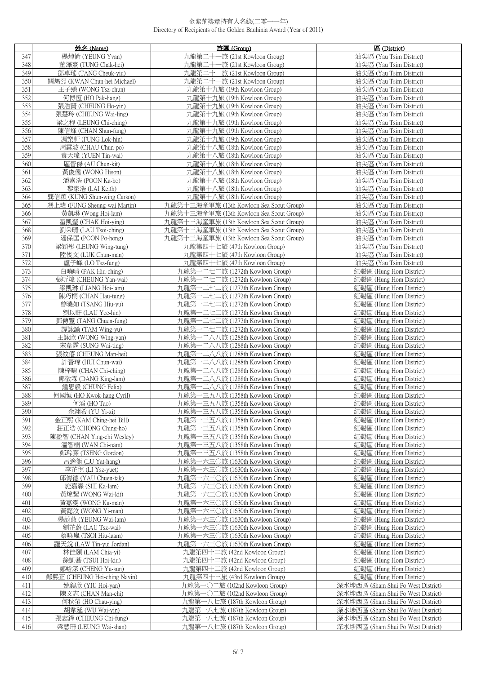|            | 姓名 (Name)                               | 旅團 (Group)                                                           | 區 (District)                                       |
|------------|-----------------------------------------|----------------------------------------------------------------------|----------------------------------------------------|
| 347        | 楊焯愉 (YEUNG Yvan)                        | 九龍第二十一旅 (21st Kowloon Group)                                         | 油尖區 (Yau Tsim District)                            |
| 348        | 董澤熹 (TUNG Chak-hei)                     | 九龍第二十一旅 (21st Kowloon Group)                                         | 油尖區 (Yau Tsim District)                            |
| 349        | 鄧卓瑤 (TANG Cheuk-yiu)                    | 九龍第二十一旅 (21st Kowloon Group)                                         | 油尖區 (Yau Tsim District)                            |
| 350        | 關雋熙 (KWAN Chun-hei Michael)             | 九龍第二十一旅 (21st Kowloon Group)                                         | 油尖區 (Yau Tsim District)                            |
| 351        | 王子臻 (WONG Tsz-chun)                     | 九龍第十九旅 (19th Kowloon Group)                                          | 油尖區 (Yau Tsim District)                            |
| 352        | 何博恆 (HO Pak-hang)                       | 九龍第十九旅 (19th Kowloon Group)                                          | 油尖區 (Yau Tsim District)                            |
| 353        | 張浩賢 (CHEUNG Ho-yin)                     | 九龍第十九旅 (19th Kowloon Group)                                          | 油尖區 (Yau Tsim District)                            |
| 354        | 張慧玲 (CHEUNG Wai-ling)                   | 九龍第十九旅 (19th Kowloon Group)                                          | 油尖區 (Yau Tsim District)                            |
| 355        | 梁之程 (LEUNG Chi-ching)                   | 九龍第十九旅 (19th Kowloon Group)                                          | 油尖區 (Yau Tsim District)                            |
| 356        | 陳信烽 (CHAN Shun-fung)                    | 九龍第十九旅 (19th Kowloon Group)                                          | 油尖區 (Yau Tsim District)                            |
| 357        | 馮樂軒 (FUNG Lok-hin)                      | 九龍第十九旅 (19th Kowloon Group)                                          | 油尖區 (Yau Tsim District)                            |
| 358        | 周震波 (CHAU Chun-po)                      | 九龍第十八旅 (18th Kowloon Group)                                          | 油尖區 (Yau Tsim District)                            |
| 359        | 袁天瑋 (YUEN Tin-wai)                      | 九龍第十八旅 (18th Kowloon Group)                                          | 油尖區 (Yau Tsim District)                            |
| 360        | 區晉傑 (AU Chun-kit)                       | 九龍第十八旅 (18th Kowloon Group)                                          | 油尖區 (Yau Tsim District)                            |
| 361        | 黃俊儒 (WONG Hison)                        | 九龍第十八旅 (18th Kowloon Group)                                          | 油尖區 (Yau Tsim District)                            |
| 362        | 潘嘉浩 (POON Ka-ho)                        | 九龍第十八旅 (18th Kowloon Group)                                          | 油尖區 (Yau Tsim District)                            |
| 363        | 黎家浩 (LAI Keith)                         | 九龍第十八旅 (18th Kowloon Group)                                          | 油尖區 (Yau Tsim District)                            |
| 364        | 龔信穎 (KUNG Shun-wing Carson)             | 九龍第十八旅 (18th Kowloon Group)                                          | 油尖區 (Yau Tsim District)                            |
| 365        | 馮上瑋 (FUNG Sheung-wai Martin)            | 九龍第十三海童軍旅 (13th Kowloon Sea Scout Group)                             | 油尖區 (Yau Tsim District)                            |
| 366        | 黃凱琳 (Wong Hoi-lam)                      | 九龍第十三海童軍旅 (13th Kowloon Sea Scout Group)                             | 油尖區 (Yau Tsim District)                            |
| 367        | 翟凱瑩 (CHAK Hoi-ying)                     | 九龍第十三海童軍旅 (13th Kowloon Sea Scout Group)                             | 油尖區 (Yau Tsim District)                            |
| 368        | 劉采晴 (LAU Tsoi-ching)                    | 九龍第十三海童軍旅 (13th Kowloon Sea Scout Group)                             | 油尖區 (Yau Tsim District)                            |
| 369        | 潘保匡 (POON Po-hong)                      | 九龍第十三海童軍旅 (13th Kowloon Sea Scout Group)                             | 油尖區 (Yau Tsim District)                            |
| 370        | 梁穎彤 (LEUNG Wing-tung)                   | 九龍第四十七旅 (47th Kowloon Group)                                         | 油尖區 (Yau Tsim District)                            |
| 371        | 陸俊文 (LUK Chun-man)                      | 九龍第四十七旅 (47th Kowloon Group)                                         | 油尖區 (Yau Tsim District)                            |
| 372        | 盧子峰 (LO Tsz-fung)                       | 九龍第四十七旅 (47th Kowloon Group)                                         | 油尖區 (Yau Tsim District)                            |
| 373        | 白曉晴 (PAK Hiu-ching)                     | 九龍第一二七二旅 (1272th Kowloon Group)                                      | 紅磡區 (Hung Hom District)                            |
| 374        | 張昕煒 (CHEUNG Yan-wai)                    | 九龍第一二七二旅 (1272th Kowloon Group)                                      | 紅磡區 (Hung Hom District)                            |
| 375        | 梁凱琳 (LIANG Hoi-lam)                     | 九龍第一二七二旅 (1272th Kowloon Group)                                      | 紅磡區 (Hung Hom District)                            |
| 376        | 陳巧桐 (CHAN Hau-tung)                     | ー二七二旅 (1272th Kowloon Group)<br>九龍第                                  | 紅磡區 (Hung Hom District)                            |
| 377        | 曾曉如 (TSANG Hiu-yu)                      | 九龍第一二七二旅 (1272th Kowloon Group)                                      | 紅磡區 (Hung Hom District)                            |
| 378        | 劉以軒 (LAU Yee-hin)                       | 一二七二旅 (1272th Kowloon Group)<br>九龍第                                  | 紅磡區 (Hung Hom District)                            |
| 379        | 鄧傳豐 (TANG Chuen-fung)                   | 九龍第一二七二旅 (1272th Kowloon Group)                                      | 紅磡區 (Hung Hom District)                            |
| 380        | 譚詠諭 (TAM Wing-yu)                       | 九龍第一二七二旅 (1272th Kowloon Group)                                      | 紅磡區 (Hung Hom District)                            |
| 381        | 王詠欣 (WONG Wing-yan)                     | 九龍第一二八八旅 (1288th Kowloon Group)                                      | 紅磡區 (Hung Hom District)                            |
| 382        | 宋韋霆 (SUNG Wai-ting)                     | 九龍第一二八八旅 (1288th Kowloon Group)                                      | 紅磡區 (Hung Hom District)                            |
| 383        | 張紋僖 (CHEUNG Man-hei)                    | 九龍第一二八八旅 (1288th Kowloon Group)                                      | 紅磡區 (Hung Hom District)                            |
| 384        | 許晉瑋 (HUI Chun-wai)                      | 九龍第一二八八旅 (1288th Kowloon Group)                                      | 紅磡區 (Hung Hom District)                            |
| 385        | 陳梓晴 (CHAN Chi-ching)                    | 九龍第一二八八旅 (1288th Kowloon Group)                                      | 紅磡區 (Hung Hom District)                            |
| 386        | 鄧敬霖 (DANG King-lam)                     | 九龍第一二八八旅 (1288th Kowloon Group)                                      | 紅磡區 (Hung Hom District)                            |
| 387        | 鍾思毅 (CHUNG Felix)                       | 九龍第一二八八旅 (1288th Kowloon Group)                                      | 紅磡區 (Hung Hom District)                            |
| 388        | 何國恒 (HO Kwok-hang Cyril)                | 九龍第一三五八旅 (1358th Kowloon Group)                                      | 紅磡區 (Hung Hom District)                            |
| 389        | 何滔 (HO Tao)                             | 九龍第一三五八旅 (1358th Kowloon Group)                                      | 紅磡區 (Hung Hom District)                            |
| 390        | 余翊希 (YU Yi-xi)                          | 九龍第一三五八旅 (1358th Kowloon Group)                                      | 紅磡區 (Hung Hom District)                            |
| 391        | 金正熙 (KAM Ching-hei Bill)                | 九龍第一三五八旅 (1358th Kowloon Group)                                      | 紅磡區 (Hung Hom District)                            |
| 392        | 莊正浩 (CHONG Ching-ho)                    | 九龍第一三五八旅 (1358th Kowloon Group)                                      | 紅磡區 (Hung Hom District)                            |
| 393<br>394 | 陳盈智 (CHAN Ying-chi Wesley)              | 九龍第一三五八旅 (1358th Kowloon Group)                                      | 紅磡區 (Hung Hom District)                            |
| 395        | 溫智楠 (WAN Chi-nam)                       | 一三五八旅 (1358th Kowloon Group)<br>九龍第·<br>一三五八旅 (1358th Kowloon Group) | 紅磡區 (Hung Hom District)                            |
| 396        | 鄭琮熹 (TSENG Gordon)<br>呂逸衡 (LU Yat-hang) | 九龍第<br>九龍第一六三〇旅 (1630th Kowloon Group)                               | 紅磡區 (Hung Hom District)<br>紅磡區 (Hung Hom District) |
| 397        | 李芷悅 (LI Ysz-yuet)                       | 九龍第一六三〇旅 (1630th Kowloon Group)                                      | 紅磡區 (Hung Hom District)                            |
| 398        | 邱傳德 (YAU Chuen-tak)                     | 九龍第一六三〇旅 (1630th Kowloon Group)                                      | 紅磡區 (Hung Hom District)                            |
| 399        | 施嘉霖 (SHI Ka-lam)                        | 九龍第一六三〇旅 (1630th Kowloon Group)                                      | 紅磡區 (Hung Hom District)                            |
| 400        | 黃煒絜 (WONG Wai-kit)                      | 九龍第一六三〇旅 (1630th Kowloon Group)                                      | 紅磡區 (Hung Hom District)                            |
| 401        | 黃嘉雯 (WONG Ka-man)                       | 九龍第一六三〇旅 (1630th Kowloon Group)                                      | 紅磡區 (Hung Hom District)                            |
| 402        | 黃懿汶 (WONG Yi-man)                       | 九龍第一六三〇旅 (1630th Kowloon Group)                                      | 紅磡區 (Hung Hom District)                            |
| 403        | 楊蔚藍 (YEUNG Wai-lam)                     | 九龍第一六三〇旅 (1630th Kowloon Group)                                      | 紅磡區 (Hung Hom District)                            |
| 404        | 劉芷蔚 (LAU Tsz-wai)                       | 九龍第一六三〇旅 (1630th Kowloon Group)                                      | 紅磡區 (Hung Hom District)                            |
| 405        | 蔡曉嵐 (TSOI Hiu-laam)                     | 九龍第一六三〇旅 (1630th Kowloon Group)                                      | 紅磡區 (Hung Hom District)                            |
| 406        | 羅天銳 (LAW Tin-yui Jordan)                | 九龍第一六三〇旅 (1630th Kowloon Group)                                      | 紅磡區 (Hung Hom District)                            |
| 407        | 林佳頤 (LAM Chia-yi)                       | 九龍第四十二旅 (42nd Kowloon Group)                                         | 紅磡區 (Hung Hom District)                            |
| 408        | 徐凱蕎 (TSUI Hoi-kiu)                      | 九龍第四十二旅 (42nd Kowloon Group)                                         | 紅磡區 (Hung Hom District)                            |
| 409        | 鄭峪深 (CHENG Yu-sun)                      | 九龍第四十二旅 (42nd Kowloon Group)                                         | 紅磡區 (Hung Hom District)                            |
| 410        | 鄭熙正 (CHEUNG Hei-ching Navin)            | 九龍第四十三旅 (43rd Kowloon Group)                                         | 紅磡區 (Hung Hom District)                            |
| 411        | 姚鎧欣 (YIU Hoi-yan)                       | 九龍第一〇二旅 (102nd Kowloon Group)                                        | 深水埗西區 (Sham Shui Po West District)                 |
| 412        | 陳文志 (CHAN Man-chi)                      | 九龍第一〇二旅 (102nd Kowloon Group)                                        | 深水埗西區 (Sham Shui Po West District)                 |
| 413        | 何秋螢 (HO Chau-ying)                      | 九龍第一八七旅 (187th Kowloon Group)                                        | 深水埗西區 (Sham Shui Po West District)                 |
| 414        | 胡韋延 (WU Wai-yin)                        | 九龍第一八七旅 (187th Kowloon Group)                                        | 深水埗西區 (Sham Shui Po West District)                 |
| 415        | 張志鋒 (CHEUNG Chi-fung)                   | 九龍第一八七旅 (187th Kowloon Group)                                        | 深水埗西區 (Sham Shui Po West District)                 |
| 416        | 梁慧珊 (LEUNG Wai-shan)                    | 九龍第一八七旅 (187th Kowloon Group)                                        | 深水埗西區 (Sham Shui Po West District)                 |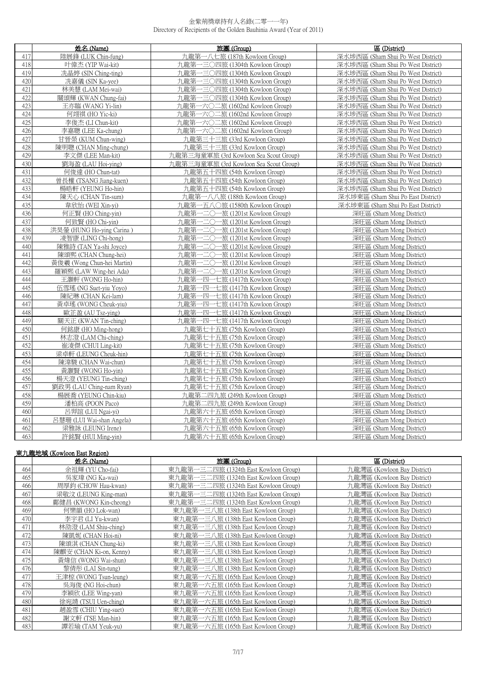|     | 姓名 (Name)                  | 旅團 (Group)                             | 區 (District)                       |
|-----|----------------------------|----------------------------------------|------------------------------------|
| 417 | 陸展鋒 (LUK Chin-fung)        | 九龍第·<br>一八七旅 (187th Kowloon Group)     | 深水埗西區 (Sham Shui Po West District) |
| 418 | 叶偉杰 (YIP Wai-kit)          | 九龍第一三〇四旅 (1304th Kowloon Group)        | 深水埗西區 (Sham Shui Po West District) |
| 419 | 冼晶婷 (SIN Ching-ting)       | 九龍第一三〇四旅 (1304th Kowloon Group)        | 深水埗西區 (Sham Shui Po West District) |
| 420 | 冼嘉儀 (SIN Ka-yee)           | 九龍第一三〇四旅 (1304th Kowloon Group)        | 深水埗西區 (Sham Shui Po West District) |
| 421 | 林美慧 (LAM Mei-wai)          | 九龍第一三〇四旅 (1304th Kowloon Group)        | 深水埗西區 (Sham Shui Po West District) |
| 422 | 關頌輝 (KWAN Chung-fai)       | 九龍第一三〇四旅 (1304th Kowloon Group)        | 深水埗西區 (Sham Shui Po West District) |
| 423 | 王亦臨 (WANG Yi-lin)          | 九龍第一六〇二旅 (1602nd Kowloon Group)        | 深水埗西區 (Sham Shui Po West District) |
| 424 | 何翊祺 (HO Yic-ki)            | 九龍第一六〇二旅 (1602nd Kowloon Group)        | 深水埗西區 (Sham Shui Po West District) |
| 425 | 李俊杰 (LI Chun-kit)          | 九龍第一六〇二旅 (1602nd Kowloon Group)        | 深水埗西區 (Sham Shui Po West District) |
| 426 | 李嘉聰 (LEE Ka-chung)         | 九龍第一六〇二旅 (1602nd Kowloon Group)        | 深水埗西區 (Sham Shui Po West District) |
| 427 | 甘晉榮 (KUM Chun-wing)        | 九龍第三十三旅 (33rd Kowloon Group)           | 深水埗西區 (Sham Shui Po West District) |
| 428 | 陳明聰 (CHAN Ming-chung)      | 九龍第三十三旅 (33rd Kowloon Group)           | 深水埗西區 (Sham Shui Po West District) |
| 429 | 李文傑 (LEE Man-kit)          | 九龍第三海童軍旅 (3rd Kowloon Sea Scout Group) | 深水埗西區 (Sham Shui Po West District) |
| 430 | 劉海盈 (LAU Hoi-ying)         | 九龍第三海童軍旅 (3rd Kowloon Sea Scout Group) | 深水埗西區 (Sham Shui Po West District) |
| 431 | 何俊達 (HO Chun-tat)          | 九龍第五十四旅 (54th Kowloon Group)           | 深水埗西區 (Sham Shui Po West District) |
| 432 | 曾長權 (TSANG Jiang-kuen)     | 九龍第五十四旅 (54th Kowloon Group)           | 深水埗西區 (Sham Shui Po West District) |
| 433 | 楊晧軒 (YEUNG Ho-hin)         | 九龍第五十四旅 (54th Kowloon Group)           | 深水埗西區 (Sham Shui Po West District) |
| 434 | 陳天心 (CHAN Tin-sum)         | 九龍第一八八旅 (188th Kowloon Group)          | 深水埗東區 (Sham Shui Po East District) |
| 435 | 韋欣怡 (WEI Xin-vi)           | 九龍第一五八○旅 (1580th Kowloon Group)        | 深水埗東區 (Sham Shui Po East District) |
| 436 | 何正賢 (HO Ching-yin)         | 九龍第一二〇一旅 (1201st Kowloon Group)        | 深旺區 (Sham Mong District)           |
| 437 | 何致賢 (HO Chi-vin)           | 九龍第一二〇一旅 (1201st Kowloon Group)        | 深旺區 (Sham Mong District)           |
| 438 | 洪昊鎣 (HUNG Ho-ying Carina)  | 九龍第一二〇一旅 (1201st Kowloon Group)        | 深旺區 (Sham Mong District)           |
| 439 | 凌智康 (LING Chi-hong)        | 九龍第一二〇一旅 (1201st Kowloon Group)        | 深旺區 (Sham Mong District)           |
| 440 | 陳雅詩 (TAN Ya-shi Joyce)     | 九龍第一二〇一旅 (1201st Kowloon Group)        | 深旺區 (Sham Mong District)           |
| 441 | 陳頌熙 (CHAN Chung-hei)       | 九龍第·<br>−二○一旅 (1201st Kowloon Group)   | 深旺區 (Sham Mong District)           |
| 442 | 黃俊羲 (Wong Chun-hei Martin) | 九龍第-<br>一二○一旅 (1201st Kowloon Group)   | 深旺區 (Sham Mong District)           |
| 443 | 羅穎熙 (LAW Wing-hei Ada)     | 九龍第一二〇一旅 (1201st Kowloon Group)        | 深旺區 (Sham Mong District)           |
| 444 | 王灝軒 (WONG Ho-hin)          | 九龍第一四一七旅 (1417th Kowloon Group)        | 深旺區 (Sham Mong District)           |
| 445 | 伍雪瑤 (NG Suet-yiu Yoyo)     | 九龍第一四一七旅 (1417th Kowloon Group)        | 深旺區 (Sham Mong District)           |
| 446 | 陳紀琳 (CHAN Kei-lam)         | 九龍第一四一七旅 (1417th Kowloon Group)        | 深旺區 (Sham Mong District)           |
| 447 | 黃卓瑤 (WONG Cheuk-yiu)       | 九龍第一四一七旅 (1417th Kowloon Group)        | 深旺區 (Sham Mong District)           |
| 448 | 歐芷盈 (AU Tsz-ying)          | 九龍第一四一七旅 (1417th Kowloon Group)        | 深旺區 (Sham Mong District)           |
| 449 | 關天正 (KWAN Tin-ching)       | 九龍第一四一七旅 (1417th Kowloon Group)        | 深旺區 (Sham Mong District)           |
| 450 | 何銘康 (HO Ming-hong)         | 九龍第七十五旅 (75th Kowloon Group)           | 深旺區 (Sham Mong District)           |
| 451 | 林志澄 (LAM Chi-ching)        | 九龍第七十五旅 (75th Kowloon Group)           | 深旺區 (Sham Mong District)           |
| 452 | 崔淩傑 (CHUI Ling-kit)        | 九龍第七十五旅 (75th Kowloon Group)           | 深旺區 (Sham Mong District)           |
| 453 | 梁卓軒 (LEUNG Cheuk-hin)      | 九龍第七十五旅 (75th Kowloon Group)           | 深旺區 (Sham Mong District)           |
| 454 | 陳湋駿 (CHAN Wai-chun)        | 九龍第七十五旅 (75th Kowloon Group)           | 深旺區 (Sham Mong District)           |
| 455 | 黃灝賢 (WONG Ho-yin)          | 九龍第七十五旅 (75th Kowloon Group)           | 深旺區 (Sham Mong District)           |
| 456 | 楊天澄 (YEUNG Tin-ching)      | 九龍第七十五旅 (75th Kowloon Group)           | 深旺區 (Sham Mong District)           |
| 457 | 劉政男 (LAU Ching-nam Ryan)   | 九龍第七十五旅 (75th Kowloon Group)           | 深旺區 (Sham Mong District)           |
| 458 | 楊展喬 (YEUNG Chin-kiu)       | 九龍第二四九旅 (249th Kowloon Group)          | 深旺區 (Sham Mong District)           |
| 459 | 潘柏高 (POON Paco)            | 九龍第二四九旅 (249th Kowloon Group)          | 深旺區 (Sham Mong District)           |
| 460 | 呂羿誼 (LUI Ngai-yi)          | 九龍第六十五旅 (65th Kowloon Group)           | 深旺區 (Sham Mong District)           |
| 461 | 呂慧珊 (LUI Wai-shan Angela)  | 九龍第六十五旅 (65th Kowloon Group)           | 深旺區 (Sham Mong District)           |
| 462 | 梁雅詠 (LEUNG Irene)          | 九龍第六十五旅 (65th Kowloon Group)           | 深旺區 (Sham Mong District)           |
| 463 | 許銘賢 (HUI Ming-yin)         | 九龍第六十五旅 (65th Kowloon Group)           | 深旺區 (Sham Mong District)           |

|     | 東九龍地域 (Kowloon East Region) |                                       |                             |  |
|-----|-----------------------------|---------------------------------------|-----------------------------|--|
|     | 姓名 (Name)                   | 旅團 (Group)                            | 區 (District)                |  |
| 464 | 余祖輝 (YU Cho-fai)            | 東九龍第一三二四旅 (1324th East Kowloon Group) | 九龍灣區 (Kowloon Bay District) |  |
| 465 | 吳家瑋 (NG Ka-wai)             | 東九龍第一三二四旅 (1324th East Kowloon Group) | 九龍灣區 (Kowloon Bay District) |  |
| 466 | 周厚鈞 (CHOW Hau-kwan)         | 東九龍第一三二四旅 (1324th East Kowloon Group) | 九龍灣區 (Kowloon Bay District) |  |
| 467 | 梁敬汶 (LEUNG King-man)        | 東九龍第一三二四旅 (1324th East Kowloon Group) | 九龍灣區 (Kowloon Bay District) |  |
| 468 | 鄺健昌 (KWONG Kin-cheong)      | 東九龍第一三二四旅 (1324th East Kowloon Group) | 九龍灣區 (Kowloon Bay District) |  |
| 469 | 何樂韻 (HO Lok-wan)            | 東九龍第一三八旅 (138th East Kowloon Group)   | 九龍灣區 (Kowloon Bay District) |  |
| 470 | 李宇君 (LI Yu-kwan)            | 東九龍第一三八旅 (138th East Kowloon Group)   | 九龍灣區 (Kowloon Bay District) |  |
| 471 | 林劭澄 (LAM Shiu-ching)        | 東九龍第一三八旅 (138th East Kowloon Group)   | 九龍灣區 (Kowloon Bay District) |  |
| 472 | 陳凱妮 (CHAN Hoi-ni)           | 東九龍第一三八旅 (138th East Kowloon Group)   | 九龍灣區 (Kowloon Bay District) |  |
| 473 | 陳頌淇 (CHAN Chung-ki)         | 東九龍第一三八旅 (138th East Kowloon Group)   | 九龍灣區 (Kowloon Bay District) |  |
| 474 | 陳麒安 (CHAN Ki-on, Kenny)     | 東九龍第一三八旅 (138th East Kowloon Group)   | 九龍灣區 (Kowloon Bay District) |  |
| 475 | 黃煒信 (WONG Wai-shun)         | 東九龍第一三八旅 (138th East Kowloon Group)   | 九龍灣區 (Kowloon Bay District) |  |
| 476 | 黎倩彤 (LAI Sin-tung)          | 東九龍第一三八旅 (138th East Kowloon Group)   | 九龍灣區 (Kowloon Bay District) |  |
| 477 | 王津椋 (WONG Tsun-leung)       | 東九龍第一六五旅 (165th East Kowloon Group)   | 九龍灣區 (Kowloon Bay District) |  |
| 478 | 吳海俊 (NG Hoi-chun)           | 東九龍第一六五旅 (165th East Kowloon Group)   | 九龍灣區 (Kowloon Bay District) |  |
| 479 | 李穎欣 (LEE Wing-yan)          | 東九龍第一六五旅 (165th East Kowloon Group)   | 九龍灣區 (Kowloon Bay District) |  |
| 480 | 徐宛靖 (TSUI Uen-ching)        | 東九龍第一六五旅 (165th East Kowloon Group)   | 九龍灣區 (Kowloon Bay District) |  |
| 481 | 趙盈雪 (CHIU Ying-suet)        | 東九龍第一六五旅 (165th East Kowloon Group)   | 九龍灣區 (Kowloon Bay District) |  |
| 482 | 謝文軒 (TSE Man-hin)           | 東九龍第一六五旅 (165th East Kowloon Group)   | 九龍灣區 (Kowloon Bay District) |  |
| 483 | 譚若瑜 (TAM Yeuk-yu)           | 東九龍第一六五旅 (165th East Kowloon Group)   | 九龍灣區 (Kowloon Bay District) |  |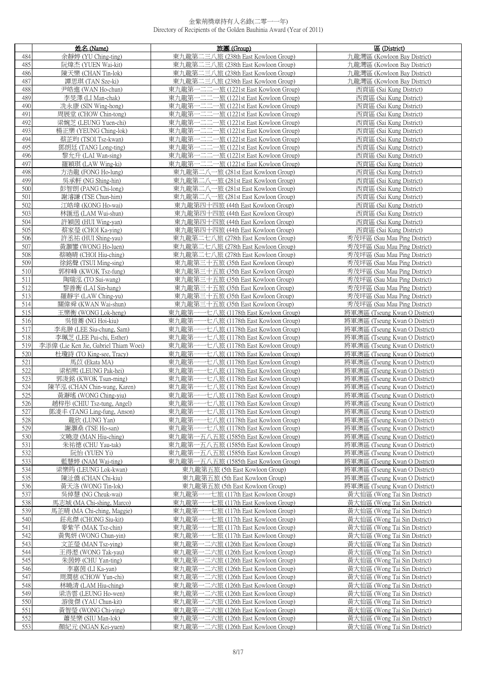|            | 姓名 (Name)                                                          | 旅團 (Group)                                                                             | 區 (District)                                                   |
|------------|--------------------------------------------------------------------|----------------------------------------------------------------------------------------|----------------------------------------------------------------|
| 484        | 余靜婷 (YU Ching-ting)                                                | 東九龍第二三八旅 (238th East Kowloon Group)                                                    | 九龍灣區 (Kowloon Bay District)                                    |
| 485        | 阮煒杰 (YUEN Wai-kit)                                                 | 東九龍第二三八旅 (238th East Kowloon Group)                                                    | 九龍灣區 (Kowloon Bay District)                                    |
| 486        | 陳天樂 (CHAN Tin-lok)                                                 | 東九龍第二三八旅 (238th East Kowloon Group)                                                    | 九龍灣區 (Kowloon Bay District)                                    |
| 487        | 譚思琪 (TAN Sze-ki)                                                   | 東九龍第二三八旅 (238th East Kowloon Group)                                                    | 九龍灣區 (Kowloon Bay District)                                    |
| 488        | 尹皓進 (WAN Ho-chun)                                                  | —二二一旅 (1221st East Kowloon Group)<br>東九龍第-                                             | 西貢區 (Sai Kung District)                                        |
| 489        | 李旻澤 (LI Man-chak)                                                  | 東九龍第一二二一旅 (1221st East Kowloon Group)                                                  | 西貢區 (Sai Kung District)                                        |
| 490        | 冼永康 (SIN Wing-hong)                                                | ー二二一旅 (1221st East Kowloon Group)<br>東九龍第                                              | 西貢區 (Sai Kung District)                                        |
| 491        | 周展堂 (CHOW Chin-tong)                                               | 一旅 (1221st East Kowloon Group)<br>東九龍第                                                 | 西貢區 (Sai Kung District)                                        |
| 492<br>493 | 梁婉芝 (LEUNG Yuen-chi)                                               | -二二---旅 (1221st East Kowloon Group)<br>東九龍第                                            | 西貢區 (Sai Kung District)                                        |
| 494        | 楊正樂 (YEUNG Ching-lok)<br>蔡芷昀 (TSOI Tsz-kwan)                       | -二二一旅 (1221st East Kowloon Group)<br>東九龍第<br>-二二一旅 (1221st East Kowloon Group)<br>東九龍第 | 西貢區 (Sai Kung District)<br>西貢區 (Sai Kung District)             |
| 495        | 鄧朗廷 (TANG Long-ting)                                               | -二二一旅 (1221st East Kowloon Group)<br>東九龍第                                              | 西貢區 (Sai Kung District)                                        |
| 496        | 黎允升 (LAI Wan-sing)                                                 | —二二一旅 (1221st East Kowloon Group)<br>東九龍第-                                             | 西貢區 (Sai Kung District)                                        |
| 497        | 羅穎琪 (LAW Wing-ki)                                                  | ー二二一旅 (1221st East Kowloon Group)<br>東九龍第                                              | 西貢區 (Sai Kung District)                                        |
| 498        | 方浩龍 (FONG Ho-lung)                                                 | 東九龍第二八一旅 (281st East Kowloon Group)                                                    | 西貢區 (Sai Kung District)                                        |
| 499        | 吳承軒 (NG Shing-hin)                                                 | 東九龍第二八一旅 (281st East Kowloon Group)                                                    | 西貢區 (Sai Kung District)                                        |
| 500        | 彭智朗 (PANG Chi-long)                                                | 東九龍第二八一旅 (281st East Kowloon Group)                                                    | 西貢區 (Sai Kung District)                                        |
| 501        | 謝濬謙 (TSE Chun-him)                                                 | 東九龍第二八一旅 (281st East Kowloon Group)                                                    | 西貢區 (Sai Kung District)                                        |
| 502        | 江皓瑋 (KONG Ho-wai)                                                  | 東九龍第四十四旅 (44th East Kowloon Group)                                                     | 西貢區 (Sai Kung District)                                        |
| 503        | 林匯迅 (LAM Wui-shun)                                                 | 東九龍第四十四旅 (44th East Kowloon Group)                                                     | 西貢區 (Sai Kung District)                                        |
| 504        | 許穎茵 (HUI Wing-yan)                                                 | 東九龍第四十四旅 (44th East Kowloon Group)                                                     | 西貢區 (Sai Kung District)                                        |
| 505<br>506 | 蔡家瑩 (CHOI Ka-ying)                                                 | 東九龍第四十四旅 (44th East Kowloon Group)                                                     | 西貢區 (Sai Kung District)                                        |
| 507        | 許丞祐 (HUI Shing-yau)<br>黃灝鑾 (WONG Ho-luen)                          | 東九龍第二七八旅 (278th East Kowloon Group)<br>東九龍第二七八旅 (278th East Kowloon Group)             | 秀茂坪區 (Sau Mau Ping District)<br>秀茂坪區 (Sau Mau Ping District)   |
| 508        | 蔡曉晴 (CHOI Hiu-ching)                                               | 東九龍第二七八旅 (278th East Kowloon Group)                                                    | 秀茂坪區 (Sau Mau Ping District)                                   |
| 509        | 徐銘聲 (TSUI Ming-sing)                                               | 東九龍第三十五旅 (35th East Kowloon Group)                                                     | 秀茂坪區 (Sau Mau Ping District)                                   |
| 510        | 郭梓峰 (KWOK Tsz-fung)                                                | 東九龍第三十五旅 (35th East Kowloon Group)                                                     | 秀茂坪區 (Sau Mau Ping District)                                   |
| 511        | 陶瑞泓 (TO Sui-wang)                                                  | 東九龍第三十五旅 (35th East Kowloon Group)                                                     | 秀茂坪區 (Sau Mau Ping District)                                   |
| 512        | 黎善衡 (LAI Sin-hang)                                                 | 東九龍第三十五旅 (35th East Kowloon Group)                                                     | 秀茂坪區 (Sau Mau Ping District)                                   |
| 513        | 羅靜宇 (LAW Ching-yu)                                                 | 東九龍第三十五旅 (35th East Kowloon Group)                                                     | 秀茂坪區 (Sau Mau Ping District)                                   |
| 514        | 關偉舜 (KWAN Wai-shun)                                                | 東九龍第三十五旅 (35th East Kowloon Group)                                                     | 秀茂坪區 (Sau Mau Ping District)                                   |
| 515        | 王樂衡 (WONG Lok-heng)                                                | 東九龍第一一七八旅 (1178th East Kowloon Group)                                                  | 將軍澳區 (Tseung Kwan O District)                                  |
| 516        | 吳愷蕎 (NG Hoi-kiu)                                                   | 東九龍第<br>一七八旅 (1178th East Kowloon Group)                                               | 將軍澳區 (Tseung Kwan O District)                                  |
| 517        | 李兆翀 (LEE Siu-chung, Sam)                                           | 東九龍第<br>-七八旅 (1178th East Kowloon Group)                                               | 將軍澳區 (Tseung Kwan O District)                                  |
| 518<br>519 | 李珮芝 (LEE Pui-chi, Esther)<br>李添偉 (Lie Ken Jie, Gabriel Thiam Woei) | ·七八旅 (1178th East Kowloon Group)<br>東九龍第<br>東九龍第<br>·七八旅 (1178th East Kowloon Group)   | 將軍澳區 (Tseung Kwan O District)<br>將軍澳區 (Tseung Kwan O District) |
| 520        | 杜瓊詩 (TO King-see, Tracy)                                           | 東九龍第<br>一七八旅 (1178th East Kowloon Group)                                               | 將軍澳區 (Tseung Kwan O District)                                  |
| 521        | 馬苡 (Ekata MA)                                                      | 東九龍第<br>·七八旅 (1178th East Kowloon Group)                                               | 將軍澳區 (Tseung Kwan O District)                                  |
| 522        | 梁栢熙 (LEUNG Pak-hei)                                                | 東九龍第<br>-七八旅 (1178th East Kowloon Group)                                               | 將軍澳區 (Tseung Kwan O District)                                  |
| 523        | 郭浚銘 (KWOK Tsun-ming)                                               | 東九龍第-<br>·七八旅 (1178th East Kowloon Group)                                              | 將軍澳區 (Tseung Kwan O District)                                  |
| 524        | 陳芊泓 (CHAN Chin-wang, Karen)                                        | -七八旅 (1178th East Kowloon Group)<br>東九龍第                                               | 將軍澳區 (Tseung Kwan O District)                                  |
| 525        | 黃瀞瑤 (WONG Ching-viu)                                               | 東九龍第-<br>一一七八旅 (1178th East Kowloon Group)                                             | 將軍澳區 (Tseung Kwan O District)                                  |
| 526        | 趙梓彤 (CHIU Tsz-tung, Angel)                                         | 東九龍第·<br>七八旅 (1178th East Kowloon Group)                                               | 將車澳區 (Tseung Kwan O District)                                  |
| 527        | 鄧淩丰 (TANG Ling-fung, Anson)                                        | ・七八旅 (1178th East Kowloon Group)<br>東九龍第-                                              | 將軍澳區 (Tseung Kwan O District)                                  |
| 528        | 龍欣 (LUNG Yan)                                                      | 七八旅 (1178th East Kowloon Group)<br>東九龍第-                                               | 將軍澳區 (Tseung Kwan O District)                                  |
| 529        | 謝灝燊 (TSE Ho-san)                                                   | 東九龍第-<br>--七八旅 (1178th East Kowloon Group)                                             | 將軍澳區 (Tseung Kwan O District)                                  |
| 530<br>531 | 文曉澄 (MAN Hiu-ching)<br>朱祐德 (CHU Yau-tak)                           | -五八五旅 (1585th East Kowloon Group)<br>東九龍第<br>東九龍第<br>一五八五旅 (1585th East Kowloon Group) | 將軍澳區 (Tseung Kwan O District)<br>將軍澳區 (Tseung Kwan O District) |
| 532        | 阮怡 (YUEN Yi)                                                       | 東九龍第一五八五旅 (1585th East Kowloon Group)                                                  | 將軍澳區 (Tseung Kwan O District)                                  |
| 533        | 藍慧婷 (NAM Wai-ting)                                                 | 東九龍第一五八五旅 (1585th East Kowloon Group)                                                  | 將軍澳區 (Tseung Kwan O District)                                  |
| 534        | 梁樂筠 (LEUNG Lok-kwan)                                               | 東九龍第五旅 (5th East Kowloon Group)                                                        | 將軍澳區 (Tseung Kwan O District)                                  |
| 535        | 陳沚僑 (CHAN Chi-kiu)                                                 | 東九龍第五旅 (5th East Kowloon Group)                                                        | 將軍澳區 (Tseung Kwan O District)                                  |
| 536        | 黃天洛 (WONG Tin-lok)                                                 | 東九龍第五旅 (5th East Kowloon Group)                                                        | 將軍澳區 (Tseung Kwan O District)                                  |
| 537        | 吳倬慧 (NG Cheuk-wai)                                                 | 東九龍第<br>-七旅 (117th East Kowloon Group)                                                 | 黃大仙區 (Wong Tai Sin District)                                   |
| 538        | 馬志城 (MA Chi-shing, Marco)                                          | 東九龍第<br>-七旅 (117th East Kowloon Group)                                                 | 黃大仙區 (Wong Tai Sin District)                                   |
| 539        | 馬芷晴 (MA Chi-ching, Maggie)                                         | 東九龍第-<br>-七旅 (117th East Kowloon Group)                                                | 黃大仙區 (Wong Tai Sin District)                                   |
| 540<br>541 | 莊兆傑 (CHONG Siu-kit)                                                | 東九龍第-<br>-七旅 (117th East Kowloon Group)<br>東九龍第-                                       | 黃大仙區 (Wong Tai Sin District)<br>黃大仙區 (Wong Tai Sin District)   |
| 542        | 麥紫芊 (MAK Tsz-chin)<br>黃隽妍 (WONG Chun-yin)                          | -七旅 (117th East Kowloon Group)<br>東九龍第-<br>-七旅 (117th East Kowloon Group)              | 黃大仙區 (Wong Tai Sin District)                                   |
| 543        | 文芷瑩 (MAN Tsz-ying)                                                 | 二六旅 (126th East Kowloon Group)<br>東九龍第                                                 | 黃大仙區 (Wong Tai Sin District)                                   |
| 544        | 王得滺 (WONG Tak-yau)                                                 | ·二六旅 (126th East Kowloon Group)<br>東九龍第                                                | 黃大仙區 (Wong Tai Sin District)                                   |
| 545        | 朱茵婷 (CHU Yan-ting)                                                 | 東九龍第<br>-二六旅 (126th East Kowloon Group)                                                | 黃大仙區 (Wong Tai Sin District)                                   |
| 546        | 李嘉茵 (LI Ka-yan)                                                    | 東九龍第<br>·二六旅 (126th East Kowloon Group)                                                | 黃大仙區 (Wong Tai Sin District)                                   |
| 547        | 周潤慈 (CHOW Yun-chi)                                                 | -二六旅 (126th East Kowloon Group)<br>東九龍第-                                               | 黃大仙區 (Wong Tai Sin District)                                   |
| 548        | 林曉清 (LAM Hiu-ching)                                                | -二六旅 (126th East Kowloon Group)<br>東九龍第-                                               | 黃大仙區 (Wong Tai Sin District)                                   |
| 549        | 梁浩雲 (LEUNG Ho-wen)                                                 | 東九龍第-<br>-二六旅 (126th East Kowloon Group)                                               | 黃大仙區 (Wong Tai Sin District)                                   |
| 550        | 游俊傑 (YAU Chun-kit)                                                 | - 二六旅 (126th East Kowloon Group)<br>東九龍第-                                              | 黃大仙區 (Wong Tai Sin District)                                   |
| 551        | 黃智瑩 (WONG Chi-ying)                                                | - 二六旅 (126th East Kowloon Group)<br>東九龍第                                               | 黃大仙區 (Wong Tai Sin District)                                   |
| 552<br>553 | 蕭旻樂 (SIU Man-lok)<br>顏紀元 (NGAN Kei-yuen)                           | -二六旅 (126th East Kowloon Group)<br>東九龍第-<br>東九龍第一二六旅 (126th East Kowloon Group)        | 黃大仙區 (Wong Tai Sin District)<br>黃大仙區 (Wong Tai Sin District)   |
|            |                                                                    |                                                                                        |                                                                |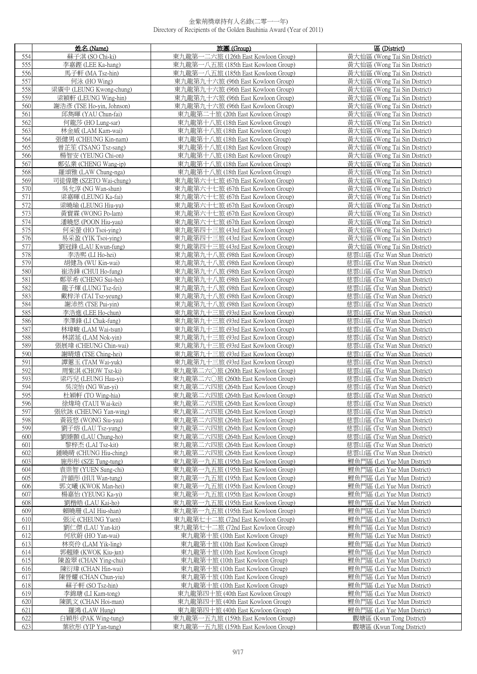|            | 姓名 (Name)                                  | 旅團 (Group)                                                                 | 區 (District)                                                 |
|------------|--------------------------------------------|----------------------------------------------------------------------------|--------------------------------------------------------------|
| 554        | 蘇子淇 (SO Chi-ki)                            | 東九龍第一二六旅 (126th East Kowloon Group)                                        | 黃大仙區 (Wong Tai Sin District)                                 |
| 555        | 李嘉鏗 (LEE Ka-hang)                          | 東九龍第一八五旅 (185th East Kowloon Group)                                        | 黃大仙區 (Wong Tai Sin District)                                 |
| 556        | 馬子軒 (MA Tsz-hin)                           | 東九龍第一八五旅 (185th East Kowloon Group)                                        | 黃大仙區 (Wong Tai Sin District)                                 |
| 557        | 何泳 (HO Wing)                               | 東九龍第九十六旅 (96th East Kowloon Group)                                         | 黃大仙區 (Wong Tai Sin District)                                 |
| 558        | 梁廣中 (LEUNG Kwong-chung)                    | 東九龍第九十六旅 (96th East Kowloon Group)                                         | 黃大仙區 (Wong Tai Sin District)                                 |
| 559        | 梁穎軒 (LEUNG Wing-hin)                       | 東九龍第九十六旅 (96th East Kowloon Group)                                         | 黃大仙區 (Wong Tai Sin District)                                 |
| 560        | 謝浩彥 (TSE Ho-yin, Johnson)                  | 東九龍第九十六旅 (96th East Kowloon Group)                                         | 黃大仙區 (Wong Tai Sin District)                                 |
| 561<br>562 | 邱雋暉 (YAU Chun-fai)<br>何龍莎 (HO Lung-sar)    | 東九龍第二十旅 (20th East Kowloon Group)<br>東九龍第十八旅 (18th East Kowloon Group)     | 黃大仙區 (Wong Tai Sin District)<br>黃大仙區 (Wong Tai Sin District) |
| 563        | 林金威 (LAM Kam-wai)                          | 東九龍第十八旅 (18th East Kowloon Group)                                          | 黃大仙區 (Wong Tai Sin District)                                 |
| 564        | 張健男 (CHEUNG Kin-nam)                       | 東九龍第十八旅 (18th East Kowloon Group)                                          | 黃大仙區 (Wong Tai Sin District)                                 |
| 565        | 曾芷笙 (TSANG Tsz-sang)                       | 東九龍第十八旅 (18th East Kowloon Group)                                          | 黃大仙區 (Wong Tai Sin District)                                 |
| 566        | 楊智安 (YEUNG Chi-on)                         | 東九龍第十八旅 (18th East Kowloon Group)                                          | 黃大仙區 (Wong Tai Sin District)                                 |
| 567        | 鄭弘業 (CHENG Wang-ip)                        | 東九龍第十八旅 (18th East Kowloon Group)                                          | 黃大仙區 (Wong Tai Sin District)                                 |
| 568        | 羅頌雅 (LAW Chung-nga)                        | 東九龍第十八旅 (18th East Kowloon Group)                                          | 黃大仙區 (Wong Tai Sin District)                                 |
| 569        | 司徒偉聰 (SZETO Wai-chung)                     | 東九龍第六十七旅 (67th East Kowloon Group)                                         | 黃大仙區 (Wong Tai Sin District)                                 |
| 570        | 吳允淳 (NG Wan-shun)                          | 東九龍第六十七旅 (67th East Kowloon Group)                                         | 黃大仙區 (Wong Tai Sin District)                                 |
| 571        | 梁嘉暉 (LEUNG Ka-fai)                         | 東九龍第六十七旅 (67th East Kowloon Group)                                         | 黃大仙區 (Wong Tai Sin District)                                 |
| 572        | 梁曉瑜 (LEUNG Hiu-yu)                         | 東九龍第六十七旅 (67th East Kowloon Group)                                         | 黃大仙區 (Wong Tai Sin District)                                 |
| 573        | 黃寳霖 (WONG Po-lam)                          | 東九龍第六十七旅 (67th East Kowloon Group)                                         | 黃大仙區 (Wong Tai Sin District)                                 |
| 574        | 潘曉悠 (POON Hiu-yau)                         | 東九龍第六十七旅 (67th East Kowloon Group)                                         | 黃大仙區 (Wong Tai Sin District)                                 |
| 575        | 何采螢 (HO Tsoi-ving)                         | 東九龍第四十三旅 (43rd East Kowloon Group)                                         | 黃大仙區 (Wong Tai Sin District)                                 |
| 576<br>577 | 易采盈 (YIK Tsoi-ying)<br>劉冠鋒 (LAU Kwun-fung) | 東九龍第四十三旅 (43rd East Kowloon Group)<br>東九龍第四十三旅 (43rd East Kowloon Group)   | 黃大仙區 (Wong Tai Sin District)<br>黃大仙區 (Wong Tai Sin District) |
| 578        | 李浩熙 (LI Ho-hei)                            | 東九龍第九十八旅 (98th East Kowloon Group)                                         | 慈雲山區 (Tsz Wan Shan District)                                 |
| 579        | 胡健為 (WU Kin-wai)                           | 東九龍第九十八旅 (98th East Kowloon Group)                                         | 慈雲山區 (Tsz Wan Shan District)                                 |
| 580        | 崔浩鋒 (CHUI Ho-fung)                         | 東九龍第九十八旅 (98th East Kowloon Group)                                         | 慈雲山區 (Tsz Wan Shan District)                                 |
| 581        | 鄭萃希 (CHENG Sui-hei)                        | 東九龍第九十八旅 (98th East Kowloon Group)                                         | 慈雲山區 (Tsz Wan Shan District)                                 |
| 582        | 龍子煇 (LUNG Tsz-fei)                         | 東九龍第九十八旅 (98th East Kowloon Group)                                         | 慈雲山區 (Tsz Wan Shan District)                                 |
| 583        | 戴梓洋 (TAI Tsz-yeung)                        | 東九龍第九十八旅 (98th East Kowloon Group)                                         | 慈雲山區 (Tsz Wan Shan District)                                 |
| 584        | 謝沛然 (TSE Pui-yin)                          | 東九龍第九十八旅 (98th East Kowloon Group)                                         | 慈雲山區 (Tsz Wan Shan District)                                 |
| 585        | 李浩進 (LEE Ho-chun)                          | 東九龍第九十三旅 (93rd East Kowloon Group)                                         | 慈雲山區 (Tsz Wan Shan District)                                 |
| 586        | 李澤鋒 (LI Chak-fung)                         | 東九龍第九十三旅 (93rd East Kowloon Group)                                         | 慈雲山區 (Tsz Wan Shan District)                                 |
| 587        | 林瑋峻 (LAM Wai-tsun)                         | 東九龍第九十三旅 (93rd East Kowloon Group)                                         | 慈雲山區 (Tsz Wan Shan District)                                 |
| 588        | 林諾延 (LAM Nok-yin)                          | 東九龍第九十三旅 (93rd East Kowloon Group)                                         | 慈雲山區 (Tsz Wan Shan District)                                 |
| 589<br>590 | 張展瑋 (CHEUNG Chin-wai)                      | 東九龍第九十三旅 (93rd East Kowloon Group)                                         | 慈雲山區 (Tsz Wan Shan District)                                 |
| 591        | 謝晴熺 (TSE Ching-hei)<br>譚蕙玉 (TAM Wai-yuk)   | 東九龍第九十三旅 (93rd East Kowloon Group)<br>東九龍第九十三旅 (93rd East Kowloon Group)   | 慈雲山區 (Tsz Wan Shan District)<br>慈雲山區 (Tsz Wan Shan District) |
| 592        | 周紫淇 (CHOW Tsz-ki)                          | 東九龍第二六〇旅 (260th East Kowloon Group)                                        | 慈雲山區 (Tsz Wan Shan District)                                 |
| 593        | 梁巧兒 (LEUNG Hau-yi)                         | 東九龍第二六〇旅 (260th East Kowloon Group)                                        | 慈雲山區 (Tsz Wan Shan District)                                 |
| 594        | 吳浣怡 (NG Wan-yi)                            | 東九龍第二六四旅 (264th East Kowloon Group)                                        | 慈雲山區 (Tsz Wan Shan District)                                 |
| 595        | 杜穎軒 (TO Wing-hia)                          | 東九龍第二六四旅 (264th East Kowloon Group)                                        | 慈雲山區 (Tsz Wan Shan District)                                 |
| 596        | 徐煒埼 (TAUI Wai-kei)                         | <u>東九龍第二六四旅 (264th East Kowloon Group)</u>                                 | 慈雲山區 (Tsz Wan Shan District)                                 |
| 597        | 張欣詠 (CHEUNG Yan-wing)                      | 東九龍第二六四旅 (264th East Kowloon Group)                                        | 慈雲山區 (Tsz Wan Shan District)                                 |
| 598        | 黃筱悠 (WONG Siu-yau)                         | 東九龍第二六四旅 (264th East Kowloon Group)                                        | 慈雲山區 (Tsz Wan Shan District)                                 |
| 599        | 劉子瑢 (LAU Tsz-yung)                         | 東九龍第二六四旅 (264th East Kowloon Group)                                        | 慈雲山區 (Tsz Wan Shan District)                                 |
| 600        | 劉臻顥 (LAU Chung-ho)                         | 東九龍第二六四旅 (264th East Kowloon Group)                                        | 慈雲山區 (Tsz Wan Shan District)                                 |
| 601        | 黎梓杰 (LAI Tsz-kit)                          | 東九龍第二六四旅 (264th East Kowloon Group)                                        | 慈雲山區 (Tsz Wan Shan District)                                 |
| 602        | 鍾曉晴 (CHUNG Hiu-ching)                      | 東九龍第二六四旅 (264th East Kowloon Group)                                        | 慈雲山區 (Tsz Wan Shan District)                                 |
| 603<br>604 | 施彤彤 (SZE Tung-tung)<br>袁崇智 (YUEN Sung-chi) | 東九龍第一九五旅 (195th East Kowloon Group)<br>東九龍第一九五旅 (195th East Kowloon Group) | 鯉魚門區 (Lei Yue Mun District)<br>鯉魚門區 (Lei Yue Mun District)   |
| 605        | 許韻彤 (HUI Wan-tung)                         | 東九龍第一九五旅 (195th East Kowloon Group)                                        | 鯉魚門區 (Lei Yue Mun District)                                  |
| 606        | 郭文曦 (KWOK Man-hei)                         | 東九龍第一九五旅 (195th East Kowloon Group)                                        | 鯉魚門區 (Lei Yue Mun District)                                  |
| 607        | 楊嘉怡 (YEUNG Ka-yi)                          | 東九龍第一九五旅 (195th East Kowloon Group)                                        | 鯉魚門區 (Lei Yue Mun District)                                  |
| 608        | 劉楷皓 (LAU Kai-ho)                           | 東九龍第一九五旅 (195th East Kowloon Group)                                        | 鯉魚門區 (Lei Yue Mun District)                                  |
| 609        | 賴曉珊 (LAI Hiu-shan)                         | 東九龍第一九五旅 (195th East Kowloon Group)                                        | 鯉魚門區 (Lei Yue Mun District)                                  |
| 610        | 張沅 (CHEUNG Yuen)                           | 東九龍第七十二旅 (72nd East Kowloon Group)                                         | 鯉魚門區 (Lei Yue Mun District)                                  |
| 611        | 劉仁傑 (LAU Yan-kit)                          | 東九龍第七十二旅 (72nd East Kowloon Group)                                         | 鯉魚門區 (Lei Yue Mun District)                                  |
| 612        | 何欣蔚 (HO Yan-wai)                           | 東九龍第十旅 (10th East Kowloon Group)                                           | 鯉魚門區 (Lei Yue Mun District)                                  |
| 613        | 林奕伶 (LAM Yik-ling)                         | 東九龍第十旅 (10th East Kowloon Group)                                           | 鯉魚門區 (Lei Yue Mun District)                                  |
| 614        | 郭翹臻 (KWOK Kiu-jun)                         | 東九龍第十旅 (10th East Kowloon Group)                                           | 鯉魚門區 (Lei Yue Mun District)                                  |
| 615        | 陳盈翠 (CHAN Ying-chui)                       | 東九龍第十旅 (10th East Kowloon Group)                                           | 鯉魚門區 (Lei Yue Mun District)                                  |
| 616        | 陳衍瑋 (CHAN Hin-wai)                         | 東九龍第十旅 (10th East Kowloon Group)                                           | 鯉魚門區 (Lei Yue Mun District)                                  |
| 617<br>618 | 陳晉耀 (CHAN Chun-yiu)<br>蘇子軒 (SO Tsz-hin)    | 東九龍第十旅 (10th East Kowloon Group)<br>東九龍第十旅 (10th East Kowloon Group)       | 鯉魚門區 (Lei Yue Mun District)<br>鯉魚門區 (Lei Yue Mun District)   |
| 619        | 李錦瑭 (LI Kam-tong)                          | 東九龍第四十旅 (40th East Kowloon Group)                                          | 鯉魚門區 (Lei Yue Mun District)                                  |
| 620        | 陳凱文 (CHAN Hoi-man)                         | 東九龍第四十旅 (40th East Kowloon Group)                                          | 鯉魚門區 (Lei Yue Mun District)                                  |
| 621        | 羅鴻 (LAW Hung)                              | 東九龍第四十旅 (40th East Kowloon Group)                                          | 鯉魚門區 (Lei Yue Mun District)                                  |
| 622        | 白穎彤 (PAK Wing-tung)                        | 東九龍第一五九旅 (159th East Kowloon Group)                                        | 觀塘區 (Kwun Tong District)                                     |
| 623        | 葉欣彤 (YIP Yan-tung)                         | 東九龍第一五九旅 (159th East Kowloon Group)                                        | 觀塘區 (Kwun Tong District)                                     |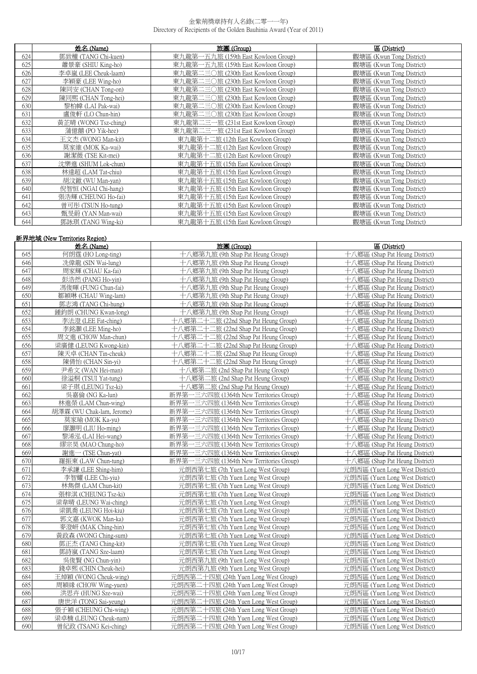|     | 姓名 (Name)            | 旅團 (Group)                          | 區 (District)             |
|-----|----------------------|-------------------------------------|--------------------------|
| 624 | 鄧致權 (TANG Chi-kuen)  | 東九龍第一五九旅 (159th East Kowloon Group) | 觀塘區 (Kwun Tong District) |
| 625 | 蕭景豪 (SHIU King-ho)   | 東九龍第一五九旅 (159th East Kowloon Group) | 觀塘區 (Kwun Tong District) |
| 626 | 李卓嵐 (LEE Cheuk-laam) | 東九龍第二三〇旅 (230th East Kowloon Group) | 觀塘區 (Kwun Tong District) |
| 627 | 李穎豪 (LEE Wing-ho)    | 東九龍第二三〇旅 (230th East Kowloon Group) | 觀塘區 (Kwun Tong District) |
| 628 | 陳同安 (CHAN Tong-on)   | 東九龍第二三〇旅 (230th East Kowloon Group) | 觀塘區 (Kwun Tong District) |
| 629 | 陳同熙 (CHAN Tong-hei)  | 東九龍第二三〇旅 (230th East Kowloon Group) | 觀塘區 (Kwun Tong District) |
| 630 | 黎柏幃 (LAI Pak-wai)    | 東九龍第二三〇旅 (230th East Kowloon Group) | 觀塘區 (Kwun Tong District) |
| 631 | 盧俊軒 (LO Chun-hin)    | 東九龍第二三〇旅 (230th East Kowloon Group) | 觀塘區 (Kwun Tong District) |
| 632 | 黃芷晴 (WONG Tsz-ching) | 東九龍第二三一旅 (231st East Kowloon Group) | 觀塘區 (Kwun Tong District) |
| 633 | 蒲億囍 (PO Yik-hee)     | 東九龍第二三一旅 (231st East Kowloon Group) | 觀塘區 (Kwun Tong District) |
| 634 | 王文杰 (WONG Man-kit)   | 東九龍第十二旅 (12th East Kowloon Group)   | 觀塘區 (Kwun Tong District) |
| 635 | 莫家維 (MOK Ka-wai)     | 東九龍第十二旅 (12th East Kowloon Group)   | 觀塘區 (Kwun Tong District) |
| 636 | 謝潔薇 (TSE Kit-mei)    | 東九龍第十二旅 (12th East Kowloon Group)   | 觀塘區 (Kwun Tong District) |
| 637 | 沈樂進 (SHUM Lok-chun)  | 東九龍第十五旅 (15th East Kowloon Group)   | 觀塘區 (Kwun Tong District) |
| 638 | 林達超 (LAM Tat-chiu)   | 東九龍第十五旅 (15th East Kowloon Group)   | 觀塘區 (Kwun Tong District) |
| 639 | 胡汶鍁 (WU Man-yan)     | 東九龍第十五旅 (15th East Kowloon Group)   | 觀塘區 (Kwun Tong District) |
| 640 | 倪智恒 (NGAI Chi-hang)  | 東九龍第十五旅 (15th East Kowloon Group)   | 觀塘區 (Kwun Tong District) |
| 641 | 張浩輝 (CHEUNG Ho-fai)  | 東九龍第十五旅 (15th East Kowloon Group)   | 觀塘區 (Kwun Tong District) |
| 642 | 曾可彤 (TSUN Ho-tung)   | 東九龍第十五旅 (15th East Kowloon Group)   | 觀塘區 (Kwun Tong District) |
| 643 | 甄旻蔚 (YAN Man-wai)    | 東九龍第十五旅 (15th East Kowloon Group)   | 觀塘區 (Kwun Tong District) |
| 644 | 鄧詠琪 (TANG Wing-ki)   | 東九龍第十五旅 (15th East Kowloon Group)   | 觀塘區 (Kwun Tong District) |

| 新界地域 (New Territories Region) |                           |                                         |                                |
|-------------------------------|---------------------------|-----------------------------------------|--------------------------------|
|                               | 姓名 (Name)                 | 旅團(Group)                               | 區 (District)                   |
| 645                           | 何朗霆 (HO Long-ting)        | 十八鄉第九旅 (9th Shap Pat Heung Group)       | 十八鄉區 (Shap Pat Heung District) |
| 646                           | 冼偉龍 (SIN Wai-lung)        | 十八鄉第九旅 (9th Shap Pat Heung Group)       | 十八鄉區 (Shap Pat Heung District) |
| 647                           | 周家輝 (CHAU Ka-fai)         | 十八鄉第九旅 (9th Shap Pat Heung Group)       | 十八鄉區 (Shap Pat Heung District) |
| 648                           | 彭浩然 (PANG Ho-yin)         | 十八鄉第九旅 (9th Shap Pat Heung Group)       | 十八鄉區 (Shap Pat Heung District) |
| 649                           | 馮俊暉 (FUNG Chun-fai)       | 十八鄉第九旅 (9th Shap Pat Heung Group)       | 十八鄉區 (Shap Pat Heung District) |
| 650                           | 鄒穎琳 (CHAU Wing-lam)       | 十八鄉第九旅 (9th Shap Pat Heung Group)       | 十八鄉區 (Shap Pat Heung District) |
| 651                           | 鄧志鴻 (TANG Chi-hung)       | 十八鄉第九旅 (9th Shap Pat Heung Group)       | 十八鄉區 (Shap Pat Heung District) |
| 652                           | 鍾鈞朗 (CHUNG Kwan-long)     | 十八鄉第九旅 (9th Shap Pat Heung Group)       | 十八鄉區 (Shap Pat Heung District) |
| 653                           | 李法澄 (LEE Fat-ching)       | 十八鄉第二十二旅 (22nd Shap Pat Heung Group)    | 十八鄉區 (Shap Pat Heung District) |
| 654                           | 李銘灝 (LEE Ming-ho)         | 十八鄉第二十二旅 (22nd Shap Pat Heung Group)    | 十八鄉區 (Shap Pat Heung District) |
| 655                           | 周文進 (CHOW Man-chun)       | 十八鄉第二十二旅 (22nd Shap Pat Heung Group)    | 十八鄉區 (Shap Pat Heung District) |
| 656                           | 梁廣健 (LEUNG Kwong-kin)     | 十八鄉第二十二旅 (22nd Shap Pat Heung Group)    | 十八鄉區 (Shap Pat Heung District) |
| 657                           | 陳天卓 (CHAN Tin-cheuk)      | 十八鄉第二十二旅 (22nd Shap Pat Heung Group)    | 十八鄉區 (Shap Pat Heung District) |
| 658                           | 陳倩怡 (CHAN Sin-vi)         | 十八鄉第二十二旅 (22nd Shap Pat Heung Group)    | 十八鄉區 (Shap Pat Heung District) |
| 659                           | 尹希文 (WAN Hei-man)         | 十八鄉第二旅 (2nd Shap Pat Heung Group)       | 十八鄉區 (Shap Pat Heung District) |
| 660                           | 徐溢桐 (TSUI Yat-tung)       | 十八鄉第二旅 (2nd Shap Pat Heung Group)       | 十八鄉區 (Shap Pat Heung District) |
| 661                           | 梁子琪 (LEUNG Tsz-ki)        | 十八鄉第二旅 (2nd Shap Pat Heung Group)       | 十八鄉區 (Shap Pat Heung District) |
| 662                           | 吳嘉倫 (NG Ka-lun)           | 新界第一三六四旅 (1364th New Territories Group) | 十八鄉區 (Shap Pat Heung District) |
| 663                           | 林進榮 (LAM Chun-wing)       | 新界第一三六四旅 (1364th New Territories Group) | 十八鄉區 (Shap Pat Heung District) |
| 664                           | 胡澤霖 (WU Chak-lam, Jerome) | 新界第一三六四旅 (1364th New Territories Group) | 十八鄉區 (Shap Pat Heung District) |
| 665                           | 莫家瑜 (MOK Ka-yu)           | 新界第一三六四旅 (1364th New Territories Group) | 十八鄉區 (Shap Pat Heung District) |
| 666                           | 廖灝明 (LIU Ho-ming)         | 新界第一三六四旅 (1364th New Territories Group) | 十八鄉區 (Shap Pat Heung District) |
| 667                           | 黎浠泓 (LAI Hei-wang)        | 新界第一三六四旅 (1364th New Territories Group) | 十八鄉區 (Shap Pat Heung District) |
| 668                           | 缪宗昊 (MAO Chung-ho)        | 新界第一三六四旅 (1364th New Territories Group) | 十八鄉區 (Shap Pat Heung District) |
| 669                           | 謝進一 (TSE Chun-yat)        | 新界第一三六四旅 (1364th New Territories Group) | 十八鄉區 (Shap Pat Heung District) |
| 670                           | 羅振東 (LAW Chun-tung)       | 新界第一三六四旅 (1364th New Territories Group) | 十八鄉區 (Shap Pat Heung District) |
| 671                           | 李承謙 (LEE Shing-him)       | 元朗西第七旅 (7th Yuen Long West Group)       | 元朗西區 (Yuen Long West District) |
| 672                           | 李智耀 (LEE Chi-yiu)         | 元朗西第七旅 (7th Yuen Long West Group)       | 元朗西區 (Yuen Long West District) |
| 673                           | 林雋傑 (LAM Chun-kit)        | 元朗西第七旅 (7th Yuen Long West Group)       | 元朗西區 (Yuen Long West District) |
| 674                           | 張梓淇 (CHEUNG Tsz-ki)       | 元朗西第七旅 (7th Yuen Long West Group)       | 元朗西區 (Yuen Long West District) |
| 675                           | 梁韋晴 (LEUNG Wai-ching)     | 元朗西第七旅 (7th Yuen Long West Group)       | 元朗西區 (Yuen Long West District) |
| 676                           | 梁凱喬 (LEUNG Hoi-kiu)       | 元朗西第七旅 (7th Yuen Long West Group)       | 元朗西區 (Yuen Long West District) |
| 677                           | 郭文嘉 (KWOK Man-ka)         | 元朗西第七旅 (7th Yuen Long West Group)       | 元朗西區 (Yuen Long West District) |
| 678                           | 麥澄岍 (MAK Ching-hin)       | 元朗西第七旅 (7th Yuen Long West Group)       | 元朗西區 (Yuen Long West District) |
| 679                           | 黃政森 (WONG Ching-sum)      | 元朗西第七旅 (7th Yuen Long West Group)       | 元朗西區 (Yuen Long West District) |
| 680                           | 鄧正杰 (TANG Ching-kit)      | 元朗西第七旅 (7th Yuen Long West Group)       | 元朗西區 (Yuen Long West District) |
| 681                           | 鄧詩嵐 (TANG Sze-laam)       | 元朗西第七旅 (7th Yuen Long West Group)       | 元朗西區 (Yuen Long West District) |
| 682                           | 吳俊賢 (NG Chun-vin)         | 元朗西第九旅 (9th Yuen Long West Group)       | 元朗西區 (Yuen Long West District) |
| 683                           | 錢卓熙 (CHIN Cheuk-hei)      | 元朗西第九旅 (9th Yuen Long West Group)       | 元朗西區 (Yuen Long West District) |
| 684                           | 王焯穎 (WONG Cheuk-wing)     | 元朗西第二十四旅 (24th Yuen Long West Group)    | 元朗西區 (Yuen Long West District) |
| 685                           | 周穎緣 (CHOW Wing-yuen)      | 元朗西第二十四旅 (24th Yuen Long West Group)    | 元朗西區 (Yuen Long West District) |
| 686                           | 洪思卉 (HUNG Sze-wai)        | 元朗西第二十四旅 (24th Yuen Long West Group)    | 元朗西區 (Yuen Long West District) |
| 687                           | 唐世洋 (TONG Sai-yeung)      | 元朗西第二十四旅 (24th Yuen Long West Group)    | 元朗西區 (Yuen Long West District) |
| 688                           | 張子穎 (CHEUNG Chi-wing)     | 元朗西第二十四旅 (24th Yuen Long West Group)    | 元朗西區 (Yuen Long West District) |
| 689                           | 梁卓楠 (LEUNG Cheuk-nam)     | 元朗西第二十四旅 (24th Yuen Long West Group)    | 元朗西區 (Yuen Long West District) |
| 690                           | 曾紀政 (TSANG Kei-ching)     | 元朗西第二十四旅 (24th Yuen Long West Group)    | 元朗西區 (Yuen Long West District) |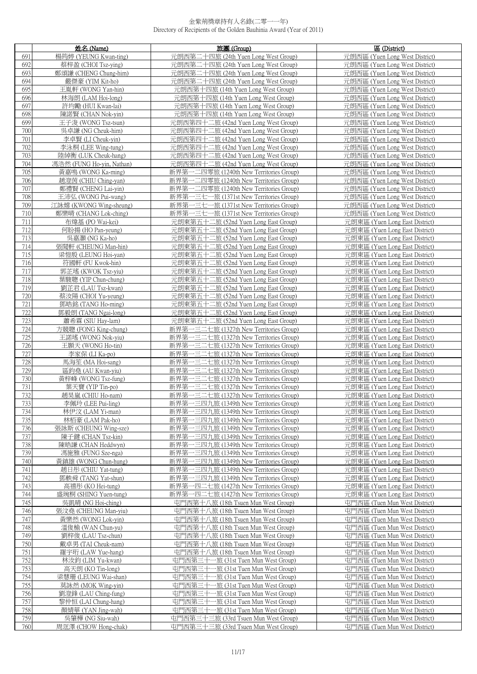|            | 姓名 (Name)                                   | 旅團(Group)                                                                          | 區 (District)                                                     |
|------------|---------------------------------------------|------------------------------------------------------------------------------------|------------------------------------------------------------------|
| 691        | 楊筠婷 (YEUNG Kwan-ting)                       | 元朗西第二十四旅 (24th Yuen Long West Group)                                               | 元朗西區 (Yuen Long West District)                                   |
| 692        | 蔡梓盈 (CHOI Tsz-ying)                         | 元朗西第二十四旅 (24th Yuen Long West Group)                                               | 元朗西區 (Yuen Long West District)                                   |
| 693        | 鄭頌謙 (CHENG Chung-him)                       | 元朗西第二十四旅 (24th Yuen Long West Group)                                               | 元朗西區 (Yuen Long West District)                                   |
| 694        | 嚴傑豪 (YIM Kit-ho)                            | 元朗西第二十四旅 (24th Yuen Long West Group)                                               | 元朗西區 (Yuen Long West District)                                   |
| 695        | 王胤軒 (WONG Yan-hin)                          | 元朗西第十四旅 (14th Yuen Long West Group)                                                | 元朗西區 (Yuen Long West District)                                   |
| 696        | 林海朗 (LAM Hoi-long)                          | 元朗西第十四旅 (14th Yuen Long West Group)                                                | 元朗西區 (Yuen Long West District)                                   |
| 697        | 許均勵 (HUI Kwan-lai)                          | 元朗西第十四旅 (14th Yuen Long West Group)                                                | 元朗西區 (Yuen Long West District)                                   |
| 698        | 陳諾賢 (CHAN Nok-yin)                          | 元朗西第十四旅 (14th Yuen Long West Group)                                                | 元朗西區 (Yuen Long West District)                                   |
| 699        | 王子浚 (WONG Tsz-tsun)                         | 元朗西第四十二旅 (42nd Yuen Long West Group)                                               | 元朗西區 (Yuen Long West District)                                   |
| 700        | 吳卓謙 (NG Cheuk-him)                          | 元朗西第四十二旅 (42nd Yuen Long West Group)                                               | 元朗西區 (Yuen Long West District)                                   |
| 701        | 李卓賢 (LI Cheuk-yin)                          | 元朗西第四十二旅 (42nd Yuen Long West Group)                                               | 元朗西區 (Yuen Long West District)                                   |
| 702        | 李泳桐 (LEE Wing-tung)                         | 元朗西第四十二旅 (42nd Yuen Long West Group)                                               | 元朗西區 (Yuen Long West District)                                   |
| 703        | 陸綽衡 (LUK Cheuk-hang)                        | 元朗西第四十二旅 (42nd Yuen Long West Group)                                               | 元朗西區 (Yuen Long West District)                                   |
| 704        | 馮浩然 (FUNG Ho-yin, Nathan)                   | 元朗西第四十二旅 (42nd Yuen Long West Group)                                               | 元朗西區 (Yuen Long West District)                                   |
| 705        | 黃嘉鳴 (WONG Ka-ming)                          | 新界第一二四零旅 (1240th New Territories Group)                                            | 元朗西區 (Yuen Long West District)                                   |
| 706        | 趙澄茵 (CHIU Ching-yan)                        | 新界第一二四零旅 (1240th New Territories Group)                                            | 元朗西區 (Yuen Long West District)                                   |
| 707        | 鄭禮賢 (CHENG Lai-vin)                         | 新界第一二四零旅 (1240th New Territories Group)                                            | 元朗西區 (Yuen Long West District)                                   |
| 708        | 王沛弘 (WONG Pui-wang)                         | 新界第一三七一旅 (1371st New Territories Group)                                            | 元朗西區 (Yuen Long West District)                                   |
| 709        | 江詠嫦 (KWONG Wing-sheung)                     | 新界第一三七一旅 (1371st New Territories Group)                                            | 元朗西區 (Yuen Long West District)                                   |
| 710<br>711 | 鄭樂晴 (CHANG Lok-ching)                       | 新界第一三七一旅 (1371st New Territories Group)                                            | 元朗西區 (Yuen Long West District)                                   |
| 712        | 布煒基 (PO Wai-kei)<br>何盼揚 (HO Pan-yeung)      | 元朗東第五十二旅 (52nd Yuen Long East Group)<br>元朗東第五十二旅 (52nd Yuen Long East Group)       | 元朗東區 (Yuen Long East District)<br>元朗東區 (Yuen Long East District) |
| 713        | 吳嘉灝 (NG Ka-ho)                              | 元朗東第五十二旅 (52nd Yuen Long East Group)                                               | 元朗東區 (Yuen Long East District)                                   |
| 714        | 張聞軒 (CHEUNG Man-hin)                        | 元朗東第五十二旅 (52nd Yuen Long East Group)                                               | 元朗東區 (Yuen Long East District)                                   |
| 715        | 梁愷殷 (LEUNG Hoi-yan)                         | 元朗東第五十二旅 (52nd Yuen Long East Group)                                               | 元朗東區 (Yuen Long East District)                                   |
| 716        | 符國軒 (FU Kwok-hin)                           | 元朗東第五十二旅 (52nd Yuen Long East Group)                                               | 元朗東區 (Yuen Long East District)                                   |
| 717        | 郭芷瑤 (KWOK Tsz-yiu)                          | 元朗東第五十二旅 (52nd Yuen Long East Group)                                               | 元朗東區 (Yuen Long East District)                                   |
| 718        | 葉駿聰 (YIP Chun-chung)                        | 元朗東第五十二旅 (52nd Yuen Long East Group)                                               | 元朗東區 (Yuen Long East District)                                   |
| 719        | 劉芷君 (LAU Tsz-kwan)                          | 元朗東第五十二旅 (52nd Yuen Long East Group)                                               | 元朗東區 (Yuen Long East District)                                   |
| 720        | 蔡汝陽 (CHOI Yu-yeung)                         | 元朗東第五十二旅 (52nd Yuen Long East Group)                                               | 元朗東區 (Yuen Long East District)                                   |
| 721        | 鄧皓銘 (TANG Ho-ming)                          | 元朗東第五十二旅 (52nd Yuen Long East Group)                                               | 元朗東區 (Yuen Long East District)                                   |
| 722        | 鄧毅朗 (TANG Ngai-long)                        | 元朗東第五十二旅 (52nd Yuen Long East Group)                                               | 元朗東區 (Yuen Long East District)                                   |
| 723        | 蕭希霖 (SIU Hay-lam)                           | 元朗東第五十二旅 (52nd Yuen Long East Group)                                               | 元朗東區 (Yuen Long East District)                                   |
| 724        | 方競聰 (FONG King-chung)                       | 新界第一三二七旅 (1327th New Territories Group)                                            | 元朗東區 (Yuen Long East District)                                   |
| 725        | 王諾瑤 (WONG Nok-yiu)                          | 新界第一三二七旅 (1327th New Territories Group)                                            | 元朗東區 (Yuen Long East District)                                   |
| 726        | 王顥天 (WONG Ho-tin)<br>李家保 (LI Ka-po)         | 一三二七旅 (1327th New Territories Group)<br>新界第-                                       | 元朗東區 (Yuen Long East District)<br>元朗東區 (Yuen Long East District) |
| 727<br>728 | 馬海笙 (MA Hoi-sang)                           | 新界第一三二七旅 (1327th New Territories Group)<br>新界第一三二七旅 (1327th New Territories Group) | 元朗東區 (Yuen Long East District)                                   |
| 729        | 區鈞堯 (AU Kwan-yiu)                           | 新界第一三二七旅 (1327th New Territories Group)                                            | 元朗東區 (Yuen Long East District)                                   |
| 730        | 黃梓峰 (WONG Tsz-fung)                         | 新界第一三二七旅 (1327th New Territories Group)                                            | 元朗東區 (Yuen Long East District)                                   |
| 731        | 葉天寶 (YIP Tin-po)                            | 新界第一三二七旅 (1327th New Territories Group)                                            | 元朗東區 (Yuen Long East District)                                   |
| 732        | 趙昊嵐 (CHIU Ho-nam)                           | 新界第一三二七旅 (1327th New Territories Group)                                            | 元朗東區 (Yuen Long East District)                                   |
| 733        | 李佩玲 (LEE Pui-ling)                          | 新界第一三四九旅 (1349th New Territories Group)                                            | 元朗東區 (Yuen Long East District)                                   |
| 734        | 林伊汶 (LAM Yi-man)                            | 新界第一三四九旅 (1349th New Territories Group)                                            | 元朗東區 (Yuen Long East District)                                   |
| 735        | 林栢豪 (LAM Pak-ho)                            | 新界第一三四九旅 (1349th New Territories Group)                                            | 元朗東區 (Yuen Long East District)                                   |
| 736        | 張詠斯 (CHEUNG Wing-sze)                       | 新界第一三四九旅 (1349th New Territories Group)                                            | 元朗東區 (Yuen Long East District)                                   |
| 737        | 陳子鍵 (CHAN Tsz-kin)                          | 新界第一三四九旅 (1349th New Territories Group)                                            | 元朗東區 (Yuen Long East District)                                   |
| 738        | 陳皓謙 (CHAN Heddwyn)                          | 新界第一三四九旅 (1349th New Territories Group)                                            | 元朗東區 (Yuen Long East District)                                   |
| 739        | 馮施雅 (FUNG Sze-nga)                          | 新界第一三四九旅 (1349th New Territories Group)<br>新界第一三四九旅 (1349th New Territories Group) | 元朗東區 (Yuen Long East District)                                   |
| 740<br>741 | 黃鎮雄 (WONG Chun-hung)<br>趙日彤 (CHIU Yat-tung) | 新界第一三四九旅 (1349th New Territories Group)                                            | 元朗東區 (Yuen Long East District)<br>元朗東區 (Yuen Long East District) |
| 742        | 鄧軼舜 (TANG Yat-shun)                         | 新界第一三四九旅 (1349th New Territories Group)                                            | 元朗東區 (Yuen Long East District)                                   |
| 743        | 高禧彤 (KO Hei-tung)                           | 新界第一四二七旅 (1427th New Territories Group)                                            | 元朗東區 (Yuen Long East District)                                   |
| 744        | 盛琬桐 (SHING Yuen-tung)                       | 新界第一四二七旅 (1427th New Territories Group)                                            | 元朗東區 (Yuen Long East District)                                   |
| 745        | 吳凱晴 (NG Hoi-ching)                          | 屯門西第十八旅 (18th Tsuen Mun West Group)                                                | 屯門西區 (Tuen Mun West District)                                    |
| 746        | 張汶堯 (CHEUNG Man-yiu)                        | 屯門西第十八旅 (18th Tsuen Mun West Group)                                                | 屯門西區 (Tuen Mun West District)                                    |
| 747        | 黃樂然 (WONG Lok-yin)                          | 屯門西第十八旅 (18th Tsuen Mun West Group)                                                | 屯門西區 (Tuen Mun West District)                                    |
| 748        | 溫俊榆 (WAN Chun-yu)                           | 屯門西第十八旅 (18th Tsuen Mun West Group)                                                | 屯門西區 (Tuen Mun West District)                                    |
| 749        | 劉梓俊 (LAU Tsz-chun)                          | 屯門西第十八旅 (18th Tsuen Mun West Group)                                                | 屯門西區 (Tuen Mun West District)                                    |
| 750        | 戴卓男 (TAI Cheuk-nam)                         | 屯門西第十八旅 (18th Tsuen Mun West Group)                                                | 屯門西區 (Tuen Mun West District)                                    |
| 751        | 羅宇珩 (LAW Yue-hang)                          | 屯門西第十八旅 (18th Tsuen Mun West Group)                                                | 屯門西區 (Tuen Mun West District)                                    |
| 752        | 林汝鈞 (LIM Yu-kwan)                           | 屯門西第三十一旅 (31st Tuen Mun West Group)                                                | 屯門西區 (Tuen Mun West District)                                    |
| 753<br>754 | 高天朗 (KO Tin-long)<br>梁慧珊 (LEUNG Wai-shan)   | 屯門西第三十一旅 (31st Tuen Mun West Group)<br>屯門西第三十一旅 (31st Tuen Mun West Group)         | 屯門西區 (Tuen Mun West District)<br>屯門西區 (Tuen Mun West District)   |
| 755        | 莫詠然 (MOK Wing-yin)                          | 屯門西第三十一旅 (31st Tuen Mun West Group)                                                | 屯門西區 (Tuen Mun West District)                                    |
| 756        | 劉澄鋒 (LAU Ching-fung)                        | 屯門西第三十一旅 (31st Tuen Mun West Group)                                                | 屯門西區 (Tuen Mun West District)                                    |
| 757        | 黎仲恒 (LAI Chung-hang)                        | 屯門西第三十一旅 (31st Tuen Mun West Group)                                                | 屯門西區 (Tuen Mun West District)                                    |
| 758        | 顏婧華 (YAN Jing-wah)                          | 屯門西第三十一旅 (31st Tuen Mun West Group)                                                | 屯門西區 (Tuen Mun West District)                                    |
| 759        | 吳肇樺 (NG Siu-wah)                            | 屯門西第三十三旅 (33rd Tsuen Mun West Group)                                               | 屯門西區 (Tuen Mun West District)                                    |
| 760        | 周洭澤 (CHOW Hong-chak)                        | 屯門西第三十三旅 (33rd Tsuen Mun West Group)                                               | 屯門西區 (Tuen Mun West District)                                    |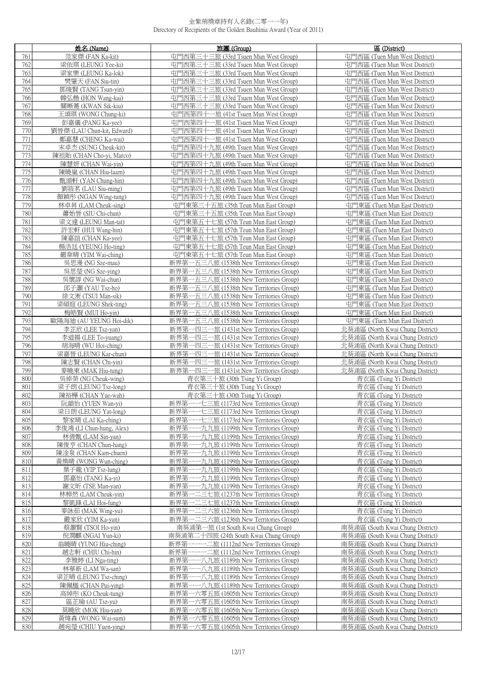|            | 姓名 (Name)                                     | 旅團 (Group)                                                                                 | 區 (District)                                                         |
|------------|-----------------------------------------------|--------------------------------------------------------------------------------------------|----------------------------------------------------------------------|
| 761        | 范家傑 (FAN Ka-kit)                              | 屯門西第三十三旅 (33rd Tsuen Mun West Group)                                                       | 屯門西區 (Tuen Mun West District)                                        |
| 762        | 梁依琪 (LEUNG Yee-ki)                            | 屯門西第三十三旅 (33rd Tsuen Mun West Group)                                                       | 屯門西區 (Tuen Mun West District)                                        |
| 763        | 梁家樂 (LEUNG Ka-lok)                            | 屯門西第三十三旅 (33rd Tsuen Mun West Group)                                                       | 屯門西區 (Tuen Mun West District)                                        |
| 764        | 樊肇天 (FAN Siu-tin)                             | 屯門西第三十三旅 (33rd Tsuen Mun West Group)                                                       | 屯門西區 (Tuen Mun West District)                                        |
| 765        | 鄧焌賢 (TANG Tsun-yin)                           | 屯門西第三十三旅 (33rd Tsuen Mun West Group)                                                       | 屯門西區 (Tuen Mun West District)                                        |
| 766        | 韓弘楷 (HON Wang-kai)                            | 屯門西第三十三旅 (33rd Tsuen Mun West Group)                                                       | 屯門西區 (Tuen Mun West District)                                        |
| 767        | 關晰蕎 (KWAN Sik-kiu)                            | 屯門西第三十三旅 (33rd Tsuen Mun West Group)                                                       | 屯門西區 (Tuen Mun West District)                                        |
| 768        | 王頌琪 (WONG Chung-ki)                           | 屯門西第四十一旅 (41st Tsuen Mun West Group)                                                       | 屯門西區 (Tuen Mun West District)                                        |
| 769        | 彭嘉儀 (PANG Ka-yee)                             | 屯門西第四十一旅 (41st Tsuen Mun West Group)                                                       | 屯門西區 (Tuen Mun West District)                                        |
| 770        | 劉晉傑 (LAU Chun-kit, Edward)                    | 屯門西第四十一旅 (41st Tsuen Mun West Group)                                                       | 屯門西區 (Tuen Mun West District)                                        |
| 771        | 鄭嘉慧 (CHENG Ka-wai)                            | 屯門西第四十一旅 (41st Tsuen Mun West Group)                                                       | 屯門西區 (Tuen Mun West District)                                        |
| 772        | 宋卓杰 (SUNG Cheuk-kit)                          | 屯門西第四十九旅 (49th Tsuen Mun West Group)                                                       | 屯門西區 (Tuen Mun West District)                                        |
| 773        | 陳祖貽 (CHAN Cho-yi, Marco)                      | 屯門西第四十九旅 (49th Tsuen Mun West Group)                                                       | 屯門西區 (Tuen Mun West District)                                        |
| 774        | 陳慧妍 (CHAN Wai-yin)                            | 屯門西第四十九旅 (49th Tsuen Mun West Group)                                                       | 屯門西區 (Tuen Mun West District)                                        |
| 775        | 陳曉嵐 (CHAN Hiu-laam)                           | 屯門西第四十九旅 (49th Tsuen Mun West Group)                                                       | 屯門西區 (Tuen Mun West District)                                        |
| 776        | 甄頌軒 (YAN Chung-hin)                           | 屯門西第四十九旅 (49th Tsuen Mun West Group)                                                       | 屯門西區 (Tuen Mun West District)                                        |
| 777<br>778 | 劉筱茗 (LAU Siu-ming)<br>顏穎彤 (NGAN Wing-tung)    | 屯門西第四十九旅 (49th Tsuen Mun West Group)<br>屯門西第四十九旅 (49th Tsuen Mun West Group)               | 屯門西區 (Tuen Mun West District)<br>屯門西區 (Tuen Mun West District)       |
| 779        | 林卓昇 (LAM Cheuk-sing)                          | 屯門東第三十五旅 (35th Teun Mun East Group)                                                        | 屯門東區 (Tuen Mun East District)                                        |
| 780        | 蕭始晉 (SIU Chi-chun)                            | 屯門東第三十五旅 (35th Teun Mun East Group)                                                        | 屯門東區 (Tuen Mun East District)                                        |
| 781        | 梁文達 (LEUNG Man-tat)                           | 屯門東第五十七旅 (57th Teun Mun East Group)                                                        | 屯門東區 (Tuen Mun East District)                                        |
| 782        | 許宏軒 (HUI Wang-hin)                            | 屯門東第五十七旅 (57th Teun Mun East Group)                                                        | 屯門東區 (Tuen Mun East District)                                        |
| 783        | 陳嘉誼 (CHAN Ka-yee)                             | 屯門東第五十七旅 (57th Teun Mun East Group)                                                        | 屯門東區 (Tuen Mun East District)                                        |
| 784        | 楊浩廷 (YEUNG Ho-ting)                           | 屯門東第五十七旅 (57th Teun Mun East Group)                                                        | 屯門東區 (Tuen Mun East District)                                        |
| 785        | 嚴韋晴 (YIM Wai-ching)                           | 屯門東第五十七旅 (57th Teun Mun East Group)                                                        | 屯門東區 (Tuen Mun East District)                                        |
| 786        | 吳思漫 (NG Sze-mau)                              | 新界第一五三八旅 (1538th New Territories Group)                                                    | 屯門東區 (Tuen Mun East District)                                        |
| 787        | 吳思瑩 (NG Sze-ying)                             | 新界第一五三八旅 (1538th New Territories Group)                                                    | 屯門東區 (Tuen Mun East District)                                        |
| 788        | 吳懷諄 (NG Wai-chun)                             | 新界第一五三八旅 (1538th New Territories Group)                                                    | 屯門東區 (Tuen Mun East District)                                        |
| 789        | 邱子灝 (YAU Tsz-ho)                              | 新界第一五三八旅 (1538th New Territories Group)                                                    | 屯門東區 (Tuen Mun East District)                                        |
| 790        | 徐文淅 (TSUI Man-sik)                            | 新界第一五三八旅 (1538th New Territories Group)                                                    | 屯門東區 (Tuen Mun East District)                                        |
| 791        | 梁碩庭 (LEUNG Shek-ting)                         | 新界第一五三八旅 (1538th New Territories Group)                                                    | 屯門東區 (Tuen Mun East District)                                        |
| 792        | 梅皓賢 (MUI Ho-yin)                              | 新界第一五三八旅 (1538th New Territories Group)                                                    | 屯門東區 (Tuen Mun East District)                                        |
| 793        | 歐陽海迪 (AU YEUNG Hoi-dik)                       | 新界第一五三八旅 (1538th New Territories Group)                                                    | 屯門東區 (Tuen Mun East District)                                        |
| 794<br>795 | 李芷欣 (LEE Tsz-yan)<br>李道揚 (LEE To-yuang)       | 新界第<br>-四三一旅 (1431st New Territories Group)<br>新界第<br>-四三一旅 (1431st New Territories Group) | 北葵涌區 (North Kwai Chung District)<br>北葵涌區 (North Kwai Chung District) |
| 796        | 胡海晴 (WU Hoi-ching)                            | 新界第<br>-四三一旅 (1431st New Territories Group)                                                | 北葵涌區 (North Kwai Chung District)                                     |
| 797        | 梁嘉晉 (LEUNG Kar-chun)                          | 新界第一四三一旅 (1431st New Territories Group)                                                    | 北葵涌區 (North Kwai Chung District)                                     |
| 798        | 陳志賢 (CHAN Chi-yin)                            | 新界第一四三一旅 (1431st New Territories Group)                                                    | 北葵涌區 (North Kwai Chung District)                                     |
| 799        | 麥曉東 (MAK Hiu-tung)                            | 新界第一四三一旅 (1431st New Territories Group)                                                    | 北葵涌區 (North Kwai Chung District)                                     |
| 800        | 吳倬榮 (NG Cheuk-wing)                           | 青衣第三十旅 (30th Tsing Yi Group)                                                               | 青衣區 (Tsing Yi District)                                              |
| 801        | 梁子朗 (LEUNG Tsz-long)                          | 青衣第三十旅 (30th Tsing Yi Group)                                                               | 青衣區 (Tsing Yi District)                                              |
| 802        | 陳裕樺 (CHAN Yue-wah)                            | 青衣第三十旅 (30th Tsing Yi Group)                                                               | 青衣區 (Tsing Yi District)                                              |
| 803        | 沅韻怡 (YUEN Wan-yi)                             | 新界第<br>-七三旅 (1173rd New Territories Group)                                                 | 青衣區 (Tsing Yi District)                                              |
| 804        | 梁日朗 (LEUNG Yat-long)                          | 新界第·<br>一七三旅 (1173rd New Territories Group)                                                | 青衣區 (Tsing Yi District)                                              |
| 805        | 黎家晴 (LAI Ka-ching)                            | 新界第·<br>-七三旅 (1173rd New Territories Group)                                                | 青衣區 (Tsing Yi District)                                              |
| 806<br>807 | 李俊鴻 (LI Chun-hung, Alex)<br>林倩甄 (LAM Sin-yan) | 新界第一一九九旅 (1199th New Territories Group)<br>新界第<br>-九九旅 (1199th New Territories Group)      | 青衣區 (Tsing Yi District)<br>青衣區 (Tsing Yi District)                   |
| 808        | 陳俊亨 (CHAN Chun-hang)                          | 新界第<br>一九九旅 (1199th New Territories Group)                                                 | 青衣區 (Tsing Yi District)                                              |
| 809        | 陳涂泉 (CHAN Kam-chuen)                          | 新界第<br>-九九旅 (1199th New Territories Group)                                                 | 青衣區 (Tsing Yi District)                                              |
| 810        | 黃煥晴 (WONG Wun-ching)                          | 新界第<br>-九九旅 (1199th New Territories Group)                                                 | 青衣區 (Tsing Yi District)                                              |
| 811        | 葉子龍 (YIP Tsz-lung)                            | 新界第<br>-一九九旅 (1199th New Territories Group)                                                | 青衣區 (Tsing Yi District)                                              |
| 812        | 鄧嘉怡 (TANG Ka-yi)                              | 一九九旅 (1199th New Territories Group)<br>新界第                                                 | 青衣區 (Tsing Yi District)                                              |
| 813        | 謝文昕 (TSE Man-yan)                             | 一一九九旅 (1199th New Territories Group)<br>新界第·                                               | 青衣區 (Tsing Yi District)                                              |
| 814        | 林棹然 (LAM Cheuk-yin)                           | -二三七旅 (1237th New Territories Group)<br>新界第                                                | 青衣區 (Tsing Yi District)                                              |
| 815        | 黎凱鋒 (LAI Hoi-fung)                            | 新界第<br>-二三七旅 (1237th New Territories Group)                                                | 青衣區 (Tsing Yi District)                                              |
| 816        | 麥詠茹 (MAK Wing-yu)                             | 新界第一二三六旅 (1236th New Territories Group)                                                    | 青衣區 (Tsing Yi District)                                              |
| 817        | 嚴家欣 (YIM Ka-yan)                              | 新界第一二三六旅 (1236th New Territories Group)                                                    | 青衣區 (Tsing Yi District)                                              |
| 818<br>819 | 蔡灝賢 (TSOI Ho-yin)<br>倪潤麒 (NGAI Yun-ki)        | 南葵涌第一旅 (1st South Kwai Chung Group)<br>南葵涌第二十四旅 (24th South Kwai Chung Group)              | 南葵涌區 (South Kwai Chung District)<br>南葵涌區 (South Kwai Chung District) |
| 820        | 翁曉晴 (YUNG Hiu-ching)                          | ——— 二旅 (1112nd New Territories Group)<br>新界第-                                              | 南葵涌區 (South Kwai Chung District)                                     |
| 821        | 趙志軒 (CHIU Chi-hin)                            | -- 二旅 (1112nd New Territories Group)<br>新界第                                                | 南葵涌區 (South Kwai Chung District)                                     |
| 822        | 李雅婷 (LI Nga-ting)                             | -- 八九旅 (1189th New Territories Group)<br>新界第                                               | 南葵涌區 (South Kwai Chung District)                                     |
| 823        | 林華新 (LAM Wa-san)                              | 新界第<br>一八九旅 (1189th New Territories Group)                                                 | 南葵涌區 (South Kwai Chung District)                                     |
| 824        | 梁芷晴 (LEUNG Tsz-ching)                         | -- 八九旅 (1189th New Territories Group)<br>新界第·                                              | 南葵涌區 (South Kwai Chung District)                                     |
| 825        | 陳佩楹 (CHAN Pui-ying)                           | 一八九旅 (1189th New Territories Group)<br>新界第                                                 | 南葵涌區 (South Kwai Chung District)                                     |
| 826        | 高綽彤 (KO Cheuk-tung)                           | 新界第一六零五旅 (1605th New Territories Group)                                                    | 南葵涌區 (South Kwai Chung District)                                     |
| 827        | 區芷瑜 (AU Tsz-yu)                               | 新界第一六零五旅 (1605th New Territories Group)                                                    | 南葵涌區 (South Kwai Chung District)                                     |
| 828        | 莫曉欣 (MOK Hiu-yan)                             | 一六零五旅 (1605th New Territories Group)<br>新界第                                                | 南葵涌區 (South Kwai Chung District)                                     |
| 829        | 黃煒森 (WONG Wai-sum)                            | 新界第一六零五旅 (1605th New Territories Group)                                                    | 南葵涌區 (South Kwai Chung District)                                     |
| 830        | 趙宛瑩 (CHIU Yuen-ying)                          | 新界第一六零五旅 (1605th New Territories Group)                                                    | 南葵涌區 (South Kwai Chung District)                                     |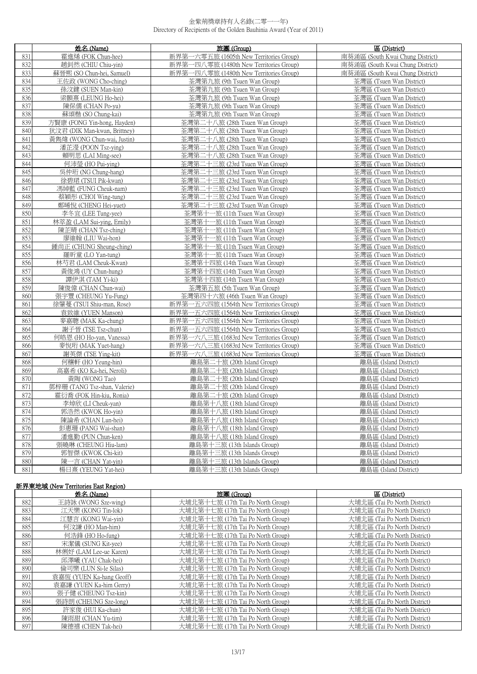|            | 姓名 (Name)                                 | 旅團 (Group)                                                     | 區 (District)                                         |
|------------|-------------------------------------------|----------------------------------------------------------------|------------------------------------------------------|
| 831        | 霍進烯 (FOK Chun-hee)                        | 新界第-<br>一六零五旅 (1605th New Territories Group)                   | 南葵涌區 (South Kwai Chung District)                     |
| 832        | 趙釗然 (CHIU Chiu-yin)                       | 新界第一四八零旅 (1480th New Territories Group)                        | 南葵涌區 (South Kwai Chung District)                     |
| 833        | 蘇晉熙 (SO Chun-hei, Samuel)                 | 新界第一四八零旅 (1480th New Territories Group)                        | 南葵涌區 (South Kwai Chung District)                     |
| 834        | 王佐政 (WONG Cho-ching)                      | 荃灣第九旅 (9th Tsuen Wan Group)                                    | 荃灣區 (Tsuen Wan District)                             |
| 835        | 孫汶鍵 (SUEN Man-kin)                        | 荃灣第九旅 (9th Tsuen Wan Group)                                    | 荃灣區 (Tsuen Wan District)                             |
| 836        | 梁顥熹 (LEUNG Ho-hei)                        | 荃灣第九旅 (9th Tsuen Wan Group)                                    | 荃灣區 (Tsuen Wan District)                             |
| 837        | 陳保儒 (CHAN Po-yu)                          | 荃灣第九旅 (9th Tsuen Wan Group)                                    | 荃灣區 (Tsuen Wan District)                             |
| 838        | 蘇頌楷 (SO Chung-kai)                        | 荃灣第九旅 (9th Tsuen Wan Group)                                    | 荃灣區 (Tsuen Wan District)                             |
| 839        | 方賢康 (FONG Yin-hong, Hayden)               | 荃灣第二十八旅 (28th Tsuen Wan Group)                                 | 荃灣區 (Tsuen Wan District)                             |
| 840        | 狄汶君 (DIK Man-kwan, Brittney)              | 荃灣第二十八旅 (28th Tsuen Wan Group)                                 | 荃灣區 (Tsuen Wan District)                             |
| 841        | 黃雋煒 (WONG Chun-wai, Justin)               | 荃灣第二十八旅 (28th Tsuen Wan Group)                                 | 荃灣區 (Tsuen Wan District)                             |
| 842        | 潘芷瀅 (POON Tsz-ying)                       | 荃灣第二十八旅 (28th Tsuen Wan Group)                                 | 荃灣區 (Tsuen Wan District)                             |
| 843        | 賴明思 (LAI Ming-see)                        | 荃灣第二十八旅 (28th Tsuen Wan Group)                                 | 荃灣區 (Tsuen Wan District)                             |
| 844        | 何沛瑩 (HO Pui-ying)                         | 荃灣第二十三旅 (23rd Tsuen Wan Group)                                 | 荃灣區 (Tsuen Wan District)                             |
| 845        | 吳仲珩 (NG Chung-hang)                       | 荃灣第二十三旅 (23rd Tsuen Wan Group)                                 | 荃灣區 (Tsuen Wan District)                             |
| 846        | 徐碧珺 (TSUI Pik-kwan)                       | 荃灣第二十三旅 (23rd Tsuen Wan Group)                                 | 荃灣區 (Tsuen Wan District)                             |
| 847        | 馮綽藍 (FUNG Cheuk-nam)                      | 荃灣第二十三旅 (23rd Tsuen Wan Group)                                 | 荃灣區 (Tsuen Wan District)                             |
| 848        | 蔡穎彤 (CHOI Wing-tung)                      | 荃灣第二十三旅 (23rd Tsuen Wan Group)                                 | 荃灣區 (Tsuen Wan District)                             |
| 849        | 鄭晞悅 (CHENG Hei-yuet)                      | 荃灣第二十三旅 (23rd Tsuen Wan Group)                                 | 荃灣區 (Tsuen Wan District)                             |
| 850        | 李冬官 (LEE Tung-yee)                        | 荃灣第十一旅 (11th Tsuen Wan Group)                                  | 荃灣區 (Tsuen Wan District)                             |
| 851        | 林萃盈 (LAM Sui-ying, Emily)                 | 荃灣第十一旅 (11th Tsuen Wan Group)                                  | 荃灣區 (Tsuen Wan District)                             |
| 852        | 陳芷晴 (CHAN Tsz-ching)                      | 荃灣第十一旅 (11th Tsuen Wan Group)                                  | 荃灣區 (Tsuen Wan District)                             |
| 853        | 廖維翰 (LIU Wai-hon)                         | 荃灣第十一旅 (11th Tsuen Wan Group)                                  | 荃灣區 (Tsuen Wan District)                             |
| 854        | 鍾尚正 (CHUNG Sheung-ching)                  | 荃灣第十一旅 (11th Tsuen Wan Group)                                  | 荃灣區 (Tsuen Wan District)                             |
| 855<br>856 | 羅昕童 (LO Yan-tung)<br>林芍君 (LAM Cheuk-Kwan) | 荃灣第十一旅 (11th Tsuen Wan Group)<br>荃灣第十四旅 (14th Tsuen Wan Group) | 荃灣區 (Tsuen Wan District)<br>荃灣區 (Tsuen Wan District) |
| 857        | 黃俊鴻 (UY Chun-hung)                        | 荃灣第十四旅 (14th Tsuen Wan Group)                                  | 荃灣區 (Tsuen Wan District)                             |
| 858        | 譚伊淇 (TAM Yi-ki)                           | 荃灣第十四旅 (14th Tsuen Wan Group)                                  | 荃灣區 (Tsuen Wan District)                             |
| 859        | 陳俊偉 (CHAN Chun-wai)                       | 荃灣第五旅 (5th Tsuen Wan Group)                                    | 荃灣區 (Tsuen Wan District)                             |
| 860        | 張宇豐 (CHEUNG Yu-Fung)                      | 荃灣第四十六旅 (46th Tsuen Wan Group)                                 | 荃灣區 (Tsuen Wan District)                             |
| 861        | 徐肇蔓 (TSUI Shiu-man, Rose)                 | 新界第一五六四旅 (1564th New Territories Group)                        | 荃灣區 (Tsuen Wan District)                             |
| 862        | 袁致維 (YUEN Manson)                         | 新界第一五六四旅 (1564th New Territories Group)                        | 荃灣區 (Tsuen Wan District)                             |
| 863        | 麥嘉聰 (MAK Ka-chung)                        | 新界第一五六四旅 (1564th New Territories Group)                        | 荃灣區 (Tsuen Wan District)                             |
| 864        | 謝子晉 (TSE Tsz-chun)                        | 新界第一五六四旅 (1564th New Territories Group)                        | 荃灣區 (Tsuen Wan District)                             |
| 865        | 何皓恩 (HO Ho-yan, Vanessa)                  | 新界第一六八三旅 (1683rd New Territories Group)                        | 荃灣區 (Tsuen Wan District)                             |
| 866        | 麥悅珩 (MAK Yuet-hang)                       | 新界第一六八三旅 (1683rd New Territories Group)                        | 荃灣區 (Tsuen Wan District)                             |
| 867        | 謝英傑 (TSE Ying-kit)                        | 新界第一六八三旅 (1683rd New Territories Group)                        | 荃灣區 (Tsuen Wan District)                             |
| 868        | 何穰軒 (HO Yeung-hin)                        | 離島第二十旅 (20th Island Group)                                     | 離島區 (Island District)                                |
| 869        | 高嘉希 (KO Ka-hei, Neroli)                   | 離島第二十旅 (20th Island Group)                                     | 離島區 (Island District)                                |
| 870        | 黃陶 (WONG Tao)                             | 離島第二十旅 (20th Island Group)                                     | 離島區 (Island District)                                |
| 871        | 鄧梓珊 (TANG Tsz-shan, Valerie)              | 離島第二十旅 (20th Island Group)                                     | 離島區 (Island District)                                |
| 872        | 霍衍喬 (FOK Hin-kiu, Ronia)                  | 離島第二十旅 (20th Island Group)                                     | 離島區 (Island District)                                |
| 873        | 李焯欣 (LI Cheuk-yan)                        | 離島第十八旅 (18th Island Group)                                     | 離島區 (Island District)                                |
| 874        | 郭浩然 (KWOK Ho-vin)                         | 離島第十八旅 (18th Island Group)                                     | 離島區 (Island District)                                |
| 875        | 陳論希 (CHAN Lun-hei)                        | 離島第十八旅 (18th Island Group)                                     | 離島區 (Island District)                                |
| 876        | 彭惠珊 (PANG Wai-shan)                       | 離島第十八旅 (18th Island Group)                                     | 離島區 (Island District)                                |
| 877        | 潘進勤 (PUN Chun-ken)                        | 離島第十八旅 (18th Island Group)                                     | 離島區 (Island District)                                |
| 878        | 張曉琳 (CHEUNG Hiu-lam)                      | 離島第十三旅 (13th Islands Group)                                    | 離島區 (Island District)                                |
| 879        | 郭智傑 (KWOK Chi-kit)                        | 離島第十三旅 (13th Islands Group)                                    | 離島區 (Island District)                                |
| 880        | 陳一言 (CHAN Yat-yin)                        | 離島第十三旅 (13th Islands Group)                                    | 離島區 (Island District)                                |
| 881        | 楊日熹 (YEUNG Yat-hei)                       | 離島第十三旅 (13th Islands Group)                                    | 離島區 (Island District)                                |

# **新界東地域 (New Territories East Region)**

|     | 姓名 (Name)                | 旅團 (Group)                        | 區 (District)                 |
|-----|--------------------------|-----------------------------------|------------------------------|
| 882 | 王詩詠 (WONG Sze-wing)      | 大埔北第十七旅 (17th Tai Po North Group) | 大埔北區 (Tai Po North District) |
| 883 | 江天樂 (KONG Tin-lok)       | 大埔北第十七旅 (17th Tai Po North Group) | 大埔北區 (Tai Po North District) |
| 884 | 江慧言 (KONG Wai-yin)       | 大埔北第十七旅 (17th Tai Po North Group) | 大埔北區 (Tai Po North District) |
| 885 | 何汶謙 (HO Man-him)         | 大埔北第十七旅 (17th Tai Po North Group) | 大埔北區 (Tai Po North District) |
| 886 | 何浩鋒 (HO Ho-fung)         | 大埔北第十七旅 (17th Tai Po North Group) | 大埔北區 (Tai Po North District) |
| 887 | 宋潔儀 (SUNG Kit-yee)       | 大埔北第十七旅 (17th Tai Po North Group) | 大埔北區 (Tai Po North District) |
| 888 | 林俐妤 (LAM Lee-ue Karen)   | 大埔北第十七旅 (17th Tai Po North Group) | 大埔北區 (Tai Po North District) |
| 889 | 邱澤曦 (YAU Chak-hei)       | 大埔北第十七旅 (17th Tai Po North Group) | 大埔北區 (Tai Po North District) |
| 890 | 倫司樂 (LUN Si-le Silas)    | 大埔北第十七旅 (17th Tai Po North Group) | 大埔北區 (Tai Po North District) |
| 891 | 袁嘉恆 (YUEN Ka-hang Geoff) | 大埔北第十七旅 (17th Tai Po North Group) | 大埔北區 (Tai Po North District) |
| 892 | 袁嘉謙 (YUEN Ka-him Gerry)  | 大埔北第十七旅 (17th Tai Po North Group) | 大埔北區 (Tai Po North District) |
| 893 | 張子健 (CHEUNG Tsz-kin)     | 大埔北第十七旅 (17th Tai Po North Group) | 大埔北區 (Tai Po North District) |
| 894 | 張詩朗 (CHEUNG Sze-long)    | 大埔北第十七旅 (17th Tai Po North Group) | 大埔北區 (Tai Po North District) |
| 895 | 許家俊 (HUI Ka-chun)        | 大埔北第十七旅 (17th Tai Po North Group) | 大埔北區 (Tai Po North District) |
| 896 | 陳雨甜 (CHAN Yu-tim)        | 大埔北第十七旅 (17th Tai Po North Group) | 大埔北區 (Tai Po North District) |
| 897 | 陳德禧 (CHEN Tak-hei)       | 大埔北第十七旅 (17th Tai Po North Group) | 大埔北區 (Tai Po North District) |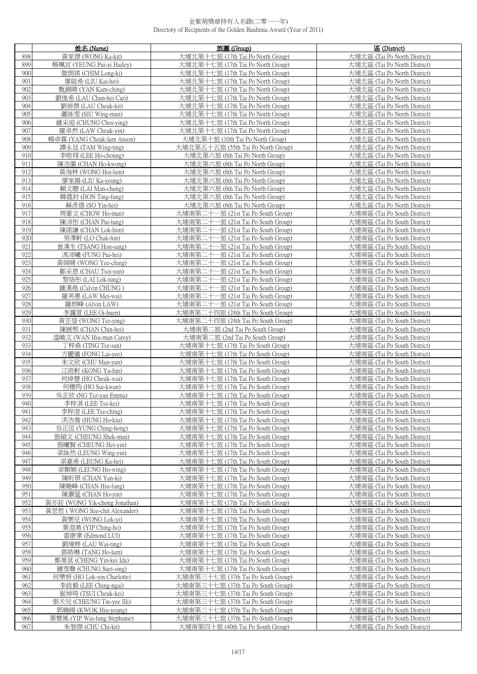|            | 姓名 (Name)                                 | 旅團 (Group)                                                               | 區 (District)                                                 |
|------------|-------------------------------------------|--------------------------------------------------------------------------|--------------------------------------------------------------|
| 898        | 黃家傑 (WONG Ka-kit)                         | 大埔北第十七旅 (17th Tai Po North Group)                                        | 大埔北區 (Tai Po North District)                                 |
| 899        | 楊珮宜 (YEUNG Pui-yi Hailey)                 | 大埔北第十七旅 (17th Tai Po North Group)                                        | 大埔北區 (Tai Po North District)                                 |
| 900        | 詹朗祺 (CHIM Long-ki)                        | 大埔北第十七旅 (17th Tai Po North Group)                                        | 大埔北區 (Tai Po North District)                                 |
| 901        | 廖啟希 (LIU Kai-hei)                         | 大埔北第十七旅 (17th Tai Po North Group)                                        | 大埔北區 (Tai Po North District)                                 |
| 902        | 甄錦晴 (YAN Kam-ching)                       | 大埔北第十七旅 (17th Tai Po North Group)                                        | 大埔北區 (Tai Po North District)                                 |
| 903        | 劉俊希 (LAU Chun-hei Cari)                   | 大埔北第十七旅 (17th Tai Po North Group)                                        | 大埔北區 (Tai Po North District)                                 |
| 904        | 劉倬傑 (LAU Cheuk-kit)                       | 大埔北第十七旅 (17th Tai Po North Group)                                        | 大埔北區 (Tai Po North District)                                 |
| 905        | 蕭詠雯 (SIU Wing-man)                        | 大埔北第十七旅 (17th Tai Po North Group)                                        | 大埔北區 (Tai Po North District)                                 |
| 906        | 鍾采迎 (CHUNG Choi-ying)                     | 大埔北第十七旅 (17th Tai Po North Group)                                        | 大埔北區 (Tai Po North District)                                 |
| 907        | 羅卓然 (LAW Cheuk-yin)                       | 大埔北第十七旅 (17th Tai Po North Group)                                        | 大埔北區 (Tai Po North District)                                 |
| 908        | 楊卓霖 (YANG Cheuk-lam Anson)                | 大埔北第十旅 (10th Tai Po North Group)                                         | 大埔北區 (Tai Po North District)                                 |
| 909        | 譚永廷 (TAM Wing-ting)                       | 大埔北第五十五旅 (55th Tai Po North Group)                                       | 大埔北區 (Tai Po North District)                                 |
| 910        | 李皓翔 (LEE Ho-choung)                       | 大埔北第六旅 (6th Tai Po North Group)                                          | 大埔北區 (Tai Po North District)                                 |
| 911        | 陳浩廣 (CHAN Ho-kwong)                       | 大埔北第六旅 (6th Tai Po North Group)                                          | 大埔北區 (Tai Po North District)                                 |
| 912        | 黃海林 (WONG Hoi-lam)                        | 大埔北第六旅 (6th Tai Po North Group)                                          | 大埔北區 (Tai Po North District)                                 |
| 913        | 廖家揚 (LIU Ka-yeung)                        | 大埔北第六旅 (6th Tai Po North Group)                                          | 大埔北區 (Tai Po North District)                                 |
| 914        | 賴文聰 (LAI Man-chung)                       | 大埔北第六旅 (6th Tai Po North Group)                                          | 大埔北區 (Tai Po North District)                                 |
| 915        | 韓霆封 (HON Ting-fung)                       | 大埔北第六旅 (6th Tai Po North Group)                                          | 大埔北區 (Tai Po North District)                                 |
| 916        | 蘇彥僖 (SO Yin-hei)                          | 大埔北第六旅 (6th Tai Po North Group)                                          | 大埔北區 (Tai Po North District)                                 |
| 917<br>918 | 周豪文 (CHOW Ho-man)                         | 大埔南第二十一旅 (21st Tai Po South Group)                                       | 大埔南區 (Tai Po South District)                                 |
| 919        | 陳沛彤 (CHAN Pui-tung)<br>陳諾謙 (CHAN Lok-him) | 大埔南第二十一旅 (21st Tai Po South Group)<br>大埔南第二十一旅 (21st Tai Po South Group) | 大埔南區 (Tai Po South District)<br>大埔南區 (Tai Po South District) |
| 920        | 勞澤軒 (LO Chak-hin)                         | 大埔南第二十一旅 (21st Tai Po South Group)                                       | 大埔南區 (Tai Po South District)                                 |
| 921        | 曾漢生 (TSANG Hon-sang)                      | 大埔南第二十一旅 (21st Tai Po South Group)                                       | 大埔南區 (Tai Po South District)                                 |
| 922        | 馮沛曦 (FUNG Pui-hei)                        | 大埔南第二十一旅 (21st Tai Po South Group)                                       | 大埔南區 (Tai Po South District)                                 |
| 923        | 黃綺晴 (WONG Yee-ching)                      | 大埔南第二十一旅 (21st Tai Po South Group)                                       | 大埔南區 (Tai Po South District)                                 |
| 924        | 鄒采恩 (CHAU Tsoi-yan)                       | 大埔南第二十一旅 (21st Tai Po South Group)                                       | 大埔南區 (Tai Po South District)                                 |
| 925        | 黎烙彤 (LAI Lok-tung)                        | 大埔南第二十一旅 (21st Tai Po South Group)                                       | 大埔南區 (Tai Po South District)                                 |
| 926        | 鍾漢堯 (Calvin CHUNG)                        | 大埔南第二十一旅 (21st Tai Po South Group)                                       | 大埔南區 (Tai Po South District)                                 |
| 927        | 羅美惠 (LAW Mei-wai)                         | 大埔南第二十一旅 (21st Tai Po South Group)                                       | 大埔南區 (Tai Po South District)                                 |
| 928        | 羅朗峰 (Alvin LAW)                           | 大埔南第二十一旅 (21st Tai Po South Group)                                       | 大埔南區 (Tai Po South District)                                 |
| 929        | 李靄萱 (LEE Oi-huen)                         | 大埔南第二十四旅 (24th Tai Po South Group)                                       | 大埔南區 (Tai Po South District)                                 |
| 930        | 黃芷瑩 (WONG Tsz-ying)                       | 大埔南第二十四旅 (24th Tai Po South Group)                                       | 大埔南區 (Tai Po South District)                                 |
| 931        | 陳展熙 (CHAN Chin-hei)                       | 大埔南第二旅 (2nd Tai Po South Group)                                          | 大埔南區 (Tai Po South District)                                 |
| 932        | 溫曉文 (WAN Hiu-man Carey)                   | 大埔南第二旅 (2nd Tai Po South Group)                                          | 大埔南區 (Tai Po South District)                                 |
| 933        | 丁梓桑 (TING Tsz-san)                        | 大埔南第十七旅 (17th Tai Po South Group)                                        | 大埔南區 (Tai Po South District)                                 |
| 934        | 方麗儀 (FONG Lai-yee)                        | 大埔南第十七旅 (17th Tai Po South Group)                                        | 大埔南區 (Tai Po South District)                                 |
| 935        | 朱文欣 (CHU Man-yan)                         | 大埔南第十七旅 (17th Tai Po South Group)                                        | 大埔南區 (Tai Po South District)<br>大埔南區 (Tai Po South District) |
| 936<br>937 | 江雨軒 (KONG Yu-hin)<br>何倬慧 (HO Cheuk-wai)   | 大埔南第十七旅 (17th Tai Po South Group)<br>大埔南第十七旅 (17th Tai Po South Group)   | 大埔南區 (Tai Po South District)                                 |
| 938        | 何穗筠 (HO Sui-kwan)                         | 大埔南第十七旅 (17th Tai Po South Group)                                        | 大埔南區 (Tai Po South District)                                 |
| 939        | 吳芷欣 (NG Tsz-yan Emma)                     | 大埔南第十七旅 (17th Tai Po South Group)                                        | 大埔南區 (Tai Po South District)                                 |
| 940        | 李梓淇 (LEE Tsz-kei)                         | 大埔南第十七旅 (17th Tai Po South Group)                                        | 大埔南區 (Tai Po South District)                                 |
| 941        | 李梓澄 (LEE Tsz-ching)                       | 大埔南第十七旅 (17th Tai Po South Group)                                        | 大埔南區 (Tai Po South District)                                 |
| 942        | 洪浩喬 (HUNG Ho-kiu)                         | 大埔南第十七旅 (17th Tai Po South Group)                                        | 大埔南區 (Tai Po South District)                                 |
| 943        | 容正匡 (YUNG Ching-hong)                     | 大埔南第十七旅 (17th Tai Po South Group)                                        | 大埔南區 (Tai Po South District)                                 |
| 944        | 張碩文 (CHEUNG Shek-man)                     | 大埔南第十七旅 (17th Tai Po South Group)                                        | 大埔南區 (Tai Po South District)                                 |
| 945        | 張曦賢 (CHEUNG Hei-yin)                      | 大埔南第十七旅 (17th Tai Po South Group)                                        | 大埔南區 (Tai Po South District)                                 |
| 946        | 梁詠然 (LEUNG Wing-yin)                      | 大埔南第十七旅 (17th Tai Po South Group)                                        | 大埔南區 (Tai Po South District)                                 |
| 947        | 梁嘉希 (LEUNG Ka-hei)                        | 大埔南第十七旅 (17th Tai Po South Group)                                        | 大埔南區 (Tai Po South District)                                 |
| 948        | 梁顥穎 (LEUNG Ho-wing)                       | 大埔南第十七旅 (17th Tai Po South Group)                                        | 大埔南區 (Tai Po South District)                                 |
| 949        | 陳昕琪 (CHAN Yan-ki)                         | 大埔南第十七旅 (17th Tai Po South Group)                                        | 大埔南區 (Tai Po South District)                                 |
| 950        | 陳曉峰 (CHAN Hiu-fung)                       | 大埔南第十七旅 (17th Tai Po South Group)                                        | 大埔南區 (Tai Po South District)                                 |
| 951        | 陳灝筵 (CHAN Ho-yin)                         | 大埔南第十七旅 (17th Tai Po South Group)                                        | 大埔南區 (Tai Po South District)                                 |
| 952        | 黃亦莊 (WONG Yik-chong Jonathan)             | 大埔南第十七旅 (17th Tai Po South Group)                                        | 大埔南區 (Tai Po South District)                                 |
| 953        | 黃思哲 (WONG Sze-chit Alexander)             | 大埔南第十七旅 (17th Tai Po South Group)                                        | 大埔南區 (Tai Po South District)                                 |
| 954        | 黃樂兒 (WONG Lok-yi)                         | 大埔南第十七旅 (17th Tai Po South Group)                                        | 大埔南區 (Tai Po South District)                                 |
| 955        | 葉澄澔 (YIP Ching-ho)                        | 大埔南第十七旅 (17th Tai Po South Group)                                        | 大埔南區 (Tai Po South District)                                 |
| 956        | 雷康業 (Edmond LUI)                          | 大埔南第十七旅 (17th Tai Po South Group)                                        | 大埔南區 (Tai Po South District)                                 |
| 957<br>958 | 劉瑋婷 (LAU Wai-ting)<br>鄧皓琳 (TANG Ho-lam)   | 大埔南第十七旅 (17th Tai Po South Group)                                        | 大埔南區 (Tai Po South District)<br>大埔南區 (Tai Po South District) |
| 959        | 鄭晏萁 (CHENG Yin-kei Ida)                   | 大埔南第十七旅 (17th Tai Po South Group)<br>大埔南第十七旅 (17th Tai Po South Group)   | 大埔南區 (Tai Po South District)                                 |
| 960        | 鍾雪聲 (CHUNG Suet-sing)                     | 大埔南第十七旅 (17th Tai Po South Group)                                        | 大埔南區 (Tai Po South District)                                 |
| 961        | 何樂妍 (HO Lok-yin Charlotte)                | 大埔南第三十七旅 (37th Tai Po South Group)                                       | 大埔南區 (Tai Po South District)                                 |
| 962        | 李政毅 (LEE Ching-ngai)                      | 大埔南第三十七旅 (37th Tai Po South Group)                                       | 大埔南區 (Tai Po South District)                                 |
| 963        | 崔焯琦 (TSUI Cheuk-kei)                      | 大埔南第三十七旅 (37th Tai Po South Group)                                       | 大埔南區 (Tai Po South District)                                 |
| 964        | 張天兒 (CHEUNG Tin-yee Illi)                 | 大埔南第三十七旅 (37th Tai Po South Group)                                       | 大埔南區 (Tai Po South District)                                 |
| 965        | 郭曉暘 (KWOK Hiu-yeung)                      | 大埔南第三十七旅 (37th Tai Po South Group)                                       | 大埔南區 (Tai Po South District)                                 |
| 966        | 葉懷風 (YIP Wai-fung Stephanie)              | 大埔南第三十七旅 (37th Tai Po South Group)                                       | 大埔南區 (Tai Po South District)                                 |
| 967        | 朱智傑 (CHU Chi-kit)                         | 大埔南第四十旅 (40th Tai Po South Group)                                        | 大埔南區 (Tai Po South District)                                 |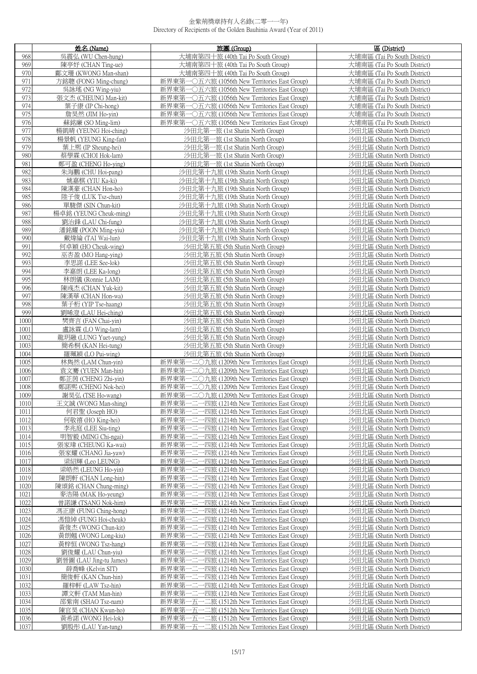|              | 姓名 (Name)                                  | 旅團 (Group)                                                                                             | 區 (District)                                                 |
|--------------|--------------------------------------------|--------------------------------------------------------------------------------------------------------|--------------------------------------------------------------|
| 968          | 吳震弘 (WU Chen-hung)                         | 大埔南第四十旅 (40th Tai Po South Group)                                                                      | 大埔南區 (Tai Po South District)                                 |
| 969          | 陳亭妤 (CHAN Ting-ue)                         | 大埔南第四十旅 (40th Tai Po South Group)                                                                      | 大埔南區 (Tai Po South District)                                 |
| 970          | 鄺文珊 (KWONG Man-shan)                       | 大埔南第四十旅 (40th Tai Po South Group)                                                                      | 大埔南區 (Tai Po South District)                                 |
| 971          | 方銘聰 (FONG Ming-chung)                      | 新界東第一〇五六旅 (1056th New Territories East Group)                                                          | 大埔南區 (Tai Po South District)                                 |
| 972          | 吳詠瑤 (NG Wing-yiu)                          | 新界東第一〇五六旅 (1056th New Territories East Group)                                                          | 大埔南區 (Tai Po South District)                                 |
| 973<br>974   | 張文杰 (CHEUNG Man-kit)<br>葉子康 (IP Chi-hong)  | 新界東第一〇五六旅 (1056th New Territories East Group)<br>新界東第一〇五六旅 (1056th New Territories East Group)         | 大埔南區 (Tai Po South District)<br>大埔南區 (Tai Po South District) |
| 975          | 詹昊然 (JIM Ho-yin)                           | 新界東第一〇五六旅 (1056th New Territories East Group)                                                          | 大埔南區 (Tai Po South District)                                 |
| 976          | 蘇銘廉 (SO Ming-lim)                          | 新界東第一〇五六旅 (1056th New Territories East Group)                                                          | 大埔南區 (Tai Po South District)                                 |
| 977          | 楊凱晴 (YEUNG Hoi-ching)                      | 沙田北第一旅 (1st Shatin North Group)                                                                        | 沙田北區 (Shatin North District)                                 |
| 978          | 楊景帆 (YEUNG King-fan)                       | 沙田北第一旅 (1st Shatin North Group)                                                                        | 沙田北區 (Shatin North District)                                 |
| 979          | 葉上熙 (IP Sheung-hei)                        | 沙田北第一旅 (1st Shatin North Group)                                                                        | 沙田北區 (Shatin North District)                                 |
| 980          | 蔡學霖 (CHOI Hok-lam)                         | 沙田北第一旅 (1st Shatin North Group)                                                                        | 沙田北區 (Shatin North District)                                 |
| 981          | 鄭可盈 (CHENG Ho-ying)                        | 沙田北第一旅 (1st Shatin North Group)                                                                        | 沙田北區 (Shatin North District)                                 |
| 982          | 朱海鵬 (CHU Hoi-pang)                         | 沙田北第十九旅 (19th Shatin North Group)                                                                      | 沙田北區 (Shatin North District)                                 |
| 983<br>984   | 姚嘉棋 (YIU Ka-ki)<br>陳漢豪 (CHAN Hon-ho)       | 沙田北第十九旅 (19th Shatin North Group)<br>沙田北第十九旅 (19th Shatin North Group)                                 | 沙田北區 (Shatin North District)<br>沙田北區 (Shatin North District) |
| 985          | 陸子俊 (LUK Tsz-chun)                         | 沙田北第十九旅 (19th Shatin North Group)                                                                      | 沙田北區 (Shatin North District)                                 |
| 986          | 單駿傑 (SIN Chun-kit)                         | 沙田北第十九旅 (19th Shatin North Group)                                                                      | 沙田北區 (Shatin North District)                                 |
| 987          | 楊卓銘 (YEUNG Cheuk-ming)                     | 沙田北第十九旅 (19th Shatin North Group)                                                                      | 沙田北區 (Shatin North District)                                 |
| 988          | 劉治鋒 (LAU Chi-fung)                         | 沙田北第十九旅 (19th Shatin North Group)                                                                      | 沙田北區 (Shatin North District)                                 |
| 989          | 潘銘耀 (POON Ming-yiu)                        | 沙田北第十九旅 (19th Shatin North Group)                                                                      | 沙田北區 (Shatin North District)                                 |
| 990          | 戴煒綸 (TAI Wai-lun)                          | 沙田北第十九旅 (19th Shatin North Group)                                                                      | 沙田北區 (Shatin North District)                                 |
| 991<br>992   | 何卓穎 (HO Cheuk-wing)                        | 沙田北第五旅 (5th Shatin North Group)<br>沙田北第五旅 (5th Shatin North Group)                                     | 沙田北區 (Shatin North District)                                 |
| 993          | 巫杏盈 (MO Hang-ying)<br>李思諾 (LEE See-lok)    | 沙田北第五旅 (5th Shatin North Group)                                                                        | 沙田北區 (Shatin North District)<br>沙田北區 (Shatin North District) |
| 994          | 李嘉朗 (LEE Ka-long)                          | 沙田北第五旅 (5th Shatin North Group)                                                                        | 沙田北區 (Shatin North District)                                 |
| 995          | 林朗儀 (Ronnie LAM)                           | 沙田北第五旅 (5th Shatin North Group)                                                                        | 沙田北區 (Shatin North District)                                 |
| 996          | 陳彧杰 (CHAN Yuk-kit)                         | 沙田北第五旅 (5th Shatin North Group)                                                                        | 沙田北區 (Shatin North District)                                 |
| 997          | 陳漢華 (CHAN Hon-wa)                          | 沙田北第五旅 (5th Shatin North Group)                                                                        | 沙田北區 (Shatin North District)                                 |
| 998          | 葉子桁 (YIP Tse-haang)                        | 沙田北第五旅 (5th Shatin North Group)                                                                        | 沙田北區 (Shatin North District)                                 |
| 999          | 劉晞澄 (LAU Hei-ching)                        | 沙田北第五旅 (5th Shatin North Group)                                                                        | 沙田北區 (Shatin North District)                                 |
| 1000         | 樊齊言 (FAN Chai-yin)                         | 沙田北第五旅 (5th Shatin North Group)                                                                        | 沙田北區 (Shatin North District)                                 |
| 1001<br>1002 | 盧詠霖 (LO Wing-lam)<br>龍玥融 (LUNG Yuet-yung)  | 沙田北第五旅 (5th Shatin North Group)<br>沙田北第五旅 (5th Shatin North Group)                                     | 沙田北區 (Shatin North District)<br>沙田北區 (Shatin North District) |
| 1003         | 簡希桐 (KAN Hei-tung)                         | 沙田北第五旅 (5th Shatin North Group)                                                                        | 沙田北區 (Shatin North District)                                 |
| 1004         | 羅珮穎 (LO Pui-wing)                          | 沙田北第五旅 (5th Shatin North Group)                                                                        | 沙田北區 (Shatin North District)                                 |
| 1005         | 林雋然 (LAM Chun-yin)                         | 新界東第一二〇九旅 (1209th New Territories East Group)                                                          | 沙田北區 (Shatin North District)                                 |
| 1006         | 袁文騫 (YUEN Man-hin)                         | 新界東第一二〇九旅 (1209th New Territories East Group)                                                          | 沙田北區 (Shatin North District)                                 |
| 1007         | 鄭芷茵 (CHENG Zhi-yin)                        | 新界東第一二〇九旅 (1209th New Territories East Group)                                                          | 沙田北區 (Shatin North District)                                 |
| 1008         | 鄭諾熙 (CHENG Nok-hei)                        | 新界東第一二〇九旅 (1209th New Territories East Group)                                                          | 沙田北區 (Shatin North District)                                 |
| 1009         | 謝昊弘 (TSE Ho-wang)                          | 新界東第一二〇九旅 (1209th New Territories East Group)<br>一四旅 (1214th New Territories East Group)               | 沙田北區 (Shatin North District)                                 |
| 1010<br>1011 | 土文誠 (WONG Man-shing)<br>何君聖 (Joseph HO)    | 新界果第一二<br>新界東第一二一四旅 (1214th New Territories East Group)                                                | 沙出北區 (Shatin North District)<br>沙田北區 (Shatin North District) |
| 1012         | 何敬禧 (HO King-hei)                          | 新界東第–<br>-四旅 (1214th New Territories East Group)                                                       | 沙田北區 (Shatin North District)                                 |
| 1013         | 李兆庭 (LEE Siu-ting)                         | 新界東第一二一四旅 (1214th New Territories East Group)                                                          | 沙田北區 (Shatin North District)                                 |
| 1014         | 明智毅 (MING Chi-ngai)                        | 新界東第-<br>一四旅 (1214th New Territories East Group)                                                       | 沙田北區 (Shatin North District)                                 |
| 1015         | 張家瑋 (CHEUNG Ka-wai)                        | 新界東第-<br>-四旅 (1214th New Territories East Group)                                                       | 沙田北區 (Shatin North District)                                 |
| 1016         | 張家耀 (CHANG Jia-yaw)                        | 新界東第一二-<br>·四旅 (1214th New Territories East Group)                                                     | 沙田北區 (Shatin North District)                                 |
| 1017<br>1018 | 梁紹輝 (Leo LEUNG)<br>梁皓然 (LEUNG Ho-yin)      | 新界東第一二-<br>-四旅 (1214th New Territories East Group)<br>新界東第-<br>-四旅 (1214th New Territories East Group) | 沙田北區 (Shatin North District)<br>沙田北區 (Shatin North District) |
| 1019         | 陳朗軒 (CHAN Long-hin)                        | 新界東第-<br>-四旅 (1214th New Territories East Group)                                                       | 沙田北區 (Shatin North District)                                 |
| 1020         | 陳頌銘 (CHAN Chung-ming)                      | ·四旅 (1214th New Territories East Group)<br>新界東第一二–                                                     | 沙田北區 (Shatin North District)                                 |
| 1021         | 麥浩陽 (MAK Ho-yeung)                         | 新界東第<br>-四旅 (1214th New Territories East Group)                                                        | 沙田北區 (Shatin North District)                                 |
| 1022         | 曾諾謙 (TSANG Nok-him)                        | 新界東第一二一四旅 (1214th New Territories East Group)                                                          | 沙田北區 (Shatin North District)                                 |
| 1023         | 馮正康 (FUNG Ching-hong)                      | 新界東第一二-<br>-四旅 (1214th New Territories East Group)                                                     | 沙田北區 (Shatin North District)                                 |
| 1024         | 馮愷綽 (FUNG Hoi-cheuk)                       | -四旅 (1214th New Territories East Group)<br>新界東第一二–                                                     | 沙田北區 (Shatin North District)                                 |
| 1025         | 黃俊杰 (WONG Chun-kit)                        | 新界東第-<br>-四旅 (1214th New Territories East Group)                                                       | 沙田北區 (Shatin North District)                                 |
| 1026<br>1027 | 黃朗翹 (WONG Long-kiu)<br>黃梓恒 (WONG Tsz-hang) | 新界東第一二-<br>-四旅 (1214th New Territories East Group)<br>·四旅 (1214th New Territories East Group)<br>新界東第一 | 沙田北區 (Shatin North District)<br>沙田北區 (Shatin North District) |
| 1028         | 劉俊耀 (LAU Chun-yiu)                         | 新界東第<br>-四旅 (1214th New Territories East Group)                                                        | 沙田北區 (Shatin North District)                                 |
| 1029         | 劉晉圖 (LAU Jing-tu James)                    | 新界東第<br>-四旅 (1214th New Territories East Group)                                                        | 沙田北區 (Shatin North District)                                 |
| 1030         | 薛喬峰 (Kelvin SIT)                           | 新界東第-<br>-四旅 (1214th New Territories East Group)                                                       | 沙田北區 (Shatin North District)                                 |
| 1031         | 簡俊軒 (KAN Chun-hin)                         | -四旅 (1214th New Territories East Group)<br>新界東第一二–                                                     | 沙田北區 (Shatin North District)                                 |
| 1032         | 羅梓軒 (LAW Tsz-hin)                          | 新界東第一二一四旅 (1214th New Territories East Group)                                                          | 沙田北區 (Shatin North District)                                 |
| 1033         | 譚文軒 (TAM Man-hin)                          | 新界東第一二一四旅 (1214th New Territories East Group)                                                          | 沙田北區 (Shatin North District)                                 |
| 1034<br>1035 | 邵紫南 (SHAO Tsz-nam)<br>陳官昊 (CHAN Kwun-ho)   | 新界東第一五一二旅 (1512th New Territories East Group)<br>新界東第一五一二旅 (1512th New Territories East Group)         | 沙田北區 (Shatin North District)<br>沙田北區 (Shatin North District) |
| 1036         | 黃希諾 (WONG Hei-lok)                         | 新界東第一五一二旅 (1512th New Territories East Group)                                                          | 沙田北區 (Shatin North District)                                 |
| 1037         | 劉殷彤 (LAU Yan-tung)                         | 新界東第一五一二旅 (1512th New Territories East Group)                                                          | 沙田北區 (Shatin North District)                                 |
|              |                                            |                                                                                                        |                                                              |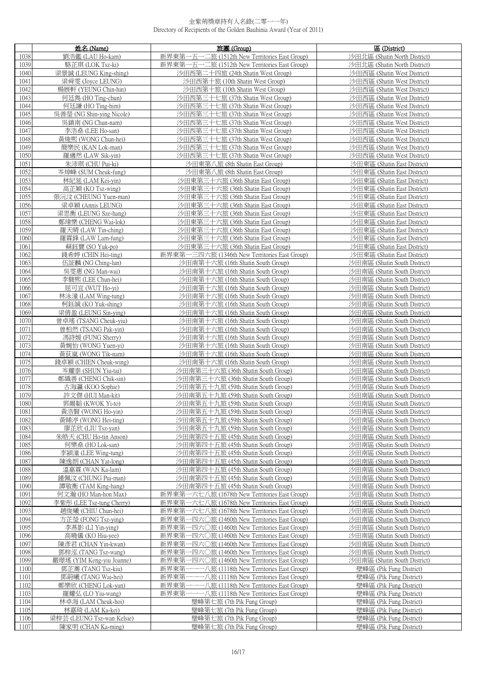|              | 姓名 (Name)                                    | 旅團 (Group)                                                                                     | 區 (District)                                                 |
|--------------|----------------------------------------------|------------------------------------------------------------------------------------------------|--------------------------------------------------------------|
| 1038         | 劉浩鑑 (LAU Ho-kam)                             | 新界東第一五一二旅 (1512th New Territories East Group)                                                  | 沙田北區 (Shatin North District)                                 |
| 1039         | 駱芷琪 (LOK Tsz-ki)                             | 新界東第一五一二旅 (1512th New Territories East Group)                                                  | 沙田北區 (Shatin North District)                                 |
| 1040         | 梁景誠 (LEUNG King-shing)                       | 沙田西第二十四旅 (24th Shatin West Group)                                                              | 沙田西區 (Shatin West District)                                  |
| 1041         | 梁舜雯 (Joyce LEUNG)                            | 沙田西第十旅 (10th Shatin West Group)                                                                | 沙田西區 (Shatin West District)                                  |
| 1042         | 楊展軒 (YEUNG Chin-hin)                         | 沙田西第十旅 (10th Shatin West Group)                                                                | 沙田西區 (Shatin West District)                                  |
| 1043<br>1044 | 何廷雋(HO Ting-chun)<br>何廷謙 (HO Ting-him)       | 沙田西第三十七旅 (37th Shatin West Group)<br>沙田西第三十七旅 (37th Shatin West Group)                         | 沙田西區 (Shatin West District)<br>沙田西區 (Shatin West District)   |
| 1045         | 吳善瑩 (NG Shin-ying Nicole)                    | 沙田西第三十七旅 (37th Shatin West Group)                                                              | 沙田西區 (Shatin West District)                                  |
| 1046         | 吳鎮南 (NG Chun-nam)                            | 沙田西第三十七旅 (37th Shatin West Group)                                                              | 沙田西區 (Shatin West District)                                  |
| 1047         | 李浩燊 (LEE Ho-san)                             | 沙田西第三十七旅 (37th Shatin West Group)                                                              | 沙田西區 (Shatin West District)                                  |
| 1048         | 黃焌熙 (WONG Chun-hei)                          | 沙田西第三十七旅 (37th Shatin West Group)                                                              | 沙田西區 (Shatin West District)                                  |
| 1049         | 簡樂民 (KAN Lok-man)                            | 沙田西第三十七旅 (37th Shatin West Group)                                                              | 沙田西區 (Shatin West District)                                  |
| 1050         | 羅適然 (LAW Sik-vin)                            | 沙田西第三十七旅 (37th Shatin West Group)                                                              | 沙田西區 (Shatin West District)                                  |
| 1051<br>1052 | 朱沛琪 (CHU Pui-ki)<br>岑焯峰 (SUM Cheuk-fung)     | 沙田東第八旅 (8th Shatin East Group)<br>沙田東第八旅 (8th Shatin East Group)                               | 沙田東區 (Shatin East District)<br>沙田東區 (Shatin East District)   |
| 1053         | 林紀延 (LAM Kei-yin)                            | 沙田東第三十六旅 (36th Shatin East Group)                                                              | 沙田東區 (Shatin East District)                                  |
| 1054         | 高芷穎 (KO Tsz-wing)                            | 沙田東第三十六旅 (36th Shatin East Group)                                                              | 沙田東區 (Shatin East District)                                  |
| 1055         | 張沅汶 (CHEUNG Yuen-man)                        | 沙田東第三十六旅 (36th Shatin East Group)                                                              | 沙田東區 (Shatin East District)                                  |
| 1056         | 梁卓穎 (Annis LEUNG)                            | 沙田東第三十六旅 (36th Shatin East Group)                                                              | 沙田東區 (Shatin East District)                                  |
| 1057         | 梁思衡 (LEUNG Sze-hang)                         | 沙田東第三十六旅 (36th Shatin East Group)                                                              | 沙田東區 (Shatin East District)                                  |
| 1058         | 鄭瑋樂 (CHENG Wai-lok)                          | 沙田東第三十六旅 (36th Shatin East Group)                                                              | 沙田東區 (Shatin East District)                                  |
| 1059         | 羅天晴 (LAW Tin-ching)                          | 沙田東第三十六旅 (36th Shatin East Group)                                                              | 沙田東區 (Shatin East District)                                  |
| 1060         | 羅霖鋒 (LAW Lam-fung)                           | 沙田東第三十六旅 (36th Shatin East Group)                                                              | 沙田東區 (Shatin East District)                                  |
| 1061<br>1062 | 蘇鈺寶 (SO Yuk-po)<br>錢希婷 (CHIN Hei-ting)       | 沙田東第三十六旅 (36th Shatin East Group)<br>新界東第一三四六旅 (1346th New Territories East Group)             | 沙田東區 (Shatin East District)<br>沙田東區 (Shatin East District)   |
| 1063         | 伍証麟 (NG Ching-lun)                           | 沙田南第十六旅 (16th Shatin South Group)                                                              | 沙田南區 (Shatin South District)                                 |
| 1064         | 吳雯惠 (NG Man-wai)                             | 沙田南第十六旅 (16th Shatin South Group)                                                              | 沙田南區 (Shatin South District)                                 |
| 1065         | 李駿熙 (LEE Chun-hei)                           | 沙田南第十六旅 (16th Shatin South Group)                                                              | 沙田南區 (Shatin South District)                                 |
| 1066         | 屈可宜 (WUT Ho-yi)                              | 沙田南第十六旅 (16th Shatin South Group)                                                              | 沙田南區 (Shatin South District)                                 |
| 1067         | 林泳潼 (LAM Wing-tung)                          | 沙田南第十六旅 (16th Shatin South Group)                                                              | 沙田南區 (Shatin South District)                                 |
| 1068         | 柯鈺誠 (KO Yuk-shing)                           | 沙田南第十六旅 (16th Shatin South Group)                                                              | 沙田南區 (Shatin South District)                                 |
| 1069         | 梁倩盈 (LEUNG Sin-ying)                         | 沙田南第十六旅 (16th Shatin South Group)                                                              | 沙田南區 (Shatin South District)                                 |
| 1070<br>1071 | 曾卓瑤 (TSANG Cheuk-yiu)<br>曾柏然 (TSANG Pak-yin) | 沙田南第十六旅 (16th Shatin South Group)<br>沙田南第十六旅 (16th Shatin South Group)                         | 沙田南區 (Shatin South District)<br>沙田南區 (Shatin South District) |
| 1072         | 馮詩媛 (FUNG Sherry)                            | 沙田南第十六旅 (16th Shatin South Group)                                                              | 沙田南區 (Shatin South District)                                 |
| 1073         | 黃婉怡 (WONG Yuen-yi)                           | 沙田南第十六旅 (16th Shatin South Group)                                                              | 沙田南區 (Shatin South District)                                 |
| 1074         | 黃荻嵐 (WONG Tik-nam)                           | 沙田南第十六旅 (16th Shatin South Group)                                                              | 沙田南區 (Shatin South District)                                 |
| 1075         | 錢卓穎 (CHIEN Cheuk-wing)                       | 沙田南第十六旅 (16th Shatin South Group)                                                              | 沙田南區 (Shatin South District)                                 |
| 1076         | 岑耀泰 (SHUN Yiu-tai)                           | 沙田南第三十六旅 (36th Shatin South Group)                                                             | 沙田南區 (Shatin South District)                                 |
| 1077         | 鄭織善 (CHENG Chik-sin)                         | 沙田南第三十六旅 (36th Shatin South Group)                                                             | 沙田南區 (Shatin South District)                                 |
| 1078<br>1079 | 古海瀛 (KOO Sophie)<br>許文傑 (HUI Man-kit)        | 沙田南第五十九旅 (59th Shatin South Group)<br>沙田南第五十九旅 (59th Shatin South Group)                       | 沙田南區 (Shatin South District)<br>沙田南區 (Shatin South District) |
| 1080         | -   郭爾韜 (KWOK Yi-to)                         | 沙出南第五十九旅 (59th Shatin South Group)                                                             | 沙出南區 (Shatin South District)                                 |
| 1081         | 黃浩賢 (WONG Ho-vin)                            | 沙田南第五十九旅 (59th Shatin South Group)                                                             | 沙田南區 (Shatin South District)                                 |
| 1082         | 黃睎渟 (WONG Hei-ting)                          | 沙田南第五十九旅 (59th Shatin South Group)                                                             | 沙田南區 (Shatin South District)                                 |
| 1083         | 廖芷欣 (LIU Tsz-yan)                            | 沙田南第五十九旅 (59th Shatin South Group)                                                             | 沙田南區 (Shatin South District)                                 |
| 1084         | 朱皓天 (CHU Ho-tin Anson)                       | 沙田南第四十五旅 (45th Shatin South Group)                                                             | 沙田南區 (Shatin South District)                                 |
| 1085         | 何樂桑 (HO Lok-san)                             | 沙田南第四十五旅 (45th Shatin South Group)                                                             | 沙田南區 (Shatin South District)                                 |
| 1086         | 李穎潼 (LEE Wing-tung)                          | 沙田南第四十五旅 (45th Shatin South Group)                                                             | 沙田南區 (Shatin South District)                                 |
| 1087<br>1088 | 陳逸朗 (CHAN Yat-long)<br>溫嘉霖 (WAN Ka-lam)      | 沙田南第四十五旅 (45th Shatin South Group)<br>沙田南第四十五旅 (45th Shatin South Group)                       | 沙田南區 (Shatin South District)<br>沙田南區 (Shatin South District) |
| 1089         | 鍾佩汶 (CHUNG Pui-man)                          | 沙田南第四十五旅 (45th Shatin South Group)                                                             | 沙田南區 (Shatin South District)                                 |
| 1090         | 譚敬衡 (TAM King-hang)                          | 沙田南第四十五旅 (45th Shatin South Group)                                                             | 沙田南區 (Shatin South District)                                 |
| 1091         | 何文瀚 (HO Man-hon Max)                         | 新界東第一六七八旅 (1678th New Territories East Group)                                                  | 沙田南區 (Shatin South District)                                 |
| 1092         | 李紫彤 (LEE Tsz-tung Cherry)                    | 新界東第一六七八旅 (1678th New Territories East Group)                                                  | 沙田南區 (Shatin South District)                                 |
| 1093         | 趙俊曦 (CHIU Chun-hei)                          | 新界東第一六七八旅 (1678th New Territories East Group)                                                  | 沙田南區 (Shatin South District)                                 |
| 1094         | 方芷瑩 (FONG Tsz-ying)                          | 新界東第一四六〇旅 (1460th New Territories East Group)                                                  | 沙田南區 (Shatin South District)                                 |
| 1095         | 李燕影 (LI Yin-ying)<br>高曉儀 (KO Hiu-yee)        | 新界東第一四六〇旅 (1460th New Territories East Group)<br>新界東第一四六〇旅 (1460th New Territories East Group) | 沙田南區 (Shatin South District)<br>沙田南區 (Shatin South District) |
| 1096<br>1097 | 陳彥君 (CHAN Yin-kwan)                          | -四六〇旅 (1460th New Territories East Group)<br>新界東第-                                             | 沙田南區 (Shatin South District)                                 |
| 1098         | 鄧梓泓 (TANG Tsz-wang)                          | 新界東第-<br>-四六〇旅 (1460th New Territories East Group)                                             | 沙田南區 (Shatin South District)                                 |
| 1099         | 嚴璟瑤 (YIM Keng-yiu Joanne)                    | 新界東第<br>−四六○旅 (1460th New Territories East Group)                                              | 沙田南區 (Shatin South District)                                 |
| 1100         | 鄧芷蕎 (TANG Tsz-kiu)                           | 新界東第-<br>——八旅 (1118th New Territories East Group)                                              | 壁峰區 (Pik Fung District)                                      |
| 1101         | 鄧蔚曦 (TANG Wai-hei)                           | ——八旅 (1118th New Territories East Group)<br>新界東第-                                              | 壁峰區 (Pik Fung District)                                      |
| 1102         | 鄭樂欣 (CHENG Lok-yan)                          | 新界東第-<br>——八旅 (1118th New Territories East Group)                                              | 壁峰區 (Pik Fung District)                                      |
| 1103         | 羅耀弘 (LO Yiu-wang)                            | 新界東第-<br>-- 八旅 (1118th New Territories East Group)                                             | 壁峰區 (Pik Fung District)                                      |
| 1104<br>1105 | 林卓海 (LAM Cheuk-hoi)<br>林嘉琦 (LAM Ka-kei)      | 璧峰第七旅 (7th Pik Fung Group)<br>璧峰第七旅 (7th Pik Fung Group)                                       | 壁峰區 (Pik Fung District)<br>壁峰區 (Pik Fung District)           |
| 1106         | 梁梓芸 (LEUNG Tsz-wan Kelsie)                   | 璧峰第七旅 (7th Pik Fung Group)                                                                     | 壁峰區 (Pik Fung District)                                      |
| 1107         | 陳家明 (CHAN Ka-ming)                           | 璧峰第七旅 (7th Pik Fung Group)                                                                     | 壁峰區 (Pik Fung District)                                      |